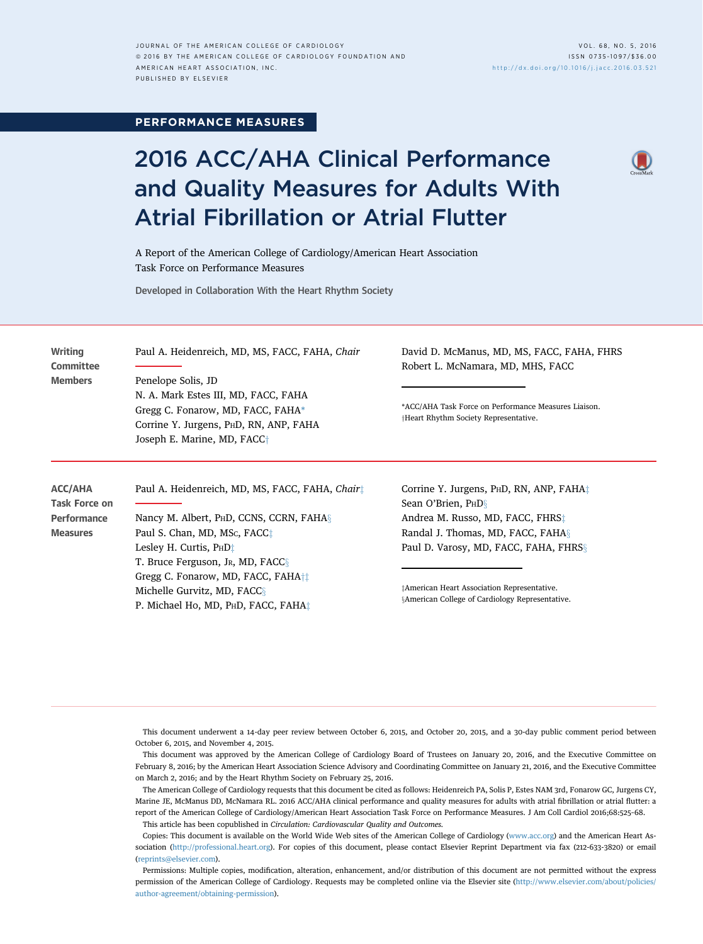# PERFORMANCE MEASURES

# 2016 ACC/AHA Clinical Performance and Quality Measures for Adults With Atrial Fibrillation or Atrial Flutter



A Report of the American College of Cardiology/American Heart Association Task Force on Performance Measures

Developed in Collaboration With the Heart Rhythm Society

Writing **Committee Members** Paul A. Heidenreich, MD, MS, FACC, FAHA, Chair Penelope Solis, JD N. A. Mark Estes III, MD, FACC, FAHA Gregg C. Fonarow, MD, FACC, FAHA\* Corrine Y. Jurgens, PHD, RN, ANP, FAHA Joseph E. Marine, MD, FACC<sup>+</sup>

David D. McManus, MD, MS, FACC, FAHA, FHRS Robert L. McNamara, MD, MHS, FACC

\*ACC/AHA Task Force on Performance Measures Liaison. <sup>+</sup>Heart Rhythm Society Representative.

ACC/AHA Task Force on Performance Measures Paul A. Heidenreich, MD, MS, FACC, FAHA, Chair $\ddagger$ Nancy M. Albert, PHD, CCNS, CCRN, FAHA& Paul S. Chan, MD, MSc, FACC<sup>+</sup> Lesley H. Curtis, PHD<sup>+</sup> T. Bruce Ferguson, JR, MD, FACC§ Gregg C. Fonarow, MD, FACC, FAHA<sup>++</sup> Michelle Gurvitz, MD, FACC<sub>§</sub> P. Michael Ho, MD, PHD, FACC, FAHA‡

Corrine Y. Jurgens, PHD, RN, ANP, FAHA‡ Sean O'Brien, PHD& Andrea M. Russo, MD, FACC, FHRSt Randal J. Thomas, MD, FACC, FAHA§ Paul D. Varosy, MD, FACC, FAHA, FHRS

zAmerican Heart Association Representative. §American College of Cardiology Representative.

This document underwent a 14-day peer review between October 6, 2015, and October 20, 2015, and a 30-day public comment period between October 6, 2015, and November 4, 2015.

This document was approved by the American College of Cardiology Board of Trustees on January 20, 2016, and the Executive Committee on February 8, 2016; by the American Heart Association Science Advisory and Coordinating Committee on January 21, 2016, and the Executive Committee on March 2, 2016; and by the Heart Rhythm Society on February 25, 2016.

The American College of Cardiology requests that this document be cited as follows: Heidenreich PA, Solis P, Estes NAM 3rd, Fonarow GC, Jurgens CY, Marine JE, McManus DD, McNamara RL. 2016 ACC/AHA clinical performance and quality measures for adults with atrial fibrillation or atrial flutter: a report of the American College of Cardiology/American Heart Association Task Force on Performance Measures. J Am Coll Cardiol 2016;68:525–68. This article has been copublished in Circulation: Cardiovascular Quality and Outcomes.

Copies: This document is available on the World Wide Web sites of the American College of Cardiology [\(www.acc.org](http://www.acc.org)) and the American Heart As-sociation [\(http://professional.heart.org\)](http://professional.heart.org). For copies of this document, please contact Elsevier Reprint Department via fax (212-633-3820) or email [\(reprints@elsevier.com\)](mailto:reprints@elsevier.com).

Permissions: Multiple copies, modification, alteration, enhancement, and/or distribution of this document are not permitted without the express permission of the American College of Cardiology. Requests may be completed online via the Elsevier site ([http://www.elsevier.com/about/policies/](http://www.elsevier.com/about/policies/author-agreement/obtaining-permission) [author-agreement/obtaining-permission\)](http://www.elsevier.com/about/policies/author-agreement/obtaining-permission).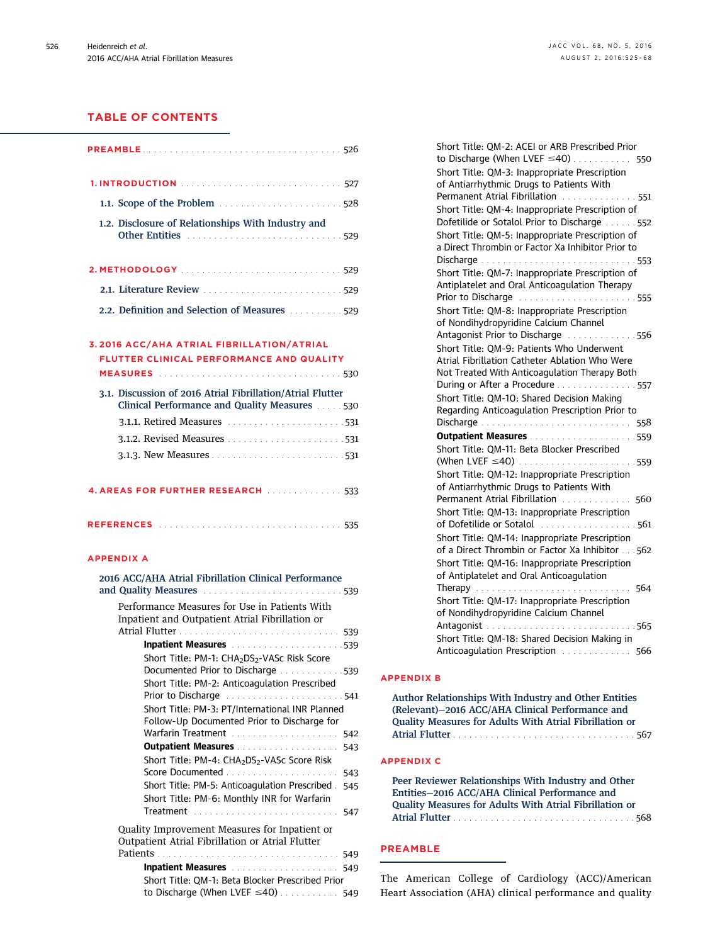# TABLE OF CONTENTS

| 1.2. Disclosure of Relationships With Industry and                                                                                                                                                                                      |
|-----------------------------------------------------------------------------------------------------------------------------------------------------------------------------------------------------------------------------------------|
|                                                                                                                                                                                                                                         |
|                                                                                                                                                                                                                                         |
| 2.2. Definition and Selection of Measures 529                                                                                                                                                                                           |
| 3.2016 ACC/AHA ATRIAL FIBRILLATION/ATRIAL<br><b>FLUTTER CLINICAL PERFORMANCE AND QUALITY</b>                                                                                                                                            |
| 3.1. Discussion of 2016 Atrial Fibrillation/Atrial Flutter<br>Clinical Performance and Quality Measures 2006. 1990                                                                                                                      |
|                                                                                                                                                                                                                                         |
|                                                                                                                                                                                                                                         |
|                                                                                                                                                                                                                                         |
| 4. AREAS FOR FURTHER RESEARCH  533                                                                                                                                                                                                      |
|                                                                                                                                                                                                                                         |
| <b>APPENDIX A</b>                                                                                                                                                                                                                       |
| 2016 ACC/AHA Atrial Fibrillation Clinical Performance<br>and Quality Measures <b>contained a contained a contained</b> and Cuality Measures and Cuality of the Cuality of the S                                                         |
| Performance Measures for Use in Patients With<br>Inpatient and Outpatient Atrial Fibrillation or                                                                                                                                        |
| <b>Inpatient Measures <i>Communication no. 1999</i></b>                                                                                                                                                                                 |
| Short Title: PM-1: CHA <sub>2</sub> DS <sub>2</sub> -VASc Risk Score<br>Documented Prior to Discharge 539<br>Short Title: PM-2: Anticoagulation Prescribed<br>Prior to Discharge 541<br>Short Title: PM-3: PT/International INR Planned |
| Follow-Up Documented Prior to Discharge for                                                                                                                                                                                             |

Warfarin Treatment .................... 542 Outpatient Measures ............................. 543 Short Title: PM-4: CHA<sub>2</sub>DS<sub>2</sub>-VASc Score Risk Score Documented ..................... 543 Short Title: PM-5: Anticoagulation Prescribed . 545 Short Title: PM-6: Monthly INR for Warfarin Treatment ........................... 547

Quality Improvement Measures for Inpatient or Outpatient Atrial Fibrillation or Atrial Flutter Patients .................................. 549

| Short Title: OM-2: ACEI or ARB Prescribed Prior<br>to Discharge (When LVEF ≤40) 550        |  |
|--------------------------------------------------------------------------------------------|--|
| Short Title: QM-3: Inappropriate Prescription                                              |  |
| of Antiarrhythmic Drugs to Patients With<br>Permanent Atrial Fibrillation 551              |  |
| Short Title: QM-4: Inappropriate Prescription of                                           |  |
| Dofetilide or Sotalol Prior to Discharge 552                                               |  |
| Short Title: QM-5: Inappropriate Prescription of                                           |  |
| a Direct Thrombin or Factor Xa Inhibitor Prior to                                          |  |
|                                                                                            |  |
| Short Title: QM-7: Inappropriate Prescription of                                           |  |
| Antiplatelet and Oral Anticoagulation Therapy                                              |  |
| Prior to Discharge 555                                                                     |  |
| Short Title: QM-8: Inappropriate Prescription                                              |  |
| of Nondihydropyridine Calcium Channel                                                      |  |
| Antagonist Prior to Discharge 556                                                          |  |
| Short Title: OM-9: Patients Who Underwent                                                  |  |
| Atrial Fibrillation Catheter Ablation Who Were                                             |  |
| Not Treated With Anticoagulation Therapy Both                                              |  |
| During or After a Procedure 557                                                            |  |
| Short Title: QM-10: Shared Decision Making                                                 |  |
| Regarding Anticoagulation Prescription Prior to                                            |  |
|                                                                                            |  |
|                                                                                            |  |
| Short Title: QM-11: Beta Blocker Prescribed                                                |  |
| (When LVEF $\leq 40$ ) 559                                                                 |  |
| Short Title: QM-12: Inappropriate Prescription<br>of Antiarrhythmic Drugs to Patients With |  |
| Permanent Atrial Fibrillation  560                                                         |  |
| Short Title: QM-13: Inappropriate Prescription                                             |  |
| of Dofetilide or Sotalol 561                                                               |  |
| Short Title: QM-14: Inappropriate Prescription                                             |  |
| of a Direct Thrombin or Factor Xa Inhibitor 562                                            |  |
| Short Title: QM-16: Inappropriate Prescription                                             |  |
| of Antiplatelet and Oral Anticoagulation                                                   |  |
| Therapy  564                                                                               |  |
| Short Title: QM-17: Inappropriate Prescription                                             |  |
| of Nondihydropyridine Calcium Channel                                                      |  |
|                                                                                            |  |
| Short Title: QM-18: Shared Decision Making in                                              |  |

# APPENDIX B

| Author Relationships With Industry and Other Entities          |  |  |  |  |
|----------------------------------------------------------------|--|--|--|--|
| (Relevant)-2016 ACC/AHA Clinical Performance and               |  |  |  |  |
| <b>Quality Measures for Adults With Atrial Fibrillation or</b> |  |  |  |  |
|                                                                |  |  |  |  |

Anticoagulation Prescription ............. 566

# APPENDIX C

| Peer Reviewer Relationships With Industry and Other            |
|----------------------------------------------------------------|
| Entities-2016 ACC/AHA Clinical Performance and                 |
| <b>Quality Measures for Adults With Atrial Fibrillation or</b> |
|                                                                |

# PREAMBLE

| <b>Inpatient Measures <i>Constitution CAS</i></b> |  |  |                                                          |
|---------------------------------------------------|--|--|----------------------------------------------------------|
| Short Title: OM-1: Beta Blocker Prescribed Prior  |  |  | The American College of Cardiology (ACC)/American        |
| to Discharge (When LVEF $\leq$ 40) 549            |  |  | Heart Association (AHA) clinical performance and quality |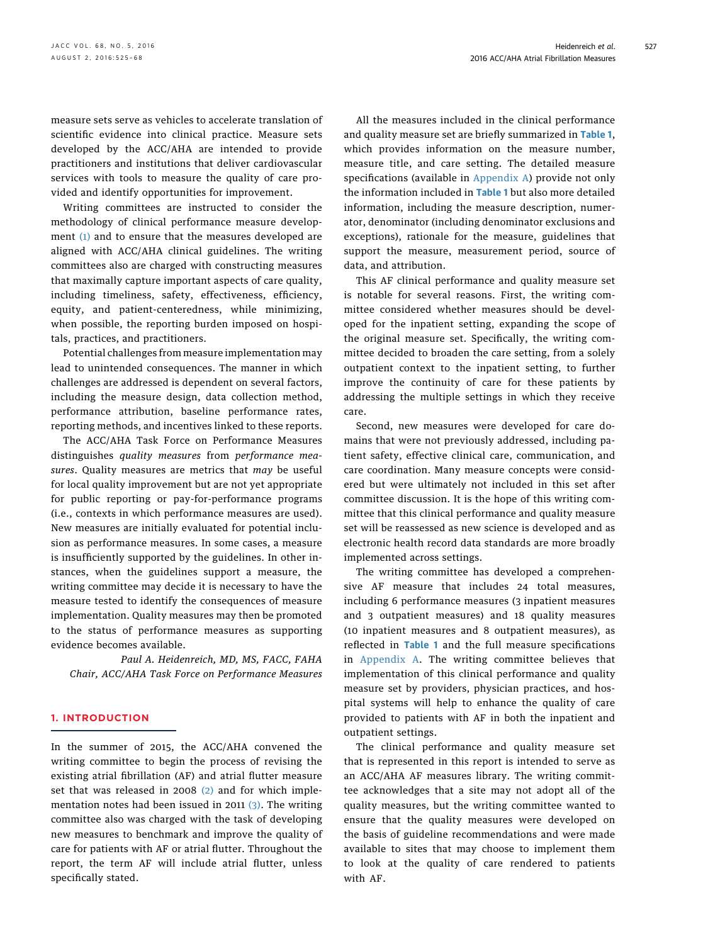measure sets serve as vehicles to accelerate translation of scientific evidence into clinical practice. Measure sets developed by the ACC/AHA are intended to provide practitioners and institutions that deliver cardiovascular services with tools to measure the quality of care provided and identify opportunities for improvement.

Writing committees are instructed to consider the methodology of clinical performance measure develop-ment [\(1\)](#page-10-0) and to ensure that the measures developed are aligned with ACC/AHA clinical guidelines. The writing committees also are charged with constructing measures that maximally capture important aspects of care quality, including timeliness, safety, effectiveness, efficiency, equity, and patient-centeredness, while minimizing, when possible, the reporting burden imposed on hospitals, practices, and practitioners.

Potential challenges from measure implementation may lead to unintended consequences. The manner in which challenges are addressed is dependent on several factors, including the measure design, data collection method, performance attribution, baseline performance rates, reporting methods, and incentives linked to these reports.

The ACC/AHA Task Force on Performance Measures distinguishes quality measures from performance measures. Quality measures are metrics that may be useful for local quality improvement but are not yet appropriate for public reporting or pay-for-performance programs (i.e., contexts in which performance measures are used). New measures are initially evaluated for potential inclusion as performance measures. In some cases, a measure is insufficiently supported by the guidelines. In other instances, when the guidelines support a measure, the writing committee may decide it is necessary to have the measure tested to identify the consequences of measure implementation. Quality measures may then be promoted to the status of performance measures as supporting evidence becomes available.

Paul A. Heidenreich, MD, MS, FACC, FAHA Chair, ACC/AHA Task Force on Performance Measures

# 1. INTRODUCTION

In the summer of 2015, the ACC/AHA convened the writing committee to begin the process of revising the existing atrial fibrillation (AF) and atrial flutter measure set that was released in 2008 [\(2\)](#page-10-0) and for which implementation notes had been issued in 2011 [\(3\).](#page-10-0) The writing committee also was charged with the task of developing new measures to benchmark and improve the quality of care for patients with AF or atrial flutter. Throughout the report, the term AF will include atrial flutter, unless specifically stated.

All the measures included in the clinical performance and quality measure set are briefly summarized in [Table 1](#page-3-0), which provides information on the measure number, measure title, and care setting. The detailed measure specifications (available in [Appendix A\)](#page-14-0) provide not only the information included in [Table 1](#page-3-0) but also more detailed information, including the measure description, numerator, denominator (including denominator exclusions and exceptions), rationale for the measure, guidelines that support the measure, measurement period, source of data, and attribution.

This AF clinical performance and quality measure set is notable for several reasons. First, the writing committee considered whether measures should be developed for the inpatient setting, expanding the scope of the original measure set. Specifically, the writing committee decided to broaden the care setting, from a solely outpatient context to the inpatient setting, to further improve the continuity of care for these patients by addressing the multiple settings in which they receive care.

Second, new measures were developed for care domains that were not previously addressed, including patient safety, effective clinical care, communication, and care coordination. Many measure concepts were considered but were ultimately not included in this set after committee discussion. It is the hope of this writing committee that this clinical performance and quality measure set will be reassessed as new science is developed and as electronic health record data standards are more broadly implemented across settings.

The writing committee has developed a comprehensive AF measure that includes 24 total measures, including 6 performance measures (3 inpatient measures and 3 outpatient measures) and 18 quality measures (10 inpatient measures and 8 outpatient measures), as reflected in [Table 1](#page-3-0) and the full measure specifications in [Appendix A.](#page-14-0) The writing committee believes that implementation of this clinical performance and quality measure set by providers, physician practices, and hospital systems will help to enhance the quality of care provided to patients with AF in both the inpatient and outpatient settings.

The clinical performance and quality measure set that is represented in this report is intended to serve as an ACC/AHA AF measures library. The writing committee acknowledges that a site may not adopt all of the quality measures, but the writing committee wanted to ensure that the quality measures were developed on the basis of guideline recommendations and were made available to sites that may choose to implement them to look at the quality of care rendered to patients with AF.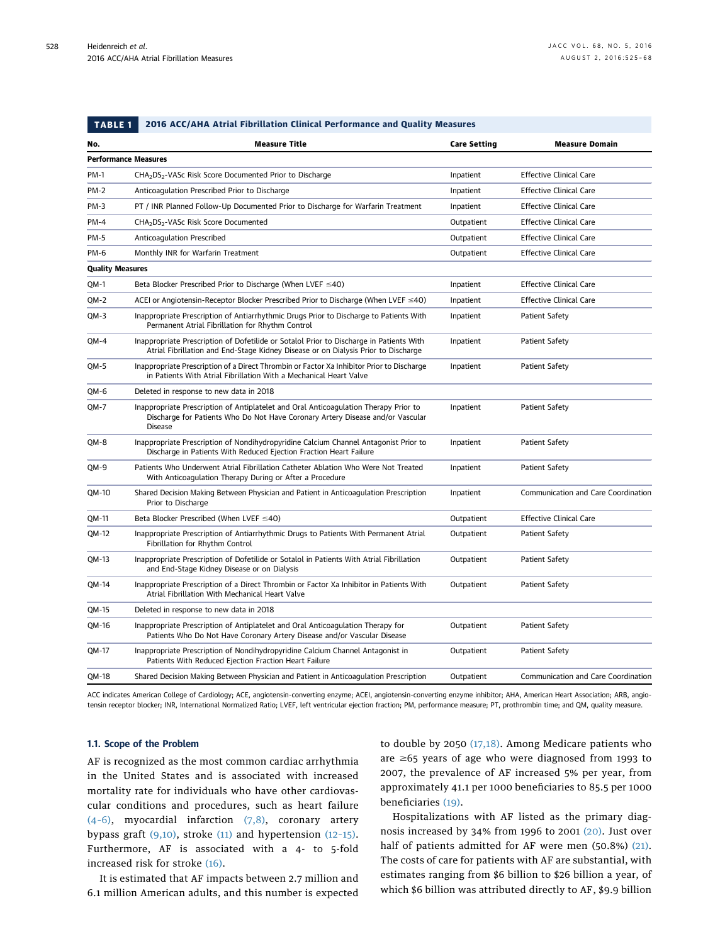| No.                     | <b>Measure Title</b>                                                                                                                                                                     | <b>Care Setting</b> | <b>Measure Domain</b>               |
|-------------------------|------------------------------------------------------------------------------------------------------------------------------------------------------------------------------------------|---------------------|-------------------------------------|
|                         | <b>Performance Measures</b>                                                                                                                                                              |                     |                                     |
| PM-1                    | CHA <sub>2</sub> DS <sub>2</sub> -VASc Risk Score Documented Prior to Discharge                                                                                                          | Inpatient           | <b>Effective Clinical Care</b>      |
| PM-2                    | Anticoagulation Prescribed Prior to Discharge                                                                                                                                            | Inpatient           | <b>Effective Clinical Care</b>      |
| PM-3                    | PT / INR Planned Follow-Up Documented Prior to Discharge for Warfarin Treatment                                                                                                          | Inpatient           | <b>Effective Clinical Care</b>      |
| <b>PM-4</b>             | CHA <sub>2</sub> DS <sub>2</sub> -VASc Risk Score Documented                                                                                                                             | Outpatient          | <b>Effective Clinical Care</b>      |
| <b>PM-5</b>             | Anticoagulation Prescribed                                                                                                                                                               | Outpatient          | <b>Effective Clinical Care</b>      |
| <b>PM-6</b>             | Monthly INR for Warfarin Treatment                                                                                                                                                       | Outpatient          | <b>Effective Clinical Care</b>      |
| <b>Quality Measures</b> |                                                                                                                                                                                          |                     |                                     |
| QM-1                    | Beta Blocker Prescribed Prior to Discharge (When LVEF ≤40)                                                                                                                               | Inpatient           | <b>Effective Clinical Care</b>      |
| QM-2                    | ACEI or Angiotensin-Receptor Blocker Prescribed Prior to Discharge (When LVEF ≤40)                                                                                                       | Inpatient           | <b>Effective Clinical Care</b>      |
| QM-3                    | Inappropriate Prescription of Antiarrhythmic Drugs Prior to Discharge to Patients With<br>Permanent Atrial Fibrillation for Rhythm Control                                               | Inpatient           | Patient Safety                      |
| $QM-4$                  | Inappropriate Prescription of Dofetilide or Sotalol Prior to Discharge in Patients With<br>Atrial Fibrillation and End-Stage Kidney Disease or on Dialysis Prior to Discharge            | Inpatient           | Patient Safety                      |
| QM-5                    | Inappropriate Prescription of a Direct Thrombin or Factor Xa Inhibitor Prior to Discharge<br>in Patients With Atrial Fibrillation With a Mechanical Heart Valve                          | Inpatient           | Patient Safety                      |
| QM-6                    | Deleted in response to new data in 2018                                                                                                                                                  |                     |                                     |
| QM-7                    | Inappropriate Prescription of Antiplatelet and Oral Anticoagulation Therapy Prior to<br>Discharge for Patients Who Do Not Have Coronary Artery Disease and/or Vascular<br><b>Disease</b> | Inpatient           | Patient Safety                      |
| QM-8                    | Inappropriate Prescription of Nondihydropyridine Calcium Channel Antagonist Prior to<br>Discharge in Patients With Reduced Ejection Fraction Heart Failure                               | Inpatient           | Patient Safety                      |
| QM-9                    | Patients Who Underwent Atrial Fibrillation Catheter Ablation Who Were Not Treated<br>With Anticoagulation Therapy During or After a Procedure                                            | Inpatient           | Patient Safety                      |
| QM-10                   | Shared Decision Making Between Physician and Patient in Anticoagulation Prescription<br>Prior to Discharge                                                                               | Inpatient           | Communication and Care Coordination |
| QM-11                   | Beta Blocker Prescribed (When LVEF ≤40)                                                                                                                                                  | Outpatient          | <b>Effective Clinical Care</b>      |
| QM-12                   | Inappropriate Prescription of Antiarrhythmic Drugs to Patients With Permanent Atrial<br>Fibrillation for Rhythm Control                                                                  | Outpatient          | Patient Safety                      |
| QM-13                   | Inappropriate Prescription of Dofetilide or Sotalol in Patients With Atrial Fibrillation<br>and End-Stage Kidney Disease or on Dialysis                                                  | Outpatient          | Patient Safety                      |
| QM-14                   | Inappropriate Prescription of a Direct Thrombin or Factor Xa Inhibitor in Patients With<br>Atrial Fibrillation With Mechanical Heart Valve                                               | Outpatient          | Patient Safety                      |
| QM-15                   | Deleted in response to new data in 2018                                                                                                                                                  |                     |                                     |
| QM-16                   | Inappropriate Prescription of Antiplatelet and Oral Anticoagulation Therapy for<br>Patients Who Do Not Have Coronary Artery Disease and/or Vascular Disease                              | Outpatient          | Patient Safety                      |
| QM-17                   | Inappropriate Prescription of Nondihydropyridine Calcium Channel Antagonist in<br>Patients With Reduced Ejection Fraction Heart Failure                                                  | Outpatient          | Patient Safety                      |
| OM-18                   | Shared Decision Making Between Physician and Patient in Anticoagulation Prescription                                                                                                     | Outpatient          | Communication and Care Coordination |

# <span id="page-3-0"></span>TABLE 1 2016 ACC/AHA Atrial Fibrillation Clinical Performance and Quality Measures

ACC indicates American College of Cardiology; ACE, angiotensin-converting enzyme; ACEI, angiotensin-converting enzyme inhibitor; AHA, American Heart Association; ARB, angiotensin receptor blocker; INR, International Normalized Ratio; LVEF, left ventricular ejection fraction; PM, performance measure; PT, prothrombin time; and QM, quality measure.

# 1.1. Scope of the Problem

AF is recognized as the most common cardiac arrhythmia in the United States and is associated with increased mortality rate for individuals who have other cardiovascular conditions and procedures, such as heart failure (4–[6\)](#page-10-0), myocardial infarction [\(7,8\)](#page-10-0), coronary artery bypass graft  $(9,10)$ , stroke  $(11)$  and hypertension  $(12-15)$ . Furthermore, AF is associated with a 4- to 5-fold increased risk for stroke [\(16\)](#page-10-0).

It is estimated that AF impacts between 2.7 million and 6.1 million American adults, and this number is expected

to double by 2050 [\(17,18\).](#page-10-0) Among Medicare patients who are  $\geq$ 65 years of age who were diagnosed from 1993 to 2007, the prevalence of AF increased 5% per year, from approximately 41.1 per 1000 beneficiaries to 85.5 per 1000 beneficiaries [\(19\)](#page-10-0).

Hospitalizations with AF listed as the primary diagnosis increased by 34% from 1996 to 2001 [\(20\).](#page-10-0) Just over half of patients admitted for AF were men (50.8%) [\(21\).](#page-10-0) The costs of care for patients with AF are substantial, with estimates ranging from \$6 billion to \$26 billion a year, of which \$6 billion was attributed directly to AF, \$9.9 billion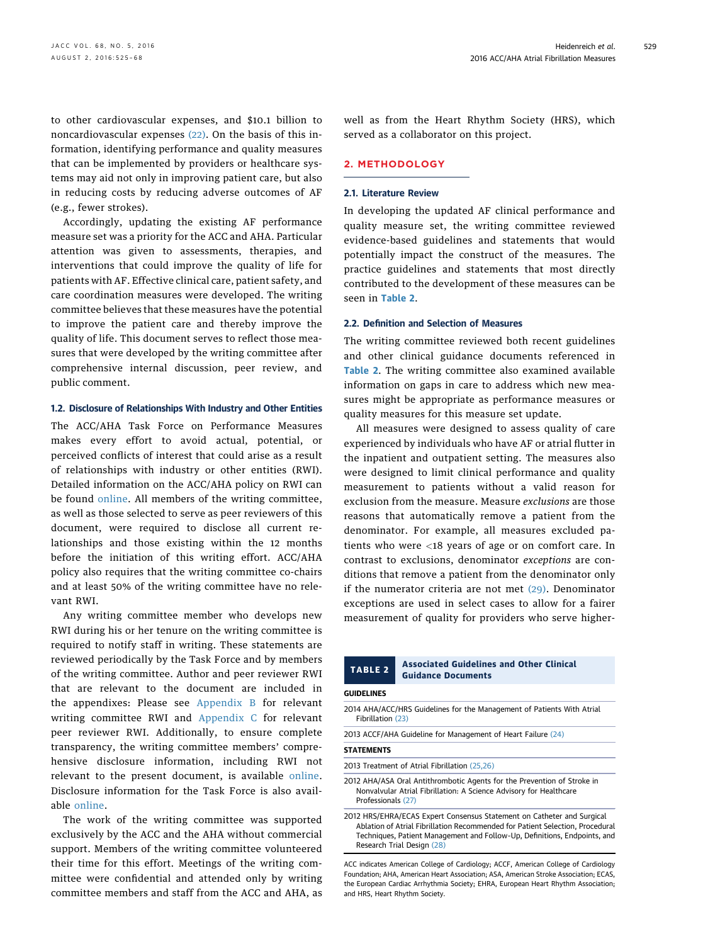to other cardiovascular expenses, and \$10.1 billion to noncardiovascular expenses [\(22\).](#page-10-0) On the basis of this information, identifying performance and quality measures that can be implemented by providers or healthcare systems may aid not only in improving patient care, but also in reducing costs by reducing adverse outcomes of AF (e.g., fewer strokes).

Accordingly, updating the existing AF performance measure set was a priority for the ACC and AHA. Particular attention was given to assessments, therapies, and interventions that could improve the quality of life for patients with AF. Effective clinical care, patient safety, and care coordination measures were developed. The writing committee believes that these measures have the potential to improve the patient care and thereby improve the quality of life. This document serves to reflect those measures that were developed by the writing committee after comprehensive internal discussion, peer review, and public comment.

# 1.2. Disclosure of Relationships With Industry and Other Entities

The ACC/AHA Task Force on Performance Measures makes every effort to avoid actual, potential, or perceived conflicts of interest that could arise as a result of relationships with industry or other entities (RWI). Detailed information on the ACC/AHA policy on RWI can be found [online.](http://www.acc.org/guidelines/about-guidelines-and-clinical-documents/relationships-with-industry-policy) All members of the writing committee, as well as those selected to serve as peer reviewers of this document, were required to disclose all current relationships and those existing within the 12 months before the initiation of this writing effort. ACC/AHA policy also requires that the writing committee co-chairs and at least 50% of the writing committee have no relevant RWI.

Any writing committee member who develops new RWI during his or her tenure on the writing committee is required to notify staff in writing. These statements are reviewed periodically by the Task Force and by members of the writing committee. Author and peer reviewer RWI that are relevant to the document are included in the appendixes: Please see Appendix B for relevant writing committee RWI and Appendix C for relevant peer reviewer RWI. Additionally, to ensure complete transparency, the writing committee members' comprehensive disclosure information, including RWI not relevant to the present document, is available [online.](http://jaccjacc.acc.org/Clinical_Document/ComprehesiveRWI_AfibMeasureSet_3_4_16.docx) Disclosure information for the Task Force is also available [online.](http://www.acc.org/guidelines/about-guidelines-and-clinical-documents/guidelines-and-documents-task-forces)

The work of the writing committee was supported exclusively by the ACC and the AHA without commercial support. Members of the writing committee volunteered their time for this effort. Meetings of the writing committee were confidential and attended only by writing committee members and staff from the ACC and AHA, as

well as from the Heart Rhythm Society (HRS), which served as a collaborator on this project.

### 2. METHODOLOGY

### 2.1. Literature Review

In developing the updated AF clinical performance and quality measure set, the writing committee reviewed evidence-based guidelines and statements that would potentially impact the construct of the measures. The practice guidelines and statements that most directly contributed to the development of these measures can be seen in Table 2.

### 2.2. Definition and Selection of Measures

The writing committee reviewed both recent guidelines and other clinical guidance documents referenced in Table 2. The writing committee also examined available information on gaps in care to address which new measures might be appropriate as performance measures or quality measures for this measure set update.

All measures were designed to assess quality of care experienced by individuals who have AF or atrial flutter in the inpatient and outpatient setting. The measures also were designed to limit clinical performance and quality measurement to patients without a valid reason for exclusion from the measure. Measure exclusions are those reasons that automatically remove a patient from the denominator. For example, all measures excluded patients who were <18 years of age or on comfort care. In contrast to exclusions, denominator exceptions are conditions that remove a patient from the denominator only if the numerator criteria are not met [\(29\).](#page-11-0) Denominator exceptions are used in select cases to allow for a fairer measurement of quality for providers who serve higher-

| <b>TABLE 2</b>     | <b>Associated Guidelines and Other Clinical</b><br><b>Guidance Documents</b>                                                                                                                                                         |
|--------------------|--------------------------------------------------------------------------------------------------------------------------------------------------------------------------------------------------------------------------------------|
| <b>GUIDELINES</b>  |                                                                                                                                                                                                                                      |
| Fibrillation (23)  | 2014 AHA/ACC/HRS Guidelines for the Management of Patients With Atrial                                                                                                                                                               |
|                    | 2013 ACCF/AHA Guideline for Management of Heart Failure (24)                                                                                                                                                                         |
| <b>STATEMENTS</b>  |                                                                                                                                                                                                                                      |
|                    | 2013 Treatment of Atrial Fibrillation (25,26)                                                                                                                                                                                        |
| Professionals (27) | 2012 AHA/ASA Oral Antithrombotic Agents for the Prevention of Stroke in<br>Nonvalvular Atrial Fibrillation: A Science Advisory for Healthcare                                                                                        |
|                    | 2012 HRS/EHRA/ECAS Expert Consensus Statement on Catheter and Surgical<br>Ablation of Atrial Fibrillation Recommended for Patient Selection, Procedural<br>Techniques, Patient Management and Follow-Up, Definitions, Endpoints, and |

ACC indicates American College of Cardiology; ACCF, American College of Cardiology Foundation; AHA, American Heart Association; ASA, American Stroke Association; ECAS, the European Cardiac Arrhythmia Society; EHRA, European Heart Rhythm Association; and HRS, Heart Rhythm Society.

Research Trial Design [\(28\)](#page-11-0)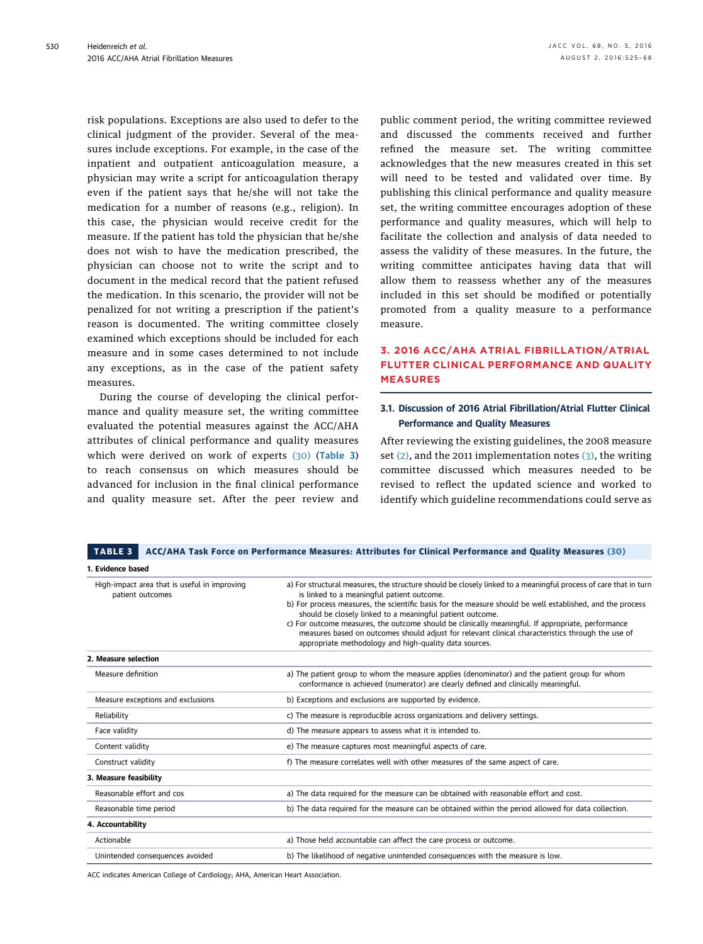<span id="page-5-0"></span>risk populations. Exceptions are also used to defer to the clinical judgment of the provider. Several of the measures include exceptions. For example, in the case of the inpatient and outpatient anticoagulation measure, a physician may write a script for anticoagulation therapy even if the patient says that he/she will not take the medication for a number of reasons (e.g., religion). In this case, the physician would receive credit for the measure. If the patient has told the physician that he/she does not wish to have the medication prescribed, the physician can choose not to write the script and to document in the medical record that the patient refused the medication. In this scenario, the provider will not be penalized for not writing a prescription if the patient's reason is documented. The writing committee closely examined which exceptions should be included for each measure and in some cases determined to not include any exceptions, as in the case of the patient safety measures.

During the course of developing the clinical performance and quality measure set, the writing committee evaluated the potential measures against the ACC/AHA attributes of clinical performance and quality measures which were derived on work of experts [\(30\)](#page-11-0) (Table 3) to reach consensus on which measures should be advanced for inclusion in the final clinical performance and quality measure set. After the peer review and public comment period, the writing committee reviewed and discussed the comments received and further refined the measure set. The writing committee acknowledges that the new measures created in this set will need to be tested and validated over time. By publishing this clinical performance and quality measure set, the writing committee encourages adoption of these performance and quality measures, which will help to facilitate the collection and analysis of data needed to assess the validity of these measures. In the future, the writing committee anticipates having data that will allow them to reassess whether any of the measures included in this set should be modified or potentially promoted from a quality measure to a performance measure.

# 3. 2016 ACC/AHA ATRIAL FIBRILLATION/ATRIAL FLUTTER CLINICAL PERFORMANCE AND QUALITY MEASURES

# 3.1. Discussion of 2016 Atrial Fibrillation/Atrial Flutter Clinical Performance and Quality Measures

After reviewing the existing guidelines, the 2008 measure set  $(2)$ , and the 2011 implementation notes  $(3)$ , the writing committee discussed which measures needed to be revised to reflect the updated science and worked to identify which guideline recommendations could serve as

### TABLE 3 ACC/AHA Task Force on Performance Measures: Attributes for Clinical Performance and Quality Measures [\(30\)](#page-11-0)

| 1. Evidence based                                                |                                                                                                                                                                                                                                                                                                                                                                                                                                                                                                                                                                                                             |
|------------------------------------------------------------------|-------------------------------------------------------------------------------------------------------------------------------------------------------------------------------------------------------------------------------------------------------------------------------------------------------------------------------------------------------------------------------------------------------------------------------------------------------------------------------------------------------------------------------------------------------------------------------------------------------------|
| High-impact area that is useful in improving<br>patient outcomes | a) For structural measures, the structure should be closely linked to a meaningful process of care that in turn<br>is linked to a meaningful patient outcome.<br>b) For process measures, the scientific basis for the measure should be well established, and the process<br>should be closely linked to a meaningful patient outcome.<br>c) For outcome measures, the outcome should be clinically meaningful. If appropriate, performance<br>measures based on outcomes should adjust for relevant clinical characteristics through the use of<br>appropriate methodology and high-quality data sources. |
| 2. Measure selection                                             |                                                                                                                                                                                                                                                                                                                                                                                                                                                                                                                                                                                                             |
| Measure definition                                               | a) The patient group to whom the measure applies (denominator) and the patient group for whom<br>conformance is achieved (numerator) are clearly defined and clinically meaningful.                                                                                                                                                                                                                                                                                                                                                                                                                         |
| Measure exceptions and exclusions                                | b) Exceptions and exclusions are supported by evidence.                                                                                                                                                                                                                                                                                                                                                                                                                                                                                                                                                     |
| Reliability                                                      | c) The measure is reproducible across organizations and delivery settings.                                                                                                                                                                                                                                                                                                                                                                                                                                                                                                                                  |
| Face validity                                                    | d) The measure appears to assess what it is intended to.                                                                                                                                                                                                                                                                                                                                                                                                                                                                                                                                                    |
| Content validity                                                 | e) The measure captures most meaningful aspects of care.                                                                                                                                                                                                                                                                                                                                                                                                                                                                                                                                                    |
| Construct validity                                               | f) The measure correlates well with other measures of the same aspect of care.                                                                                                                                                                                                                                                                                                                                                                                                                                                                                                                              |
| 3. Measure feasibility                                           |                                                                                                                                                                                                                                                                                                                                                                                                                                                                                                                                                                                                             |
| Reasonable effort and cos                                        | a) The data required for the measure can be obtained with reasonable effort and cost.                                                                                                                                                                                                                                                                                                                                                                                                                                                                                                                       |
| Reasonable time period                                           | b) The data required for the measure can be obtained within the period allowed for data collection.                                                                                                                                                                                                                                                                                                                                                                                                                                                                                                         |
| 4. Accountability                                                |                                                                                                                                                                                                                                                                                                                                                                                                                                                                                                                                                                                                             |
| Actionable                                                       | a) Those held accountable can affect the care process or outcome.                                                                                                                                                                                                                                                                                                                                                                                                                                                                                                                                           |
| Unintended consequences avoided                                  | b) The likelihood of negative unintended consequences with the measure is low.                                                                                                                                                                                                                                                                                                                                                                                                                                                                                                                              |

ACC indicates American College of Cardiology; AHA, American Heart Association.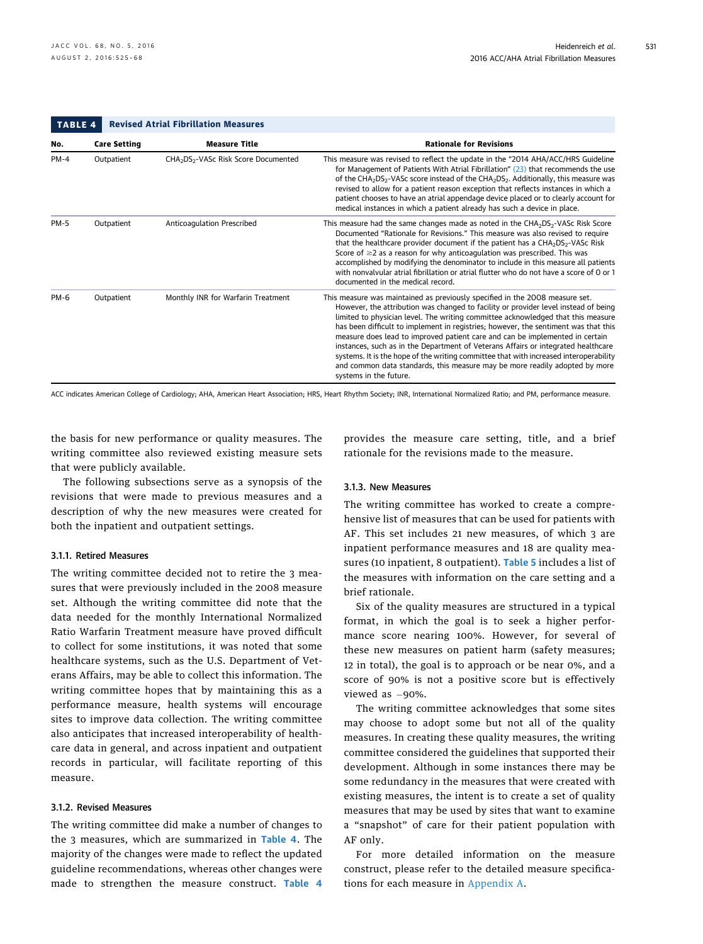| <b>TABLE 4</b> |                     | <b>Revised Atrial Fibrillation Measures</b>                  |                                                                                                                                                                                                                                                                                                                                                                                                                                                                                                                                                                                                                                                                                                                       |
|----------------|---------------------|--------------------------------------------------------------|-----------------------------------------------------------------------------------------------------------------------------------------------------------------------------------------------------------------------------------------------------------------------------------------------------------------------------------------------------------------------------------------------------------------------------------------------------------------------------------------------------------------------------------------------------------------------------------------------------------------------------------------------------------------------------------------------------------------------|
| No.            | <b>Care Setting</b> | <b>Measure Title</b>                                         | <b>Rationale for Revisions</b>                                                                                                                                                                                                                                                                                                                                                                                                                                                                                                                                                                                                                                                                                        |
| $PM-4$         | Outpatient          | CHA <sub>2</sub> DS <sub>2</sub> -VASc Risk Score Documented | This measure was revised to reflect the update in the "2014 AHA/ACC/HRS Guideline<br>for Management of Patients With Atrial Fibrillation" (23) that recommends the use<br>of the CHA <sub>2</sub> DS <sub>2</sub> -VASc score instead of the CHA <sub>2</sub> DS <sub>2</sub> . Additionally, this measure was<br>revised to allow for a patient reason exception that reflects instances in which a<br>patient chooses to have an atrial appendage device placed or to clearly account for<br>medical instances in which a patient already has such a device in place.                                                                                                                                               |
| <b>PM-5</b>    | Outpatient          | Anticoagulation Prescribed                                   | This measure had the same changes made as noted in the $CHA2DS2-VASC Risk Score$<br>Documented "Rationale for Revisions." This measure was also revised to require<br>that the healthcare provider document if the patient has a CHA <sub>2</sub> DS <sub>2</sub> -VASc Risk<br>Score of $\geq$ 2 as a reason for why anticoagulation was prescribed. This was<br>accomplished by modifying the denominator to include in this measure all patients<br>with nonvalvular atrial fibrillation or atrial flutter who do not have a score of 0 or 1<br>documented in the medical record.                                                                                                                                  |
| PM-6           | Outpatient          | Monthly INR for Warfarin Treatment                           | This measure was maintained as previously specified in the 2008 measure set.<br>However, the attribution was changed to facility or provider level instead of being<br>limited to physician level. The writing committee acknowledged that this measure<br>has been difficult to implement in registries; however, the sentiment was that this<br>measure does lead to improved patient care and can be implemented in certain<br>instances, such as in the Department of Veterans Affairs or integrated healthcare<br>systems. It is the hope of the writing committee that with increased interoperability<br>and common data standards, this measure may be more readily adopted by more<br>systems in the future. |

ACC indicates American College of Cardiology; AHA, American Heart Association; HRS, Heart Rhythm Society; INR, International Normalized Ratio; and PM, performance measure.

the basis for new performance or quality measures. The writing committee also reviewed existing measure sets that were publicly available.

The following subsections serve as a synopsis of the revisions that were made to previous measures and a description of why the new measures were created for both the inpatient and outpatient settings.

# 3.1.1. Retired Measures

The writing committee decided not to retire the 3 measures that were previously included in the 2008 measure set. Although the writing committee did note that the data needed for the monthly International Normalized Ratio Warfarin Treatment measure have proved difficult to collect for some institutions, it was noted that some healthcare systems, such as the U.S. Department of Veterans Affairs, may be able to collect this information. The writing committee hopes that by maintaining this as a performance measure, health systems will encourage sites to improve data collection. The writing committee also anticipates that increased interoperability of healthcare data in general, and across inpatient and outpatient records in particular, will facilitate reporting of this measure.

# 3.1.2. Revised Measures

The writing committee did make a number of changes to the 3 measures, which are summarized in Table 4. The majority of the changes were made to reflect the updated guideline recommendations, whereas other changes were made to strengthen the measure construct. Table 4 provides the measure care setting, title, and a brief rationale for the revisions made to the measure.

# 3.1.3. New Measures

The writing committee has worked to create a comprehensive list of measures that can be used for patients with AF. This set includes 21 new measures, of which 3 are inpatient performance measures and 18 are quality mea-sures (10 inpatient, 8 outpatient). [Table 5](#page-7-0) includes a list of the measures with information on the care setting and a brief rationale.

Six of the quality measures are structured in a typical format, in which the goal is to seek a higher performance score nearing 100%. However, for several of these new measures on patient harm (safety measures; 12 in total), the goal is to approach or be near 0%, and a score of 90% is not a positive score but is effectively viewed as -90%.

The writing committee acknowledges that some sites may choose to adopt some but not all of the quality measures. In creating these quality measures, the writing committee considered the guidelines that supported their development. Although in some instances there may be some redundancy in the measures that were created with existing measures, the intent is to create a set of quality measures that may be used by sites that want to examine a "snapshot" of care for their patient population with AF only.

For more detailed information on the measure construct, please refer to the detailed measure specifications for each measure in Appendix A.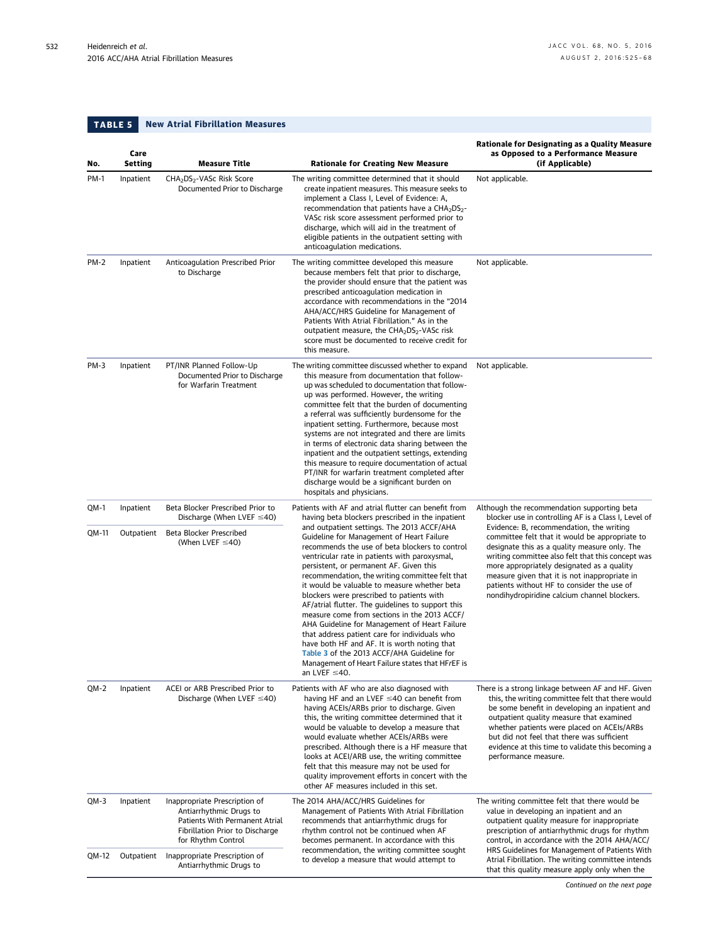# <span id="page-7-0"></span>TABLE 5 New Atrial Fibrillation Measures

| No.           | Care<br>Setting         | <b>Measure Title</b>                                                                                                                                | <b>Rationale for Creating New Measure</b>                                                                                                                                                                                                                                                                                                                                                                                                                                                                                                                                                                                                                                                                                                                                                                                                                                        | <b>Rationale for Designating as a Quality Measure</b><br>as Opposed to a Performance Measure<br>(if Applicable)                                                                                                                                                                                                                                                                                                                                                                                      |
|---------------|-------------------------|-----------------------------------------------------------------------------------------------------------------------------------------------------|----------------------------------------------------------------------------------------------------------------------------------------------------------------------------------------------------------------------------------------------------------------------------------------------------------------------------------------------------------------------------------------------------------------------------------------------------------------------------------------------------------------------------------------------------------------------------------------------------------------------------------------------------------------------------------------------------------------------------------------------------------------------------------------------------------------------------------------------------------------------------------|------------------------------------------------------------------------------------------------------------------------------------------------------------------------------------------------------------------------------------------------------------------------------------------------------------------------------------------------------------------------------------------------------------------------------------------------------------------------------------------------------|
| PM-1          | Inpatient               | CHA <sub>2</sub> DS <sub>2</sub> -VASc Risk Score<br>Documented Prior to Discharge                                                                  | The writing committee determined that it should<br>create inpatient measures. This measure seeks to<br>implement a Class I, Level of Evidence: A,<br>recommendation that patients have a CHA <sub>2</sub> DS <sub>2</sub> -<br>VASc risk score assessment performed prior to<br>discharge, which will aid in the treatment of<br>eligible patients in the outpatient setting with<br>anticoagulation medications.                                                                                                                                                                                                                                                                                                                                                                                                                                                                | Not applicable.                                                                                                                                                                                                                                                                                                                                                                                                                                                                                      |
| PM-2          | Inpatient               | Anticoagulation Prescribed Prior<br>to Discharge                                                                                                    | The writing committee developed this measure<br>because members felt that prior to discharge,<br>the provider should ensure that the patient was<br>prescribed anticoagulation medication in<br>accordance with recommendations in the "2014<br>AHA/ACC/HRS Guideline for Management of<br>Patients With Atrial Fibrillation." As in the<br>outpatient measure, the CHA <sub>2</sub> DS <sub>2</sub> -VASc risk<br>score must be documented to receive credit for<br>this measure.                                                                                                                                                                                                                                                                                                                                                                                               | Not applicable.                                                                                                                                                                                                                                                                                                                                                                                                                                                                                      |
| PM-3          | Inpatient               | PT/INR Planned Follow-Up<br>Documented Prior to Discharge<br>for Warfarin Treatment                                                                 | The writing committee discussed whether to expand<br>this measure from documentation that follow-<br>up was scheduled to documentation that follow-<br>up was performed. However, the writing<br>committee felt that the burden of documenting<br>a referral was sufficiently burdensome for the<br>inpatient setting. Furthermore, because most<br>systems are not integrated and there are limits<br>in terms of electronic data sharing between the<br>inpatient and the outpatient settings, extending<br>this measure to require documentation of actual<br>PT/INR for warfarin treatment completed after<br>discharge would be a significant burden on<br>hospitals and physicians.                                                                                                                                                                                        | Not applicable.                                                                                                                                                                                                                                                                                                                                                                                                                                                                                      |
| QM-1<br>QM-11 | Inpatient<br>Outpatient | Beta Blocker Prescribed Prior to<br>Discharge (When LVEF $\leq$ 40)<br>Beta Blocker Prescribed<br>(When LVEF $\leq 40$ )                            | Patients with AF and atrial flutter can benefit from<br>having beta blockers prescribed in the inpatient<br>and outpatient settings. The 2013 ACCF/AHA<br>Guideline for Management of Heart Failure<br>recommends the use of beta blockers to control<br>ventricular rate in patients with paroxysmal,<br>persistent, or permanent AF. Given this<br>recommendation, the writing committee felt that<br>it would be valuable to measure whether beta<br>blockers were prescribed to patients with<br>AF/atrial flutter. The guidelines to support this<br>measure come from sections in the 2013 ACCF/<br>AHA Guideline for Management of Heart Failure<br>that address patient care for individuals who<br>have both HF and AF. It is worth noting that<br>Table 3 of the 2013 ACCF/AHA Guideline for<br>Management of Heart Failure states that HFrEF is<br>an LVEF $\leq$ 40. | Although the recommendation supporting beta<br>blocker use in controlling AF is a Class I, Level of<br>Evidence: B, recommendation, the writing<br>committee felt that it would be appropriate to<br>designate this as a quality measure only. The<br>writing committee also felt that this concept was<br>more appropriately designated as a quality<br>measure given that it is not inappropriate in<br>patients without HF to consider the use of<br>nondihydropiridine calcium channel blockers. |
| QM-2          | Inpatient               | ACEI or ARB Prescribed Prior to<br>Discharge (When LVEF $\leq$ 40)                                                                                  | Patients with AF who are also diagnosed with<br>having HF and an LVEF ≤40 can benefit from<br>having ACEIs/ARBs prior to discharge. Given<br>this, the writing committee determined that it<br>would be valuable to develop a measure that<br>would evaluate whether ACEIs/ARBs were<br>prescribed. Although there is a HF measure that<br>looks at ACEI/ARB use, the writing committee<br>felt that this measure may not be used for<br>quality improvement efforts in concert with the<br>other AF measures included in this set.                                                                                                                                                                                                                                                                                                                                              | There is a strong linkage between AF and HF. Given<br>this, the writing committee felt that there would<br>be some benefit in developing an inpatient and<br>outpatient quality measure that examined<br>whether patients were placed on ACEIs/ARBs<br>but did not feel that there was sufficient<br>evidence at this time to validate this becoming a<br>performance measure.                                                                                                                       |
| QM-3          | Inpatient               | Inappropriate Prescription of<br>Antiarrhythmic Drugs to<br>Patients With Permanent Atrial<br>Fibrillation Prior to Discharge<br>for Rhythm Control | The 2014 AHA/ACC/HRS Guidelines for<br>Management of Patients With Atrial Fibrillation<br>recommends that antiarrhythmic drugs for<br>rhythm control not be continued when AF<br>becomes permanent. In accordance with this<br>recommendation, the writing committee sought                                                                                                                                                                                                                                                                                                                                                                                                                                                                                                                                                                                                      | The writing committee felt that there would be<br>value in developing an inpatient and an<br>outpatient quality measure for inappropriate<br>prescription of antiarrhythmic drugs for rhythm<br>control, in accordance with the 2014 AHA/ACC/<br>HRS Guidelines for Management of Patients With                                                                                                                                                                                                      |
| QM-12         | Outpatient              | Inappropriate Prescription of<br>Antiarrhythmic Drugs to                                                                                            | to develop a measure that would attempt to                                                                                                                                                                                                                                                                                                                                                                                                                                                                                                                                                                                                                                                                                                                                                                                                                                       | Atrial Fibrillation. The writing committee intends<br>that this quality measure apply only when the                                                                                                                                                                                                                                                                                                                                                                                                  |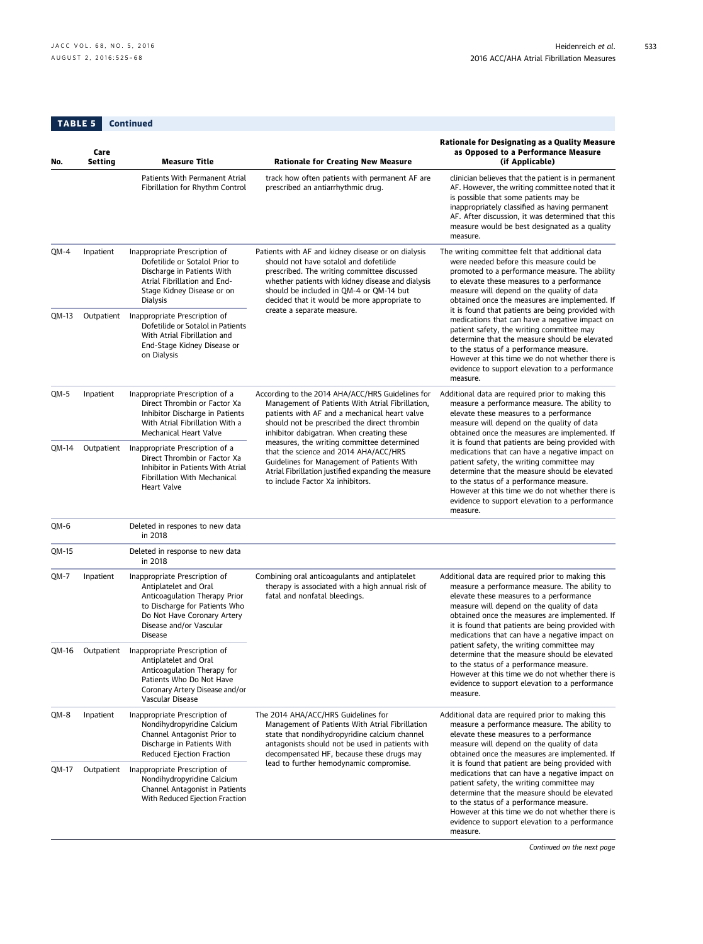TABLE 5 Continued

| No.    | Care<br><b>Setting</b> | <b>Measure Title</b>                                                                                                                                                                          | <b>Rationale for Creating New Measure</b>                                                                                                                                                                                                                                                   | Rationale for Designating as a Quality Measure<br>as Opposed to a Performance Measure<br>(if Applicable)                                                                                                                                                                                                                                                      |
|--------|------------------------|-----------------------------------------------------------------------------------------------------------------------------------------------------------------------------------------------|---------------------------------------------------------------------------------------------------------------------------------------------------------------------------------------------------------------------------------------------------------------------------------------------|---------------------------------------------------------------------------------------------------------------------------------------------------------------------------------------------------------------------------------------------------------------------------------------------------------------------------------------------------------------|
|        |                        | Patients With Permanent Atrial<br>Fibrillation for Rhythm Control                                                                                                                             | track how often patients with permanent AF are<br>prescribed an antiarrhythmic drug.                                                                                                                                                                                                        | clinician believes that the patient is in permanent<br>AF. However, the writing committee noted that it<br>is possible that some patients may be<br>inappropriately classified as having permanent<br>AF. After discussion, it was determined that this<br>measure would be best designated as a quality<br>measure.                                          |
| QM-4   | Inpatient              | Inappropriate Prescription of<br>Dofetilide or Sotalol Prior to<br>Discharge in Patients With<br>Atrial Fibrillation and End-<br>Stage Kidney Disease or on<br>Dialysis                       | Patients with AF and kidney disease or on dialysis<br>should not have sotalol and dofetilide<br>prescribed. The writing committee discussed<br>whether patients with kidney disease and dialysis<br>should be included in QM-4 or QM-14 but<br>decided that it would be more appropriate to | The writing committee felt that additional data<br>were needed before this measure could be<br>promoted to a performance measure. The ability<br>to elevate these measures to a performance<br>measure will depend on the quality of data<br>obtained once the measures are implemented. If                                                                   |
| QM-13  | Outpatient             | Inappropriate Prescription of<br>Dofetilide or Sotalol in Patients<br>With Atrial Fibrillation and<br>End-Stage Kidney Disease or<br>on Dialysis                                              | create a separate measure.                                                                                                                                                                                                                                                                  | it is found that patients are being provided with<br>medications that can have a negative impact on<br>patient safety, the writing committee may<br>determine that the measure should be elevated<br>to the status of a performance measure.<br>However at this time we do not whether there is<br>evidence to support elevation to a performance<br>measure. |
| QM-5   | Inpatient              | Inappropriate Prescription of a<br>Direct Thrombin or Factor Xa<br>Inhibitor Discharge in Patients<br>With Atrial Fibrillation With a<br>Mechanical Heart Valve                               | According to the 2014 AHA/ACC/HRS Guidelines for<br>Management of Patients With Atrial Fibrillation,<br>patients with AF and a mechanical heart valve<br>should not be prescribed the direct thrombin<br>inhibitor dabigatran. When creating these                                          | Additional data are required prior to making this<br>measure a performance measure. The ability to<br>elevate these measures to a performance<br>measure will depend on the quality of data<br>obtained once the measures are implemented. If                                                                                                                 |
| OM-14  | Outpatient             | Inappropriate Prescription of a<br>Direct Thrombin or Factor Xa<br>Inhibitor in Patients With Atrial<br>Fibrillation With Mechanical<br><b>Heart Valve</b>                                    | measures, the writing committee determined<br>that the science and 2014 AHA/ACC/HRS<br>Guidelines for Management of Patients With<br>Atrial Fibrillation justified expanding the measure<br>to include Factor Xa inhibitors.                                                                | it is found that patients are being provided with<br>medications that can have a negative impact on<br>patient safety, the writing committee may<br>determine that the measure should be elevated<br>to the status of a performance measure.<br>However at this time we do not whether there is<br>evidence to support elevation to a performance<br>measure. |
| QM-6   |                        | Deleted in respones to new data<br>in 2018                                                                                                                                                    |                                                                                                                                                                                                                                                                                             |                                                                                                                                                                                                                                                                                                                                                               |
| QM-15  |                        | Deleted in response to new data<br>in 2018                                                                                                                                                    |                                                                                                                                                                                                                                                                                             |                                                                                                                                                                                                                                                                                                                                                               |
| $QM-7$ | Inpatient              | Inappropriate Prescription of<br>Antiplatelet and Oral<br>Anticoagulation Therapy Prior<br>to Discharge for Patients Who<br>Do Not Have Coronary Artery<br>Disease and/or Vascular<br>Disease | Combining oral anticoagulants and antiplatelet<br>therapy is associated with a high annual risk of<br>fatal and nonfatal bleedings.                                                                                                                                                         | Additional data are required prior to making this<br>measure a performance measure. The ability to<br>elevate these measures to a performance<br>measure will depend on the quality of data<br>obtained once the measures are implemented. If<br>it is found that patients are being provided with<br>medications that can have a negative impact on          |
| QM-16  | Outpatient             | Inappropriate Prescription of<br>Antiplatelet and Oral<br>Anticoagulation Therapy for<br>Patients Who Do Not Have<br>Coronary Artery Disease and/or<br>Vascular Disease                       |                                                                                                                                                                                                                                                                                             | patient safety, the writing committee may<br>determine that the measure should be elevated<br>to the status of a performance measure.<br>However at this time we do not whether there is<br>evidence to support elevation to a performance<br>measure.                                                                                                        |
| QM-8   | Inpatient              | Inappropriate Prescription of<br>Nondihydropyridine Calcium<br>Channel Antagonist Prior to<br>Discharge in Patients With<br>Reduced Ejection Fraction                                         | The 2014 AHA/ACC/HRS Guidelines for<br>Management of Patients With Atrial Fibrillation<br>state that nondihydropyridine calcium channel<br>antagonists should not be used in patients with<br>decompensated HF, because these drugs may<br>lead to further hemodynamic compromise.          | Additional data are required prior to making this<br>measure a performance measure. The ability to<br>elevate these measures to a performance<br>measure will depend on the quality of data<br>obtained once the measures are implemented. If                                                                                                                 |
| QM-17  | Outpatient             | Inappropriate Prescription of<br>Nondihydropyridine Calcium<br>Channel Antagonist in Patients<br>With Reduced Ejection Fraction                                                               |                                                                                                                                                                                                                                                                                             | it is found that patient are being provided with<br>medications that can have a negative impact on<br>patient safety, the writing committee may<br>determine that the measure should be elevated<br>to the status of a performance measure.<br>However at this time we do not whether there is<br>evidence to support elevation to a performance<br>measure.  |

Continued on the next page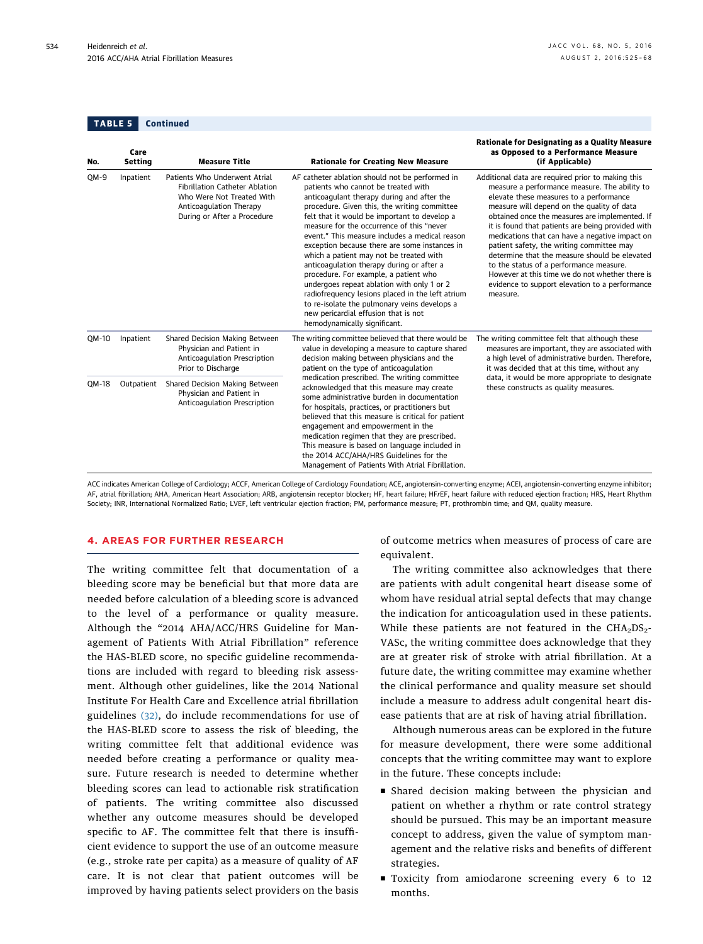TABLE 5 Continued

| No.          | Care<br><b>Setting</b> | <b>Measure Title</b>                                                                                                                                          | <b>Rationale for Creating New Measure</b>                                                                                                                                                                                                                                                                                                                                                                                                                                                                                                                                                                                                                                                                                                       | Rationale for Designating as a Quality Measure<br>as Opposed to a Performance Measure<br>(if Applicable)                                                                                                                                                                                                                                                                                                                                                                                                                                                                                                       |
|--------------|------------------------|---------------------------------------------------------------------------------------------------------------------------------------------------------------|-------------------------------------------------------------------------------------------------------------------------------------------------------------------------------------------------------------------------------------------------------------------------------------------------------------------------------------------------------------------------------------------------------------------------------------------------------------------------------------------------------------------------------------------------------------------------------------------------------------------------------------------------------------------------------------------------------------------------------------------------|----------------------------------------------------------------------------------------------------------------------------------------------------------------------------------------------------------------------------------------------------------------------------------------------------------------------------------------------------------------------------------------------------------------------------------------------------------------------------------------------------------------------------------------------------------------------------------------------------------------|
| $QM-9$       | Inpatient              | Patients Who Underwent Atrial<br><b>Fibrillation Catheter Ablation</b><br>Who Were Not Treated With<br>Anticoagulation Therapy<br>During or After a Procedure | AF catheter ablation should not be performed in<br>patients who cannot be treated with<br>anticoaqulant therapy during and after the<br>procedure. Given this, the writing committee<br>felt that it would be important to develop a<br>measure for the occurrence of this "never<br>event." This measure includes a medical reason<br>exception because there are some instances in<br>which a patient may not be treated with<br>anticoagulation therapy during or after a<br>procedure. For example, a patient who<br>undergoes repeat ablation with only 1 or 2<br>radiofrequency lesions placed in the left atrium<br>to re-isolate the pulmonary veins develops a<br>new pericardial effusion that is not<br>hemodynamically significant. | Additional data are required prior to making this<br>measure a performance measure. The ability to<br>elevate these measures to a performance<br>measure will depend on the quality of data<br>obtained once the measures are implemented. If<br>it is found that patients are being provided with<br>medications that can have a negative impact on<br>patient safety, the writing committee may<br>determine that the measure should be elevated<br>to the status of a performance measure.<br>However at this time we do not whether there is<br>evidence to support elevation to a performance<br>measure. |
| OM-10        | Inpatient              | Shared Decision Making Between<br>Physician and Patient in<br>Anticoagulation Prescription<br>Prior to Discharge                                              | The writing committee believed that there would be<br>value in developing a measure to capture shared<br>decision making between physicians and the<br>patient on the type of anticoagulation                                                                                                                                                                                                                                                                                                                                                                                                                                                                                                                                                   | The writing committee felt that although these<br>measures are important, they are associated with<br>a high level of administrative burden. Therefore,<br>it was decided that at this time, without any                                                                                                                                                                                                                                                                                                                                                                                                       |
| <b>OM-18</b> | Outpatient             | Shared Decision Making Between<br>Physician and Patient in<br>Anticoagulation Prescription                                                                    | medication prescribed. The writing committee<br>acknowledged that this measure may create<br>some administrative burden in documentation<br>for hospitals, practices, or practitioners but<br>believed that this measure is critical for patient<br>engagement and empowerment in the<br>medication regimen that they are prescribed.<br>This measure is based on language included in<br>the 2014 ACC/AHA/HRS Guidelines for the<br>Management of Patients With Atrial Fibrillation.                                                                                                                                                                                                                                                           | data, it would be more appropriate to designate<br>these constructs as quality measures.                                                                                                                                                                                                                                                                                                                                                                                                                                                                                                                       |

ACC indicates American College of Cardiology; ACCF, American College of Cardiology Foundation; ACE, angiotensin-converting enzyme; ACEI, angiotensin-converting enzyme inhibitor; AF, atrial fibrillation; AHA, American Heart Association; ARB, angiotensin receptor blocker; HF, heart failure; HFrEF, heart failure with reduced ejection fraction; HRS, Heart Rhythm Society; INR, International Normalized Ratio; LVEF, left ventricular ejection fraction; PM, performance measure; PT, prothrombin time; and QM, quality measure.

# 4. AREAS FOR FURTHER RESEARCH

The writing committee felt that documentation of a bleeding score may be beneficial but that more data are needed before calculation of a bleeding score is advanced to the level of a performance or quality measure. Although the "2014 AHA/ACC/HRS Guideline for Management of Patients With Atrial Fibrillation" reference the HAS-BLED score, no specific guideline recommendations are included with regard to bleeding risk assessment. Although other guidelines, like the 2014 National Institute For Health Care and Excellence atrial fibrillation guidelines [\(32\),](#page-11-0) do include recommendations for use of the HAS-BLED score to assess the risk of bleeding, the writing committee felt that additional evidence was needed before creating a performance or quality measure. Future research is needed to determine whether bleeding scores can lead to actionable risk stratification of patients. The writing committee also discussed whether any outcome measures should be developed specific to AF. The committee felt that there is insufficient evidence to support the use of an outcome measure (e.g., stroke rate per capita) as a measure of quality of AF care. It is not clear that patient outcomes will be improved by having patients select providers on the basis of outcome metrics when measures of process of care are equivalent.

The writing committee also acknowledges that there are patients with adult congenital heart disease some of whom have residual atrial septal defects that may change the indication for anticoagulation used in these patients. While these patients are not featured in the  $CHA<sub>2</sub>DS<sub>2</sub>$ -VASc, the writing committee does acknowledge that they are at greater risk of stroke with atrial fibrillation. At a future date, the writing committee may examine whether the clinical performance and quality measure set should include a measure to address adult congenital heart disease patients that are at risk of having atrial fibrillation.

Although numerous areas can be explored in the future for measure development, there were some additional concepts that the writing committee may want to explore in the future. These concepts include:

- <sup>n</sup> Shared decision making between the physician and patient on whether a rhythm or rate control strategy should be pursued. This may be an important measure concept to address, given the value of symptom management and the relative risks and benefits of different strategies.
- **n** Toxicity from amiodarone screening every 6 to 12 months.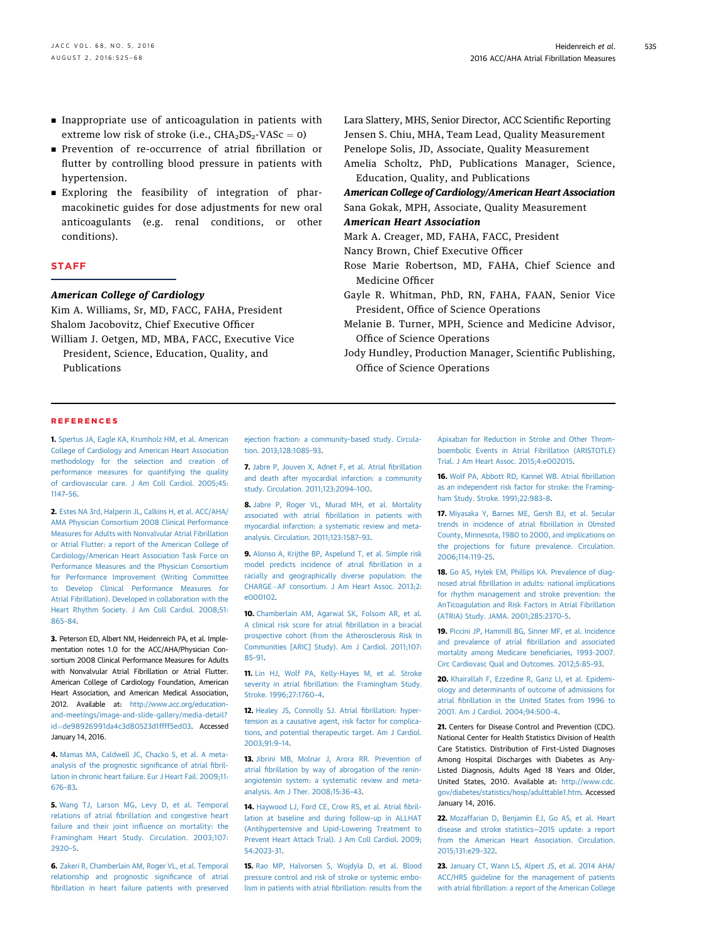- <span id="page-10-0"></span><sup>n</sup> Inappropriate use of anticoagulation in patients with extreme low risk of stroke (i.e.,  $CHA<sub>2</sub>DS<sub>2</sub>-VASC = 0$ )
- <sup>n</sup> Prevention of re-occurrence of atrial fibrillation or flutter by controlling blood pressure in patients with hypertension.
- <sup>n</sup> Exploring the feasibility of integration of pharmacokinetic guides for dose adjustments for new oral anticoagulants (e.g. renal conditions, or other conditions).

# STAFF

# American College of Cardiology

Kim A. Williams, Sr, MD, FACC, FAHA, President Shalom Jacobovitz, Chief Executive Officer William J. Oetgen, MD, MBA, FACC, Executive Vice

President, Science, Education, Quality, and Publications

Lara Slattery, MHS, Senior Director, ACC Scientific Reporting Jensen S. Chiu, MHA, Team Lead, Quality Measurement Penelope Solis, JD, Associate, Quality Measurement Amelia Scholtz, PhD, Publications Manager, Science,

Education, Quality, and Publications

American College of Cardiology/American Heart Association Sana Gokak, MPH, Associate, Quality Measurement

# American Heart Association

Mark A. Creager, MD, FAHA, FACC, President

Nancy Brown, Chief Executive Officer

- Rose Marie Robertson, MD, FAHA, Chief Science and Medicine Officer
- Gayle R. Whitman, PhD, RN, FAHA, FAAN, Senior Vice President, Office of Science Operations
- Melanie B. Turner, MPH, Science and Medicine Advisor, Office of Science Operations
- Jody Hundley, Production Manager, Scientific Publishing, Office of Science Operations

### REFERENCES

1. [Spertus JA, Eagle KA, Krumholz HM, et al. American](http://refhub.elsevier.com/S0735-1097(16)32400-7/sref1) [College of Cardiology and American Heart Association](http://refhub.elsevier.com/S0735-1097(16)32400-7/sref1) [methodology for the selection and creation of](http://refhub.elsevier.com/S0735-1097(16)32400-7/sref1) [performance measures for quantifying the quality](http://refhub.elsevier.com/S0735-1097(16)32400-7/sref1) [of cardiovascular care. J Am Coll Cardiol. 2005;45:](http://refhub.elsevier.com/S0735-1097(16)32400-7/sref1) [1147](http://refhub.elsevier.com/S0735-1097(16)32400-7/sref1)–56.

2. [Estes NA 3rd, Halperin JL, Calkins H, et al. ACC/AHA/](http://refhub.elsevier.com/S0735-1097(16)32400-7/sref2) [AMA Physician Consortium 2008 Clinical Performance](http://refhub.elsevier.com/S0735-1097(16)32400-7/sref2) [Measures for Adults with Nonvalvular Atrial Fibrillation](http://refhub.elsevier.com/S0735-1097(16)32400-7/sref2) [or Atrial Flutter: a report of the American College of](http://refhub.elsevier.com/S0735-1097(16)32400-7/sref2) [Cardiology/American Heart Association Task Force on](http://refhub.elsevier.com/S0735-1097(16)32400-7/sref2) [Performance Measures and the Physician Consortium](http://refhub.elsevier.com/S0735-1097(16)32400-7/sref2) [for Performance Improvement \(Writing Committee](http://refhub.elsevier.com/S0735-1097(16)32400-7/sref2) [to Develop Clinical Performance Measures for](http://refhub.elsevier.com/S0735-1097(16)32400-7/sref2) [Atrial Fibrillation\). Developed in collaboration with the](http://refhub.elsevier.com/S0735-1097(16)32400-7/sref2) [Heart Rhythm Society. J Am Coll Cardiol. 2008;51:](http://refhub.elsevier.com/S0735-1097(16)32400-7/sref2) [865](http://refhub.elsevier.com/S0735-1097(16)32400-7/sref2)–84.

3. Peterson ED, Albert NM, Heidenreich PA, et al. Implementation notes 1.0 for the ACC/AHA/Physician Consortium 2008 Clinical Performance Measures for Adults with Nonvalvular Atrial Fibrillation or Atrial Flutter. American College of Cardiology Foundation, American Heart Association, and American Medical Association, 2012. Available at: [http://www.acc.org/education](http://www.acc.org/education-and-meetings/image-and-slide-gallery/media-detail?id=de98926991da4c3d80523d1ffff5ed03)[and-meetings/image-and-slide-gallery/media-detail?](http://www.acc.org/education-and-meetings/image-and-slide-gallery/media-detail?id=de98926991da4c3d80523d1ffff5ed03) [id](http://www.acc.org/education-and-meetings/image-and-slide-gallery/media-detail?id=de98926991da4c3d80523d1ffff5ed03)=[de98926991da4c3d80523d1ffff5ed03.](http://www.acc.org/education-and-meetings/image-and-slide-gallery/media-detail?id=de98926991da4c3d80523d1ffff5ed03) Accessed January 14, 2016.

4. [Mamas MA, Caldwell JC, Chacko S, et al. A meta](http://refhub.elsevier.com/S0735-1097(16)32400-7/sref4)[analysis of the prognostic signi](http://refhub.elsevier.com/S0735-1097(16)32400-7/sref4)ficance of atrial fibril[lation in chronic heart failure. Eur J Heart Fail. 2009;11:](http://refhub.elsevier.com/S0735-1097(16)32400-7/sref4) [676](http://refhub.elsevier.com/S0735-1097(16)32400-7/sref4)–83.

5. [Wang TJ, Larson MG, Levy D, et al. Temporal](http://refhub.elsevier.com/S0735-1097(16)32400-7/sref5) relations of atrial fi[brillation and congestive heart](http://refhub.elsevier.com/S0735-1097(16)32400-7/sref5) [failure and their joint in](http://refhub.elsevier.com/S0735-1097(16)32400-7/sref5)fluence on mortality: the [Framingham Heart Study. Circulation. 2003;107:](http://refhub.elsevier.com/S0735-1097(16)32400-7/sref5) [2920](http://refhub.elsevier.com/S0735-1097(16)32400-7/sref5)–5.

6. [Zakeri R, Chamberlain AM, Roger VL, et al. Temporal](http://refhub.elsevier.com/S0735-1097(16)32400-7/sref6) [relationship and prognostic signi](http://refhub.elsevier.com/S0735-1097(16)32400-7/sref6)ficance of atrial fi[brillation in heart failure patients with preserved](http://refhub.elsevier.com/S0735-1097(16)32400-7/sref6)

[ejection fraction: a community-based study. Circula](http://refhub.elsevier.com/S0735-1097(16)32400-7/sref6)[tion. 2013;128:1085](http://refhub.elsevier.com/S0735-1097(16)32400-7/sref6)–93.

7. [Jabre P, Jouven X, Adnet F, et al. Atrial](http://refhub.elsevier.com/S0735-1097(16)32400-7/sref7) fibrillation [and death after myocardial infarction: a community](http://refhub.elsevier.com/S0735-1097(16)32400-7/sref7) [study. Circulation. 2011;123:2094](http://refhub.elsevier.com/S0735-1097(16)32400-7/sref7)–100.

8. [Jabre P, Roger VL, Murad MH, et al. Mortality](http://refhub.elsevier.com/S0735-1097(16)32400-7/sref8) associated with atrial fi[brillation in patients with](http://refhub.elsevier.com/S0735-1097(16)32400-7/sref8) [myocardial infarction: a systematic review and meta](http://refhub.elsevier.com/S0735-1097(16)32400-7/sref8)[analysis. Circulation. 2011;123:1587](http://refhub.elsevier.com/S0735-1097(16)32400-7/sref8)–93.

9. [Alonso A, Krijthe BP, Aspelund T, et al. Simple risk](http://refhub.elsevier.com/S0735-1097(16)32400-7/sref9) [model predicts incidence of atrial](http://refhub.elsevier.com/S0735-1097(16)32400-7/sref9) fibrillation in a [racially and geographically diverse population: the](http://refhub.elsevier.com/S0735-1097(16)32400-7/sref9) [CHARGE](http://refhub.elsevier.com/S0735-1097(16)32400-7/sref9)-[AF consortium. J Am Heart Assoc. 2013;2:](http://refhub.elsevier.com/S0735-1097(16)32400-7/sref9) [e000102](http://refhub.elsevier.com/S0735-1097(16)32400-7/sref9).

10. [Chamberlain AM, Agarwal SK, Folsom AR, et al.](http://refhub.elsevier.com/S0735-1097(16)32400-7/sref10) [A clinical risk score for atrial](http://refhub.elsevier.com/S0735-1097(16)32400-7/sref10) fibrillation in a biracial [prospective cohort \(from the Atherosclerosis Risk In](http://refhub.elsevier.com/S0735-1097(16)32400-7/sref10) [Communities \[ARIC\] Study\). Am J Cardiol. 2011;107:](http://refhub.elsevier.com/S0735-1097(16)32400-7/sref10) [85](http://refhub.elsevier.com/S0735-1097(16)32400-7/sref10)–91.

11. [Lin HJ, Wolf PA, Kelly-Hayes M, et al. Stroke](http://refhub.elsevier.com/S0735-1097(16)32400-7/sref11) severity in atrial fi[brillation: the Framingham Study.](http://refhub.elsevier.com/S0735-1097(16)32400-7/sref11) [Stroke. 1996;27:1760](http://refhub.elsevier.com/S0735-1097(16)32400-7/sref11)–4.

12. [Healey JS, Connolly SJ. Atrial](http://refhub.elsevier.com/S0735-1097(16)32400-7/sref12) fibrillation: hyper[tension as a causative agent, risk factor for complica](http://refhub.elsevier.com/S0735-1097(16)32400-7/sref12)[tions, and potential therapeutic target. Am J Cardiol.](http://refhub.elsevier.com/S0735-1097(16)32400-7/sref12) [2003;91:9](http://refhub.elsevier.com/S0735-1097(16)32400-7/sref12)–14.

13. [Jibrini MB, Molnar J, Arora RR. Prevention of](http://refhub.elsevier.com/S0735-1097(16)32400-7/sref13) atrial fi[brillation by way of abrogation of the renin](http://refhub.elsevier.com/S0735-1097(16)32400-7/sref13)[angiotensin system: a systematic review and meta](http://refhub.elsevier.com/S0735-1097(16)32400-7/sref13)[analysis. Am J Ther. 2008;15:36](http://refhub.elsevier.com/S0735-1097(16)32400-7/sref13)–43.

14. Haywood LL Ford CE, Crow RS, et al. Atrial fibril[lation at baseline and during follow-up in ALLHAT](http://refhub.elsevier.com/S0735-1097(16)32400-7/sref14) [\(Antihypertensive and Lipid-Lowering Treatment to](http://refhub.elsevier.com/S0735-1097(16)32400-7/sref14) [Prevent Heart Attack Trial\). J Am Coll Cardiol. 2009;](http://refhub.elsevier.com/S0735-1097(16)32400-7/sref14) [54:2023](http://refhub.elsevier.com/S0735-1097(16)32400-7/sref14)–31.

15. [Rao MP, Halvorsen S, Wojdyla D, et al. Blood](http://refhub.elsevier.com/S0735-1097(16)32400-7/sref15) [pressure control and risk of stroke or systemic embo](http://refhub.elsevier.com/S0735-1097(16)32400-7/sref15)lism in patients with atrial fi[brillation: results from the](http://refhub.elsevier.com/S0735-1097(16)32400-7/sref15)

[Apixaban for Reduction in Stroke and Other Throm](http://refhub.elsevier.com/S0735-1097(16)32400-7/sref15)[boembolic Events in Atrial Fibrillation \(ARISTOTLE\)](http://refhub.elsevier.com/S0735-1097(16)32400-7/sref15) [Trial. J Am Heart Assoc. 2015;4:e002015](http://refhub.elsevier.com/S0735-1097(16)32400-7/sref15).

16. [Wolf PA, Abbott RD, Kannel WB. Atrial](http://refhub.elsevier.com/S0735-1097(16)32400-7/sref16) fibrillation [as an independent risk factor for stroke: the Framing](http://refhub.elsevier.com/S0735-1097(16)32400-7/sref16)[ham Study. Stroke. 1991;22:983](http://refhub.elsevier.com/S0735-1097(16)32400-7/sref16)–8.

17. [Miyasaka Y, Barnes ME, Gersh BJ, et al. Secular](http://refhub.elsevier.com/S0735-1097(16)32400-7/sref17) [trends in incidence of atrial](http://refhub.elsevier.com/S0735-1097(16)32400-7/sref17) fibrillation in Olmsted [County, Minnesota, 1980 to 2000, and implications on](http://refhub.elsevier.com/S0735-1097(16)32400-7/sref17) [the projections for future prevalence. Circulation.](http://refhub.elsevier.com/S0735-1097(16)32400-7/sref17) [2006;114:119](http://refhub.elsevier.com/S0735-1097(16)32400-7/sref17)–25.

18. [Go AS, Hylek EM, Phillips KA. Prevalence of diag](http://refhub.elsevier.com/S0735-1097(16)32400-7/sref18)nosed atrial fi[brillation in adults: national implications](http://refhub.elsevier.com/S0735-1097(16)32400-7/sref18) [for rhythm management and stroke prevention: the](http://refhub.elsevier.com/S0735-1097(16)32400-7/sref18) [AnTicoagulation and Risk Factors in Atrial Fibrillation](http://refhub.elsevier.com/S0735-1097(16)32400-7/sref18) [\(ATRIA\) Study. JAMA. 2001;285:2370](http://refhub.elsevier.com/S0735-1097(16)32400-7/sref18)–5.

19. [Piccini JP, Hammill BG, Sinner MF, et al. Incidence](http://refhub.elsevier.com/S0735-1097(16)32400-7/sref19) [and prevalence of atrial](http://refhub.elsevier.com/S0735-1097(16)32400-7/sref19) fibrillation and associated [mortality among Medicare bene](http://refhub.elsevier.com/S0735-1097(16)32400-7/sref19)ficiaries, 1993-2007. [Circ Cardiovasc Qual and Outcomes. 2012;5:85](http://refhub.elsevier.com/S0735-1097(16)32400-7/sref19)–93.

20. [Khairallah F, Ezzedine R, Ganz LI, et al. Epidemi](http://refhub.elsevier.com/S0735-1097(16)32400-7/sref20)[ology and determinants of outcome of admissions for](http://refhub.elsevier.com/S0735-1097(16)32400-7/sref20) atrial fi[brillation in the United States from 1996 to](http://refhub.elsevier.com/S0735-1097(16)32400-7/sref20) [2001. Am J Cardiol. 2004;94:500](http://refhub.elsevier.com/S0735-1097(16)32400-7/sref20)–4.

21. Centers for Disease Control and Prevention (CDC). National Center for Health Statistics Division of Health Care Statistics. Distribution of First-Listed Diagnoses Among Hospital Discharges with Diabetes as Any-Listed Diagnosis, Adults Aged 18 Years and Older, United States, 2010. Available at: [http://www.cdc.](http://www.cdc.gov/diabetes/statistics/hosp/adulttable1.htm) [gov/diabetes/statistics/hosp/adulttable1.htm](http://www.cdc.gov/diabetes/statistics/hosp/adulttable1.htm). Accessed January 14, 2016.

22. Mozaffarian D. Benjamin EJ. Go AS, et al. Heart [disease and stroke statistics](http://refhub.elsevier.com/S0735-1097(16)32400-7/sref22)—2015 update: a report [from the American Heart Association. Circulation.](http://refhub.elsevier.com/S0735-1097(16)32400-7/sref22) [2015;131:e29](http://refhub.elsevier.com/S0735-1097(16)32400-7/sref22)–322.

23. [January CT, Wann LS, Alpert JS, et al. 2014 AHA/](http://refhub.elsevier.com/S0735-1097(16)32400-7/sref23) [ACC/HRS guideline for the management of patients](http://refhub.elsevier.com/S0735-1097(16)32400-7/sref23) with atrial fi[brillation: a report of the American College](http://refhub.elsevier.com/S0735-1097(16)32400-7/sref23)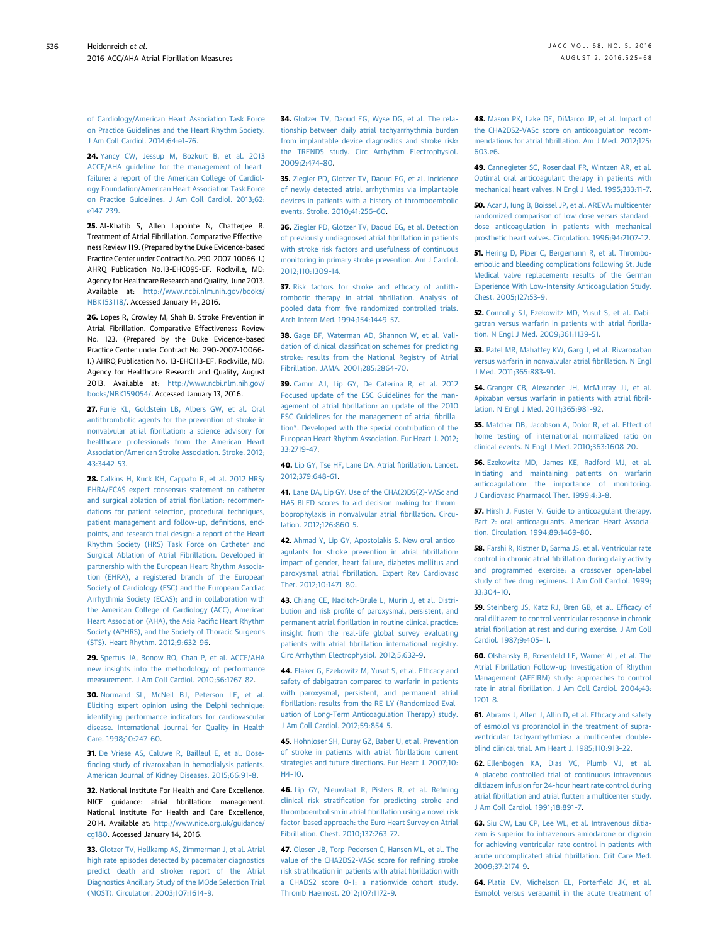<span id="page-11-0"></span>[of Cardiology/American Heart Association Task Force](http://refhub.elsevier.com/S0735-1097(16)32400-7/sref23) [on Practice Guidelines and the Heart Rhythm Society.](http://refhub.elsevier.com/S0735-1097(16)32400-7/sref23) [J Am Coll Cardiol. 2014;64:e1](http://refhub.elsevier.com/S0735-1097(16)32400-7/sref23)–76.

24. [Yancy CW, Jessup M, Bozkurt B, et al. 2013](http://refhub.elsevier.com/S0735-1097(16)32400-7/sref24) [ACCF/AHA guideline for the management of heart](http://refhub.elsevier.com/S0735-1097(16)32400-7/sref24)[failure: a report of the American College of Cardiol](http://refhub.elsevier.com/S0735-1097(16)32400-7/sref24)[ogy Foundation/American Heart Association Task Force](http://refhub.elsevier.com/S0735-1097(16)32400-7/sref24) [on Practice Guidelines. J Am Coll Cardiol. 2013;62:](http://refhub.elsevier.com/S0735-1097(16)32400-7/sref24) [e147](http://refhub.elsevier.com/S0735-1097(16)32400-7/sref24)–239.

25. Al-Khatib S, Allen Lapointe N, Chatterjee R. Treatment of Atrial Fibrillation. Comparative Effectiveness Review 119. (Prepared by the Duke Evidence-based Practice Center under Contract No. 290-2007-10066-I.) AHRQ Publication No.13-EHC095-EF. Rockville, MD: Agency for Healthcare Research and Quality, June 2013. Available at: [http://www.ncbi.nlm.nih.gov/books/](http://www.ncbi.nlm.nih.gov/books/NBK153118/) [NBK153118/.](http://www.ncbi.nlm.nih.gov/books/NBK153118/) Accessed January 14, 2016.

26. Lopes R, Crowley M, Shah B. Stroke Prevention in Atrial Fibrillation. Comparative Effectiveness Review No. 123. (Prepared by the Duke Evidence-based Practice Center under Contract No. 290-2007-10066- I.) AHRQ Publication No. 13-EHC113-EF. Rockville, MD: Agency for Healthcare Research and Quality, August 2013. Available at: [http://www.ncbi.nlm.nih.gov/](http://www.ncbi.nlm.nih.gov/books/NBK159054/) [books/NBK159054/.](http://www.ncbi.nlm.nih.gov/books/NBK159054/) Accessed January 13, 2016.

27. [Furie KL, Goldstein LB, Albers GW, et al. Oral](http://refhub.elsevier.com/S0735-1097(16)32400-7/sref27) [antithrombotic agents for the prevention of stroke in](http://refhub.elsevier.com/S0735-1097(16)32400-7/sref27) nonvalvular atrial fi[brillation: a science advisory for](http://refhub.elsevier.com/S0735-1097(16)32400-7/sref27) [healthcare professionals from the American Heart](http://refhub.elsevier.com/S0735-1097(16)32400-7/sref27) [Association/American Stroke Association. Stroke. 2012;](http://refhub.elsevier.com/S0735-1097(16)32400-7/sref27) [43:3442](http://refhub.elsevier.com/S0735-1097(16)32400-7/sref27)–53.

28. [Calkins H, Kuck KH, Cappato R, et al. 2012 HRS/](http://refhub.elsevier.com/S0735-1097(16)32400-7/sref28) [EHRA/ECAS expert consensus statement on catheter](http://refhub.elsevier.com/S0735-1097(16)32400-7/sref28) [and surgical ablation of atrial](http://refhub.elsevier.com/S0735-1097(16)32400-7/sref28) fibrillation: recommen[dations for patient selection, procedural techniques,](http://refhub.elsevier.com/S0735-1097(16)32400-7/sref28) [patient management and follow-up, de](http://refhub.elsevier.com/S0735-1097(16)32400-7/sref28)finitions, end[points, and research trial design: a report of the Heart](http://refhub.elsevier.com/S0735-1097(16)32400-7/sref28) [Rhythm Society \(HRS\) Task Force on Catheter and](http://refhub.elsevier.com/S0735-1097(16)32400-7/sref28) [Surgical Ablation of Atrial Fibrillation. Developed in](http://refhub.elsevier.com/S0735-1097(16)32400-7/sref28) [partnership with the European Heart Rhythm Associa](http://refhub.elsevier.com/S0735-1097(16)32400-7/sref28)[tion \(EHRA\), a registered branch of the European](http://refhub.elsevier.com/S0735-1097(16)32400-7/sref28) [Society of Cardiology \(ESC\) and the European Cardiac](http://refhub.elsevier.com/S0735-1097(16)32400-7/sref28) [Arrhythmia Society \(ECAS\); and in collaboration with](http://refhub.elsevier.com/S0735-1097(16)32400-7/sref28) [the American College of Cardiology \(ACC\), American](http://refhub.elsevier.com/S0735-1097(16)32400-7/sref28) [Heart Association \(AHA\), the Asia Paci](http://refhub.elsevier.com/S0735-1097(16)32400-7/sref28)fic Heart Rhythm [Society \(APHRS\), and the Society of Thoracic Surgeons](http://refhub.elsevier.com/S0735-1097(16)32400-7/sref28) [\(STS\). Heart Rhythm. 2012;9:632](http://refhub.elsevier.com/S0735-1097(16)32400-7/sref28)–96.

29. [Spertus JA, Bonow RO, Chan P, et al. ACCF/AHA](http://refhub.elsevier.com/S0735-1097(16)32400-7/sref29) [new insights into the methodology of performance](http://refhub.elsevier.com/S0735-1097(16)32400-7/sref29) [measurement. J Am Coll Cardiol. 2010;56:1767](http://refhub.elsevier.com/S0735-1097(16)32400-7/sref29)–82.

30. [Normand SL, McNeil BJ, Peterson LE, et al.](http://refhub.elsevier.com/S0735-1097(16)32400-7/sref30) [Eliciting expert opinion using the Delphi technique:](http://refhub.elsevier.com/S0735-1097(16)32400-7/sref30) [identifying performance indicators for cardiovascular](http://refhub.elsevier.com/S0735-1097(16)32400-7/sref30) [disease. International Journal for Quality in Health](http://refhub.elsevier.com/S0735-1097(16)32400-7/sref30) [Care. 1998;10:247](http://refhub.elsevier.com/S0735-1097(16)32400-7/sref30)–60.

31. [De Vriese AS, Caluwe R, Bailleul E, et al. Dose](http://refhub.elsevier.com/S0735-1097(16)32400-7/sref31)fi[nding study of rivaroxaban in hemodialysis patients.](http://refhub.elsevier.com/S0735-1097(16)32400-7/sref31) [American Journal of Kidney Diseases. 2015;66:91](http://refhub.elsevier.com/S0735-1097(16)32400-7/sref31)–8.

32. National Institute For Health and Care Excellence. NICE guidance: atrial fibrillation: management. National Institute For Health and Care Excellence, 2014. Available at: [http://www.nice.org.uk/guidance/](http://www.nice.org.uk/guidance/cg180) [cg180](http://www.nice.org.uk/guidance/cg180). Accessed January 14, 2016.

33. [Glotzer TV, Hellkamp AS, Zimmerman J, et al. Atrial](http://refhub.elsevier.com/S0735-1097(16)32400-7/sref33) [high rate episodes detected by pacemaker diagnostics](http://refhub.elsevier.com/S0735-1097(16)32400-7/sref33) [predict death and stroke: report of the Atrial](http://refhub.elsevier.com/S0735-1097(16)32400-7/sref33) [Diagnostics Ancillary Study of the MOde Selection Trial](http://refhub.elsevier.com/S0735-1097(16)32400-7/sref33) [\(MOST\). Circulation. 2003;107:1614](http://refhub.elsevier.com/S0735-1097(16)32400-7/sref33)–9.

34. [Glotzer TV, Daoud EG, Wyse DG, et al. The rela](http://refhub.elsevier.com/S0735-1097(16)32400-7/sref34)[tionship between daily atrial tachyarrhythmia burden](http://refhub.elsevier.com/S0735-1097(16)32400-7/sref34) [from implantable device diagnostics and stroke risk:](http://refhub.elsevier.com/S0735-1097(16)32400-7/sref34) [the TRENDS study. Circ Arrhythm Electrophysiol.](http://refhub.elsevier.com/S0735-1097(16)32400-7/sref34) [2009;2:474](http://refhub.elsevier.com/S0735-1097(16)32400-7/sref34)–80.

35. [Ziegler PD, Glotzer TV, Daoud EG, et al. Incidence](http://refhub.elsevier.com/S0735-1097(16)32400-7/sref35) [of newly detected atrial arrhythmias via implantable](http://refhub.elsevier.com/S0735-1097(16)32400-7/sref35) [devices in patients with a history of thromboembolic](http://refhub.elsevier.com/S0735-1097(16)32400-7/sref35) [events. Stroke. 2010;41:256](http://refhub.elsevier.com/S0735-1097(16)32400-7/sref35)–60.

36. [Ziegler PD, Glotzer TV, Daoud EG, et al. Detection](http://refhub.elsevier.com/S0735-1097(16)32400-7/sref36) [of previously undiagnosed atrial](http://refhub.elsevier.com/S0735-1097(16)32400-7/sref36) fibrillation in patients [with stroke risk factors and usefulness of continuous](http://refhub.elsevier.com/S0735-1097(16)32400-7/sref36) [monitoring in primary stroke prevention. Am J Cardiol.](http://refhub.elsevier.com/S0735-1097(16)32400-7/sref36) [2012;110:1309](http://refhub.elsevier.com/S0735-1097(16)32400-7/sref36)–14.

37. [Risk factors for stroke and ef](http://refhub.elsevier.com/S0735-1097(16)32400-7/sref37)ficacy of antith[rombotic therapy in atrial](http://refhub.elsevier.com/S0735-1097(16)32400-7/sref37) fibrillation. Analysis of pooled data from fi[ve randomized controlled trials.](http://refhub.elsevier.com/S0735-1097(16)32400-7/sref37) [Arch Intern Med. 1994;154:1449](http://refhub.elsevier.com/S0735-1097(16)32400-7/sref37)–57.

38. [Gage BF, Waterman AD, Shannon W, et al. Vali](http://refhub.elsevier.com/S0735-1097(16)32400-7/sref38)dation of clinical classifi[cation schemes for predicting](http://refhub.elsevier.com/S0735-1097(16)32400-7/sref38) [stroke: results from the National Registry of Atrial](http://refhub.elsevier.com/S0735-1097(16)32400-7/sref38) [Fibrillation. JAMA. 2001;285:2864](http://refhub.elsevier.com/S0735-1097(16)32400-7/sref38)–70.

39. [Camm AJ, Lip GY, De Caterina R, et al. 2012](http://refhub.elsevier.com/S0735-1097(16)32400-7/sref39) [Focused update of the ESC Guidelines for the man](http://refhub.elsevier.com/S0735-1097(16)32400-7/sref39)agement of atrial fi[brillation: an update of the 2010](http://refhub.elsevier.com/S0735-1097(16)32400-7/sref39) [ESC Guidelines for the management of atrial](http://refhub.elsevier.com/S0735-1097(16)32400-7/sref39) fibrilla[tion\\*. Developed with the special contribution of the](http://refhub.elsevier.com/S0735-1097(16)32400-7/sref39) [European Heart Rhythm Association. Eur Heart J. 2012;](http://refhub.elsevier.com/S0735-1097(16)32400-7/sref39) [33:2719](http://refhub.elsevier.com/S0735-1097(16)32400-7/sref39)–47.

40. [Lip GY, Tse HF, Lane DA. Atrial](http://refhub.elsevier.com/S0735-1097(16)32400-7/sref40) fibrillation. Lancet. [2012;379:648](http://refhub.elsevier.com/S0735-1097(16)32400-7/sref40)–61.

41. [Lane DA, Lip GY. Use of the CHA\(2\)DS\(2\)-VASc and](http://refhub.elsevier.com/S0735-1097(16)32400-7/sref41) [HAS-BLED scores to aid decision making for throm](http://refhub.elsevier.com/S0735-1097(16)32400-7/sref41)[boprophylaxis in nonvalvular atrial](http://refhub.elsevier.com/S0735-1097(16)32400-7/sref41) fibrillation. Circu[lation. 2012;126:860](http://refhub.elsevier.com/S0735-1097(16)32400-7/sref41)–5.

42. [Ahmad Y, Lip GY, Apostolakis S. New oral antico](http://refhub.elsevier.com/S0735-1097(16)32400-7/sref42)[agulants for stroke prevention in atrial](http://refhub.elsevier.com/S0735-1097(16)32400-7/sref42) fibrillation: [impact of gender, heart failure, diabetes mellitus and](http://refhub.elsevier.com/S0735-1097(16)32400-7/sref42) paroxysmal atrial fi[brillation. Expert Rev Cardiovasc](http://refhub.elsevier.com/S0735-1097(16)32400-7/sref42) [Ther. 2012;10:1471](http://refhub.elsevier.com/S0735-1097(16)32400-7/sref42)–80.

43. [Chiang CE, Naditch-Brule L, Murin J, et al. Distri](http://refhub.elsevier.com/S0735-1097(16)32400-7/sref43)bution and risk profi[le of paroxysmal, persistent, and](http://refhub.elsevier.com/S0735-1097(16)32400-7/sref43) permanent atrial fi[brillation in routine clinical practice:](http://refhub.elsevier.com/S0735-1097(16)32400-7/sref43) [insight from the real-life global survey evaluating](http://refhub.elsevier.com/S0735-1097(16)32400-7/sref43) patients with atrial fi[brillation international registry.](http://refhub.elsevier.com/S0735-1097(16)32400-7/sref43) [Circ Arrhythm Electrophysiol. 2012;5:632](http://refhub.elsevier.com/S0735-1097(16)32400-7/sref43)–9.

44. [Flaker G, Ezekowitz M, Yusuf S, et al. Ef](http://refhub.elsevier.com/S0735-1097(16)32400-7/sref44)ficacy and [safety of dabigatran compared to warfarin in patients](http://refhub.elsevier.com/S0735-1097(16)32400-7/sref44) [with paroxysmal, persistent, and permanent atrial](http://refhub.elsevier.com/S0735-1097(16)32400-7/sref44) fi[brillation: results from the RE-LY \(Randomized Eval](http://refhub.elsevier.com/S0735-1097(16)32400-7/sref44)[uation of Long-Term Anticoagulation Therapy\) study.](http://refhub.elsevier.com/S0735-1097(16)32400-7/sref44) [J Am Coll Cardiol. 2012;59:854](http://refhub.elsevier.com/S0735-1097(16)32400-7/sref44)–5.

45. [Hohnloser SH, Duray GZ, Baber U, et al. Prevention](http://refhub.elsevier.com/S0735-1097(16)32400-7/sref45) [of stroke in patients with atrial](http://refhub.elsevier.com/S0735-1097(16)32400-7/sref45) fibrillation: current [strategies and future directions. Eur Heart J. 2007;10:](http://refhub.elsevier.com/S0735-1097(16)32400-7/sref45) [H4](http://refhub.elsevier.com/S0735-1097(16)32400-7/sref45)–10.

46. [Lip GY, Nieuwlaat R, Pisters R, et al. Re](http://refhub.elsevier.com/S0735-1097(16)32400-7/sref46)fining clinical risk stratifi[cation for predicting stroke and](http://refhub.elsevier.com/S0735-1097(16)32400-7/sref46) thromboembolism in atrial fi[brillation using a novel risk](http://refhub.elsevier.com/S0735-1097(16)32400-7/sref46) [factor-based approach: the Euro Heart Survey on Atrial](http://refhub.elsevier.com/S0735-1097(16)32400-7/sref46) [Fibrillation. Chest. 2010;137:263](http://refhub.elsevier.com/S0735-1097(16)32400-7/sref46)–72.

47. [Olesen JB, Torp-Pedersen C, Hansen ML, et al. The](http://refhub.elsevier.com/S0735-1097(16)32400-7/sref47) [value of the CHA2DS2-VASc score for re](http://refhub.elsevier.com/S0735-1097(16)32400-7/sref47)fining stroke risk stratifi[cation in patients with atrial](http://refhub.elsevier.com/S0735-1097(16)32400-7/sref47) fibrillation with [a CHADS2 score 0-1: a nationwide cohort study.](http://refhub.elsevier.com/S0735-1097(16)32400-7/sref47) [Thromb Haemost. 2012;107:1172](http://refhub.elsevier.com/S0735-1097(16)32400-7/sref47)–9.

48. [Mason PK, Lake DE, DiMarco JP, et al. Impact of](http://refhub.elsevier.com/S0735-1097(16)32400-7/sref48) [the CHA2DS2-VASc score on anticoagulation recom](http://refhub.elsevier.com/S0735-1097(16)32400-7/sref48)mendations for atrial fi[brillation. Am J Med. 2012;125:](http://refhub.elsevier.com/S0735-1097(16)32400-7/sref48) [603.e6](http://refhub.elsevier.com/S0735-1097(16)32400-7/sref48).

49. [Cannegieter SC, Rosendaal FR, Wintzen AR, et al.](http://refhub.elsevier.com/S0735-1097(16)32400-7/sref49) [Optimal oral anticoagulant therapy in patients with](http://refhub.elsevier.com/S0735-1097(16)32400-7/sref49) [mechanical heart valves. N Engl J Med. 1995;333:11](http://refhub.elsevier.com/S0735-1097(16)32400-7/sref49)–7.

50. [Acar J, Iung B, Boissel JP, et al. AREVA: multicenter](http://refhub.elsevier.com/S0735-1097(16)32400-7/sref50) [randomized comparison of low-dose versus standard](http://refhub.elsevier.com/S0735-1097(16)32400-7/sref50)[dose anticoagulation in patients with mechanical](http://refhub.elsevier.com/S0735-1097(16)32400-7/sref50) [prosthetic heart valves. Circulation. 1996;94:2107](http://refhub.elsevier.com/S0735-1097(16)32400-7/sref50)–12.

51. [Hering D, Piper C, Bergemann R, et al. Thrombo](http://refhub.elsevier.com/S0735-1097(16)32400-7/sref51)[embolic and bleeding complications following St. Jude](http://refhub.elsevier.com/S0735-1097(16)32400-7/sref51) [Medical valve replacement: results of the German](http://refhub.elsevier.com/S0735-1097(16)32400-7/sref51) [Experience With Low-Intensity Anticoagulation Study.](http://refhub.elsevier.com/S0735-1097(16)32400-7/sref51) [Chest. 2005;127:53](http://refhub.elsevier.com/S0735-1097(16)32400-7/sref51)–9.

52. [Connolly SJ, Ezekowitz MD, Yusuf S, et al. Dabi](http://refhub.elsevier.com/S0735-1097(16)32400-7/sref52)[gatran versus warfarin in patients with atrial](http://refhub.elsevier.com/S0735-1097(16)32400-7/sref52) fibrilla[tion. N Engl J Med. 2009;361:1139](http://refhub.elsevier.com/S0735-1097(16)32400-7/sref52)–51.

53. [Patel MR, Mahaffey KW, Garg J, et al. Rivaroxaban](http://refhub.elsevier.com/S0735-1097(16)32400-7/sref53) [versus warfarin in nonvalvular atrial](http://refhub.elsevier.com/S0735-1097(16)32400-7/sref53) fibrillation. N Engl [J Med. 2011;365:883](http://refhub.elsevier.com/S0735-1097(16)32400-7/sref53)–91.

54. [Granger CB, Alexander JH, McMurray JJ, et al.](http://refhub.elsevier.com/S0735-1097(16)32400-7/sref54) [Apixaban versus warfarin in patients with atrial](http://refhub.elsevier.com/S0735-1097(16)32400-7/sref54) fibril[lation. N Engl J Med. 2011;365:981](http://refhub.elsevier.com/S0735-1097(16)32400-7/sref54)–92.

55. [Matchar DB, Jacobson A, Dolor R, et al. Effect of](http://refhub.elsevier.com/S0735-1097(16)32400-7/sref55) [home testing of international normalized ratio on](http://refhub.elsevier.com/S0735-1097(16)32400-7/sref55) [clinical events. N Engl J Med. 2010;363:1608](http://refhub.elsevier.com/S0735-1097(16)32400-7/sref55)–20.

56. [Ezekowitz MD, James KE, Radford MJ, et al.](http://refhub.elsevier.com/S0735-1097(16)32400-7/sref56) [Initiating and maintaining patients on warfarin](http://refhub.elsevier.com/S0735-1097(16)32400-7/sref56) [anticoagulation: the importance of monitoring.](http://refhub.elsevier.com/S0735-1097(16)32400-7/sref56) [J Cardiovasc Pharmacol Ther. 1999;4:3](http://refhub.elsevier.com/S0735-1097(16)32400-7/sref56)–8.

57. [Hirsh J, Fuster V. Guide to anticoagulant therapy.](http://refhub.elsevier.com/S0735-1097(16)32400-7/sref57) [Part 2: oral anticoagulants. American Heart Associa](http://refhub.elsevier.com/S0735-1097(16)32400-7/sref57)[tion. Circulation. 1994;89:1469](http://refhub.elsevier.com/S0735-1097(16)32400-7/sref57)–80.

58. [Farshi R, Kistner D, Sarma JS, et al. Ventricular rate](http://refhub.elsevier.com/S0735-1097(16)32400-7/sref58) control in chronic atrial fi[brillation during daily activity](http://refhub.elsevier.com/S0735-1097(16)32400-7/sref58) [and programmed exercise: a crossover open-label](http://refhub.elsevier.com/S0735-1097(16)32400-7/sref58) study of fi[ve drug regimens. J Am Coll Cardiol. 1999;](http://refhub.elsevier.com/S0735-1097(16)32400-7/sref58) [33:304](http://refhub.elsevier.com/S0735-1097(16)32400-7/sref58)–10.

59. [Steinberg JS, Katz RJ, Bren GB, et al. Ef](http://refhub.elsevier.com/S0735-1097(16)32400-7/sref59)ficacy of [oral diltiazem to control ventricular response in chronic](http://refhub.elsevier.com/S0735-1097(16)32400-7/sref59) atrial fi[brillation at rest and during exercise. J Am Coll](http://refhub.elsevier.com/S0735-1097(16)32400-7/sref59) [Cardiol. 1987;9:405](http://refhub.elsevier.com/S0735-1097(16)32400-7/sref59)–11.

60. [Olshansky B, Rosenfeld LE, Warner AL, et al. The](http://refhub.elsevier.com/S0735-1097(16)32400-7/sref60) [Atrial Fibrillation Follow-up Investigation of Rhythm](http://refhub.elsevier.com/S0735-1097(16)32400-7/sref60) [Management \(AFFIRM\) study: approaches to control](http://refhub.elsevier.com/S0735-1097(16)32400-7/sref60) rate in atrial fi[brillation. J Am Coll Cardiol. 2004;43:](http://refhub.elsevier.com/S0735-1097(16)32400-7/sref60) [1201](http://refhub.elsevier.com/S0735-1097(16)32400-7/sref60)–8.

61. [Abrams J, Allen J, Allin D, et al. Ef](http://refhub.elsevier.com/S0735-1097(16)32400-7/sref61)ficacy and safety [of esmolol vs propranolol in the treatment of supra](http://refhub.elsevier.com/S0735-1097(16)32400-7/sref61)[ventricular tachyarrhythmias: a multicenter double](http://refhub.elsevier.com/S0735-1097(16)32400-7/sref61)[blind clinical trial. Am Heart J. 1985;110:913](http://refhub.elsevier.com/S0735-1097(16)32400-7/sref61)–22.

62. [Ellenbogen KA, Dias VC, Plumb VJ, et al.](http://refhub.elsevier.com/S0735-1097(16)32400-7/sref62) [A placebo-controlled trial of continuous intravenous](http://refhub.elsevier.com/S0735-1097(16)32400-7/sref62) [diltiazem infusion for 24-hour heart rate control during](http://refhub.elsevier.com/S0735-1097(16)32400-7/sref62) atrial fibrillation and atrial fl[utter: a multicenter study.](http://refhub.elsevier.com/S0735-1097(16)32400-7/sref62) [J Am Coll Cardiol. 1991;18:891](http://refhub.elsevier.com/S0735-1097(16)32400-7/sref62)–7.

63. [Siu CW, Lau CP, Lee WL, et al. Intravenous diltia](http://refhub.elsevier.com/S0735-1097(16)32400-7/sref63)[zem is superior to intravenous amiodarone or digoxin](http://refhub.elsevier.com/S0735-1097(16)32400-7/sref63) [for achieving ventricular rate control in patients with](http://refhub.elsevier.com/S0735-1097(16)32400-7/sref63) [acute uncomplicated atrial](http://refhub.elsevier.com/S0735-1097(16)32400-7/sref63) fibrillation. Crit Care Med. [2009;37:2174](http://refhub.elsevier.com/S0735-1097(16)32400-7/sref63)–9.

64. [Platia EV, Michelson EL, Porter](http://refhub.elsevier.com/S0735-1097(16)32400-7/sref64)field JK, et al. [Esmolol versus verapamil in the acute treatment of](http://refhub.elsevier.com/S0735-1097(16)32400-7/sref64)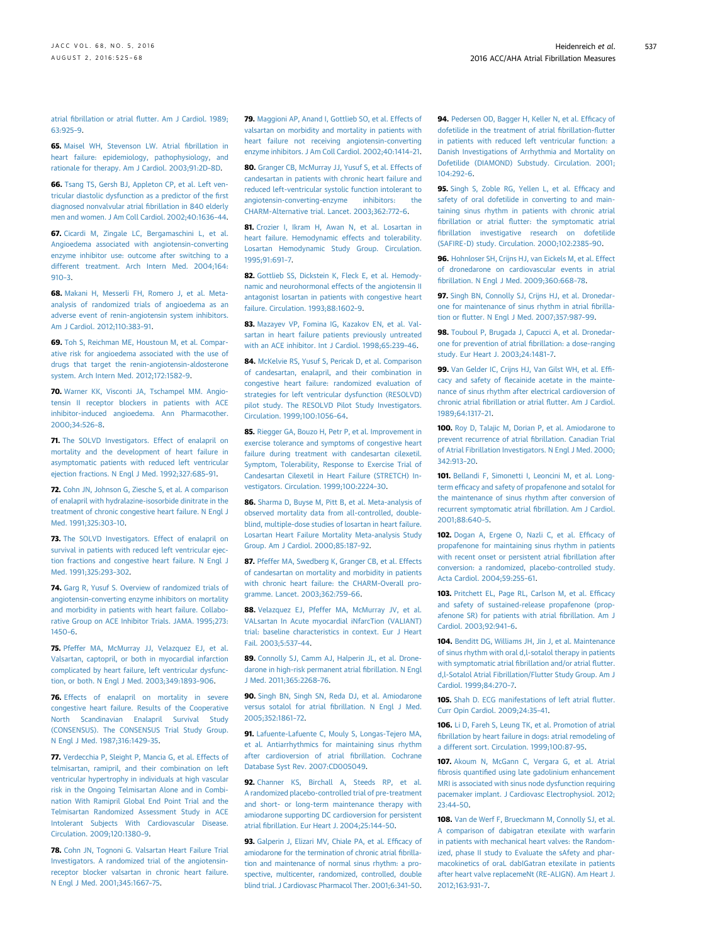537

<span id="page-12-0"></span>atrial fibrillation or atrial fl[utter. Am J Cardiol. 1989;](http://refhub.elsevier.com/S0735-1097(16)32400-7/sref64) [63:925](http://refhub.elsevier.com/S0735-1097(16)32400-7/sref64)–9.

65. [Maisel WH, Stevenson LW. Atrial](http://refhub.elsevier.com/S0735-1097(16)32400-7/sref65) fibrillation in [heart failure: epidemiology, pathophysiology, and](http://refhub.elsevier.com/S0735-1097(16)32400-7/sref65) [rationale for therapy. Am J Cardiol. 2003;91:2D](http://refhub.elsevier.com/S0735-1097(16)32400-7/sref65)–8D.

66. [Tsang TS, Gersh BJ, Appleton CP, et al. Left ven](http://refhub.elsevier.com/S0735-1097(16)32400-7/sref66)[tricular diastolic dysfunction as a predictor of the](http://refhub.elsevier.com/S0735-1097(16)32400-7/sref66) first [diagnosed nonvalvular atrial](http://refhub.elsevier.com/S0735-1097(16)32400-7/sref66) fibrillation in 840 elderly [men and women. J Am Coll Cardiol. 2002;40:1636](http://refhub.elsevier.com/S0735-1097(16)32400-7/sref66)–44.

67. [Cicardi M, Zingale LC, Bergamaschini L, et al.](http://refhub.elsevier.com/S0735-1097(16)32400-7/sref67) [Angioedema associated with angiotensin-converting](http://refhub.elsevier.com/S0735-1097(16)32400-7/sref67) [enzyme inhibitor use: outcome after switching to a](http://refhub.elsevier.com/S0735-1097(16)32400-7/sref67) [different treatment. Arch Intern Med. 2004;164:](http://refhub.elsevier.com/S0735-1097(16)32400-7/sref67) [910](http://refhub.elsevier.com/S0735-1097(16)32400-7/sref67)–3.

68. [Makani H, Messerli FH, Romero J, et al. Meta](http://refhub.elsevier.com/S0735-1097(16)32400-7/sref68)[analysis of randomized trials of angioedema as an](http://refhub.elsevier.com/S0735-1097(16)32400-7/sref68) [adverse event of renin-angiotensin system inhibitors.](http://refhub.elsevier.com/S0735-1097(16)32400-7/sref68) [Am J Cardiol. 2012;110:383](http://refhub.elsevier.com/S0735-1097(16)32400-7/sref68)–91.

69. [Toh S, Reichman ME, Houstoun M, et al. Compar](http://refhub.elsevier.com/S0735-1097(16)32400-7/sref69)[ative risk for angioedema associated with the use of](http://refhub.elsevier.com/S0735-1097(16)32400-7/sref69) [drugs that target the renin-angiotensin-aldosterone](http://refhub.elsevier.com/S0735-1097(16)32400-7/sref69) [system. Arch Intern Med. 2012;172:1582](http://refhub.elsevier.com/S0735-1097(16)32400-7/sref69)–9.

70. [Warner KK, Visconti JA, Tschampel MM. Angio](http://refhub.elsevier.com/S0735-1097(16)32400-7/sref70)[tensin II receptor blockers in patients with ACE](http://refhub.elsevier.com/S0735-1097(16)32400-7/sref70) [inhibitor-induced angioedema. Ann Pharmacother.](http://refhub.elsevier.com/S0735-1097(16)32400-7/sref70) [2000;34:526](http://refhub.elsevier.com/S0735-1097(16)32400-7/sref70)–8.

71. [The SOLVD Investigators. Effect of enalapril on](http://refhub.elsevier.com/S0735-1097(16)32400-7/sref71) [mortality and the development of heart failure in](http://refhub.elsevier.com/S0735-1097(16)32400-7/sref71) [asymptomatic patients with reduced left ventricular](http://refhub.elsevier.com/S0735-1097(16)32400-7/sref71) [ejection fractions. N Engl J Med. 1992;327:685](http://refhub.elsevier.com/S0735-1097(16)32400-7/sref71)–91.

72. [Cohn JN, Johnson G, Ziesche S, et al. A comparison](http://refhub.elsevier.com/S0735-1097(16)32400-7/sref72) [of enalapril with hydralazine-isosorbide dinitrate in the](http://refhub.elsevier.com/S0735-1097(16)32400-7/sref72) [treatment of chronic congestive heart failure. N Engl J](http://refhub.elsevier.com/S0735-1097(16)32400-7/sref72) [Med. 1991;325:303](http://refhub.elsevier.com/S0735-1097(16)32400-7/sref72)–10.

73. [The SOLVD Investigators. Effect of enalapril on](http://refhub.elsevier.com/S0735-1097(16)32400-7/sref73) [survival in patients with reduced left ventricular ejec](http://refhub.elsevier.com/S0735-1097(16)32400-7/sref73)[tion fractions and congestive heart failure. N Engl J](http://refhub.elsevier.com/S0735-1097(16)32400-7/sref73) [Med. 1991;325:293](http://refhub.elsevier.com/S0735-1097(16)32400-7/sref73)–302.

74. [Garg R, Yusuf S. Overview of randomized trials of](http://refhub.elsevier.com/S0735-1097(16)32400-7/sref74) [angiotensin-converting enzyme inhibitors on mortality](http://refhub.elsevier.com/S0735-1097(16)32400-7/sref74) [and morbidity in patients with heart failure. Collabo](http://refhub.elsevier.com/S0735-1097(16)32400-7/sref74)[rative Group on ACE Inhibitor Trials. JAMA. 1995;273:](http://refhub.elsevier.com/S0735-1097(16)32400-7/sref74) [1450](http://refhub.elsevier.com/S0735-1097(16)32400-7/sref74)–6.

75. [Pfeffer MA, McMurray JJ, Velazquez EJ, et al.](http://refhub.elsevier.com/S0735-1097(16)32400-7/sref75) [Valsartan, captopril, or both in myocardial infarction](http://refhub.elsevier.com/S0735-1097(16)32400-7/sref75) [complicated by heart failure, left ventricular dysfunc](http://refhub.elsevier.com/S0735-1097(16)32400-7/sref75)[tion, or both. N Engl J Med. 2003;349:1893](http://refhub.elsevier.com/S0735-1097(16)32400-7/sref75)–906.

76. [Effects of enalapril on mortality in severe](http://refhub.elsevier.com/S0735-1097(16)32400-7/sref76) [congestive heart failure. Results of the Cooperative](http://refhub.elsevier.com/S0735-1097(16)32400-7/sref76) [North Scandinavian Enalapril Survival Study](http://refhub.elsevier.com/S0735-1097(16)32400-7/sref76) [\(CONSENSUS\). The CONSENSUS Trial Study Group.](http://refhub.elsevier.com/S0735-1097(16)32400-7/sref76) [N Engl J Med. 1987;316:1429](http://refhub.elsevier.com/S0735-1097(16)32400-7/sref76)–35.

77. [Verdecchia P, Sleight P, Mancia G, et al. Effects of](http://refhub.elsevier.com/S0735-1097(16)32400-7/sref77) [telmisartan, ramipril, and their combination on left](http://refhub.elsevier.com/S0735-1097(16)32400-7/sref77) [ventricular hypertrophy in individuals at high vascular](http://refhub.elsevier.com/S0735-1097(16)32400-7/sref77) [risk in the Ongoing Telmisartan Alone and in Combi](http://refhub.elsevier.com/S0735-1097(16)32400-7/sref77)[nation With Ramipril Global End Point Trial and the](http://refhub.elsevier.com/S0735-1097(16)32400-7/sref77) [Telmisartan Randomized Assessment Study in ACE](http://refhub.elsevier.com/S0735-1097(16)32400-7/sref77) [Intolerant Subjects With Cardiovascular Disease.](http://refhub.elsevier.com/S0735-1097(16)32400-7/sref77) [Circulation. 2009;120:1380](http://refhub.elsevier.com/S0735-1097(16)32400-7/sref77)–9.

78. [Cohn JN, Tognoni G. Valsartan Heart Failure Trial](http://refhub.elsevier.com/S0735-1097(16)32400-7/sref78) [Investigators. A randomized trial of the angiotensin](http://refhub.elsevier.com/S0735-1097(16)32400-7/sref78)[receptor blocker valsartan in chronic heart failure.](http://refhub.elsevier.com/S0735-1097(16)32400-7/sref78) [N Engl J Med. 2001;345:1667](http://refhub.elsevier.com/S0735-1097(16)32400-7/sref78)–75.

79. [Maggioni AP, Anand I, Gottlieb SO, et al. Effects of](http://refhub.elsevier.com/S0735-1097(16)32400-7/sref79) [valsartan on morbidity and mortality in patients with](http://refhub.elsevier.com/S0735-1097(16)32400-7/sref79) [heart failure not receiving angiotensin-converting](http://refhub.elsevier.com/S0735-1097(16)32400-7/sref79) [enzyme inhibitors. J Am Coll Cardiol. 2002;40:1414](http://refhub.elsevier.com/S0735-1097(16)32400-7/sref79)–21.

80. [Granger CB, McMurray JJ, Yusuf S, et al. Effects of](http://refhub.elsevier.com/S0735-1097(16)32400-7/sref80) [candesartan in patients with chronic heart failure and](http://refhub.elsevier.com/S0735-1097(16)32400-7/sref80) [reduced left-ventricular systolic function intolerant to](http://refhub.elsevier.com/S0735-1097(16)32400-7/sref80) [angiotensin-converting-enzyme inhibitors: the](http://refhub.elsevier.com/S0735-1097(16)32400-7/sref80) [CHARM-Alternative trial. Lancet. 2003;362:772](http://refhub.elsevier.com/S0735-1097(16)32400-7/sref80)–6.

81. [Crozier I, Ikram H, Awan N, et al. Losartan in](http://refhub.elsevier.com/S0735-1097(16)32400-7/sref81) [heart failure. Hemodynamic effects and tolerability.](http://refhub.elsevier.com/S0735-1097(16)32400-7/sref81) [Losartan Hemodynamic Study Group. Circulation.](http://refhub.elsevier.com/S0735-1097(16)32400-7/sref81) [1995;91:691](http://refhub.elsevier.com/S0735-1097(16)32400-7/sref81)–7.

82. [Gottlieb SS, Dickstein K, Fleck E, et al. Hemody](http://refhub.elsevier.com/S0735-1097(16)32400-7/sref82)[namic and neurohormonal effects of the angiotensin II](http://refhub.elsevier.com/S0735-1097(16)32400-7/sref82) [antagonist losartan in patients with congestive heart](http://refhub.elsevier.com/S0735-1097(16)32400-7/sref82) [failure. Circulation. 1993;88:1602](http://refhub.elsevier.com/S0735-1097(16)32400-7/sref82)–9.

83. [Mazayev VP, Fomina IG, Kazakov EN, et al. Val](http://refhub.elsevier.com/S0735-1097(16)32400-7/sref83)[sartan in heart failure patients previously untreated](http://refhub.elsevier.com/S0735-1097(16)32400-7/sref83) [with an ACE inhibitor. Int J Cardiol. 1998;65:239](http://refhub.elsevier.com/S0735-1097(16)32400-7/sref83)–46.

84. [McKelvie RS, Yusuf S, Pericak D, et al. Comparison](http://refhub.elsevier.com/S0735-1097(16)32400-7/sref84) [of candesartan, enalapril, and their combination in](http://refhub.elsevier.com/S0735-1097(16)32400-7/sref84) [congestive heart failure: randomized evaluation of](http://refhub.elsevier.com/S0735-1097(16)32400-7/sref84) [strategies for left ventricular dysfunction \(RESOLVD\)](http://refhub.elsevier.com/S0735-1097(16)32400-7/sref84) [pilot study. The RESOLVD Pilot Study Investigators.](http://refhub.elsevier.com/S0735-1097(16)32400-7/sref84) [Circulation. 1999;100:1056](http://refhub.elsevier.com/S0735-1097(16)32400-7/sref84)–64.

85. [Riegger GA, Bouzo H, Petr P, et al. Improvement in](http://refhub.elsevier.com/S0735-1097(16)32400-7/sref85) [exercise tolerance and symptoms of congestive heart](http://refhub.elsevier.com/S0735-1097(16)32400-7/sref85) [failure during treatment with candesartan cilexetil.](http://refhub.elsevier.com/S0735-1097(16)32400-7/sref85) [Symptom, Tolerability, Response to Exercise Trial of](http://refhub.elsevier.com/S0735-1097(16)32400-7/sref85) [Candesartan Cilexetil in Heart Failure \(STRETCH\) In](http://refhub.elsevier.com/S0735-1097(16)32400-7/sref85)[vestigators. Circulation. 1999;100:2224](http://refhub.elsevier.com/S0735-1097(16)32400-7/sref85)–30.

86. [Sharma D, Buyse M, Pitt B, et al. Meta-analysis of](http://refhub.elsevier.com/S0735-1097(16)32400-7/sref86) [observed mortality data from all-controlled, double](http://refhub.elsevier.com/S0735-1097(16)32400-7/sref86)[blind, multiple-dose studies of losartan in heart failure.](http://refhub.elsevier.com/S0735-1097(16)32400-7/sref86) [Losartan Heart Failure Mortality Meta-analysis Study](http://refhub.elsevier.com/S0735-1097(16)32400-7/sref86) [Group. Am J Cardiol. 2000;85:187](http://refhub.elsevier.com/S0735-1097(16)32400-7/sref86)–92.

87. [Pfeffer MA, Swedberg K, Granger CB, et al. Effects](http://refhub.elsevier.com/S0735-1097(16)32400-7/sref87) [of candesartan on mortality and morbidity in patients](http://refhub.elsevier.com/S0735-1097(16)32400-7/sref87) [with chronic heart failure: the CHARM-Overall pro](http://refhub.elsevier.com/S0735-1097(16)32400-7/sref87)[gramme. Lancet. 2003;362:759](http://refhub.elsevier.com/S0735-1097(16)32400-7/sref87)–66.

88. [Velazquez EJ, Pfeffer MA, McMurray JV, et al.](http://refhub.elsevier.com/S0735-1097(16)32400-7/sref88) [VALsartan In Acute myocardial iNfarcTion \(VALIANT\)](http://refhub.elsevier.com/S0735-1097(16)32400-7/sref88) [trial: baseline characteristics in context. Eur J Heart](http://refhub.elsevier.com/S0735-1097(16)32400-7/sref88) [Fail. 2003;5:537](http://refhub.elsevier.com/S0735-1097(16)32400-7/sref88)–44.

89. [Connolly SJ, Camm AJ, Halperin JL, et al. Drone](http://refhub.elsevier.com/S0735-1097(16)32400-7/sref89)[darone in high-risk permanent atrial](http://refhub.elsevier.com/S0735-1097(16)32400-7/sref89) fibrillation. N Engl [J Med. 2011;365:2268](http://refhub.elsevier.com/S0735-1097(16)32400-7/sref89)–76.

90. [Singh BN, Singh SN, Reda DJ, et al. Amiodarone](http://refhub.elsevier.com/S0735-1097(16)32400-7/sref90) versus sotalol for atrial fi[brillation. N Engl J Med.](http://refhub.elsevier.com/S0735-1097(16)32400-7/sref90) [2005;352:1861](http://refhub.elsevier.com/S0735-1097(16)32400-7/sref90)–72.

91. [Lafuente-Lafuente C, Mouly S, Longas-Tejero MA,](http://refhub.elsevier.com/S0735-1097(16)32400-7/sref91) [et al. Antiarrhythmics for maintaining sinus rhythm](http://refhub.elsevier.com/S0735-1097(16)32400-7/sref91) [after cardioversion of atrial](http://refhub.elsevier.com/S0735-1097(16)32400-7/sref91) fibrillation. Cochrane [Database Syst Rev. 2007:CD005049.](http://refhub.elsevier.com/S0735-1097(16)32400-7/sref91)

92. [Channer KS, Birchall A, Steeds RP, et al.](http://refhub.elsevier.com/S0735-1097(16)32400-7/sref92) [A randomized placebo-controlled trial of pre-treatment](http://refhub.elsevier.com/S0735-1097(16)32400-7/sref92) [and short- or long-term maintenance therapy with](http://refhub.elsevier.com/S0735-1097(16)32400-7/sref92) [amiodarone supporting DC cardioversion for persistent](http://refhub.elsevier.com/S0735-1097(16)32400-7/sref92) atrial fi[brillation. Eur Heart J. 2004;25:144](http://refhub.elsevier.com/S0735-1097(16)32400-7/sref92)–50.

93. [Galperin J, Elizari MV, Chiale PA, et al. Ef](http://refhub.elsevier.com/S0735-1097(16)32400-7/sref93)ficacy of [amiodarone for the termination of chronic atrial](http://refhub.elsevier.com/S0735-1097(16)32400-7/sref93) fibrilla[tion and maintenance of normal sinus rhythm: a pro](http://refhub.elsevier.com/S0735-1097(16)32400-7/sref93)[spective, multicenter, randomized, controlled, double](http://refhub.elsevier.com/S0735-1097(16)32400-7/sref93) [blind trial. J Cardiovasc Pharmacol Ther. 2001;6:341](http://refhub.elsevier.com/S0735-1097(16)32400-7/sref93)–50.

94. [Pedersen OD, Bagger H, Keller N, et al. Ef](http://refhub.elsevier.com/S0735-1097(16)32400-7/sref94)ficacy of [dofetilide in the treatment of atrial](http://refhub.elsevier.com/S0735-1097(16)32400-7/sref94) fibrillation-flutter [in patients with reduced left ventricular function: a](http://refhub.elsevier.com/S0735-1097(16)32400-7/sref94) [Danish Investigations of Arrhythmia and Mortality on](http://refhub.elsevier.com/S0735-1097(16)32400-7/sref94) [Dofetilide \(DIAMOND\) Substudy. Circulation. 2001;](http://refhub.elsevier.com/S0735-1097(16)32400-7/sref94) [104:292](http://refhub.elsevier.com/S0735-1097(16)32400-7/sref94)–6.

95. [Singh S, Zoble RG, Yellen L, et al. Ef](http://refhub.elsevier.com/S0735-1097(16)32400-7/sref95)ficacy and [safety of oral dofetilide in converting to and main](http://refhub.elsevier.com/S0735-1097(16)32400-7/sref95)[taining sinus rhythm in patients with chronic atrial](http://refhub.elsevier.com/S0735-1097(16)32400-7/sref95) fibrillation or atrial fl[utter: the symptomatic atrial](http://refhub.elsevier.com/S0735-1097(16)32400-7/sref95) fi[brillation investigative research on dofetilide](http://refhub.elsevier.com/S0735-1097(16)32400-7/sref95) [\(SAFIRE-D\) study. Circulation. 2000;102:2385](http://refhub.elsevier.com/S0735-1097(16)32400-7/sref95)–90.

96. [Hohnloser SH, Crijns HJ, van Eickels M, et al. Effect](http://refhub.elsevier.com/S0735-1097(16)32400-7/sref96) [of dronedarone on cardiovascular events in atrial](http://refhub.elsevier.com/S0735-1097(16)32400-7/sref96) fi[brillation. N Engl J Med. 2009;360:668](http://refhub.elsevier.com/S0735-1097(16)32400-7/sref96)–78.

97. [Singh BN, Connolly SJ, Crijns HJ, et al. Dronedar](http://refhub.elsevier.com/S0735-1097(16)32400-7/sref97)[one for maintenance of sinus rhythm in atrial](http://refhub.elsevier.com/S0735-1097(16)32400-7/sref97) fibrillation or fl[utter. N Engl J Med. 2007;357:987](http://refhub.elsevier.com/S0735-1097(16)32400-7/sref97)–99.

98. [Touboul P, Brugada J, Capucci A, et al. Dronedar](http://refhub.elsevier.com/S0735-1097(16)32400-7/sref98)[one for prevention of atrial](http://refhub.elsevier.com/S0735-1097(16)32400-7/sref98) fibrillation: a dose-ranging [study. Eur Heart J. 2003;24:1481](http://refhub.elsevier.com/S0735-1097(16)32400-7/sref98)–7.

99. [Van Gelder IC, Crijns HJ, Van Gilst WH, et al. Ef](http://refhub.elsevier.com/S0735-1097(16)32400-7/sref99)ficacy and safety of fl[ecainide acetate in the mainte](http://refhub.elsevier.com/S0735-1097(16)32400-7/sref99)[nance of sinus rhythm after electrical cardioversion of](http://refhub.elsevier.com/S0735-1097(16)32400-7/sref99) chronic atrial fibrillation or atrial fl[utter. Am J Cardiol.](http://refhub.elsevier.com/S0735-1097(16)32400-7/sref99) [1989;64:1317](http://refhub.elsevier.com/S0735-1097(16)32400-7/sref99)–21.

100. [Roy D, Talajic M, Dorian P, et al. Amiodarone to](http://refhub.elsevier.com/S0735-1097(16)32400-7/sref100) [prevent recurrence of atrial](http://refhub.elsevier.com/S0735-1097(16)32400-7/sref100) fibrillation. Canadian Trial [of Atrial Fibrillation Investigators. N Engl J Med. 2000;](http://refhub.elsevier.com/S0735-1097(16)32400-7/sref100) [342:913](http://refhub.elsevier.com/S0735-1097(16)32400-7/sref100)–20.

101. [Bellandi F, Simonetti I, Leoncini M, et al. Long](http://refhub.elsevier.com/S0735-1097(16)32400-7/sref101)term effi[cacy and safety of propafenone and sotalol for](http://refhub.elsevier.com/S0735-1097(16)32400-7/sref101) [the maintenance of sinus rhythm after conversion of](http://refhub.elsevier.com/S0735-1097(16)32400-7/sref101) [recurrent symptomatic atrial](http://refhub.elsevier.com/S0735-1097(16)32400-7/sref101) fibrillation. Am J Cardiol. [2001;88:640](http://refhub.elsevier.com/S0735-1097(16)32400-7/sref101)–5.

102. [Dogan A, Ergene O, Nazli C, et al. Ef](http://refhub.elsevier.com/S0735-1097(16)32400-7/sref102)ficacy of [propafenone for maintaining sinus rhythm in patients](http://refhub.elsevier.com/S0735-1097(16)32400-7/sref102) [with recent onset or persistent atrial](http://refhub.elsevier.com/S0735-1097(16)32400-7/sref102) fibrillation after [conversion: a randomized, placebo-controlled study.](http://refhub.elsevier.com/S0735-1097(16)32400-7/sref102) [Acta Cardiol. 2004;59:255](http://refhub.elsevier.com/S0735-1097(16)32400-7/sref102)–61.

103. [Pritchett EL, Page RL, Carlson M, et al. Ef](http://refhub.elsevier.com/S0735-1097(16)32400-7/sref103)ficacy [and safety of sustained-release propafenone \(prop](http://refhub.elsevier.com/S0735-1097(16)32400-7/sref103)[afenone SR\) for patients with atrial](http://refhub.elsevier.com/S0735-1097(16)32400-7/sref103) fibrillation. Am J [Cardiol. 2003;92:941](http://refhub.elsevier.com/S0735-1097(16)32400-7/sref103)–6.

104. [Benditt DG, Williams JH, Jin J, et al. Maintenance](http://refhub.elsevier.com/S0735-1097(16)32400-7/sref104) [of sinus rhythm with oral d,l-sotalol therapy in patients](http://refhub.elsevier.com/S0735-1097(16)32400-7/sref104) [with symptomatic atrial](http://refhub.elsevier.com/S0735-1097(16)32400-7/sref104) fibrillation and/or atrial flutter. [d,l-Sotalol Atrial Fibrillation/Flutter Study Group. Am J](http://refhub.elsevier.com/S0735-1097(16)32400-7/sref104) [Cardiol. 1999;84:270](http://refhub.elsevier.com/S0735-1097(16)32400-7/sref104)–7.

105. [Shah D. ECG manifestations of left atrial](http://refhub.elsevier.com/S0735-1097(16)32400-7/sref105) flutter. [Curr Opin Cardiol. 2009;24:35](http://refhub.elsevier.com/S0735-1097(16)32400-7/sref105)–41.

106. [Li D, Fareh S, Leung TK, et al. Promotion of atrial](http://refhub.elsevier.com/S0735-1097(16)32400-7/sref106) fi[brillation by heart failure in dogs: atrial remodeling of](http://refhub.elsevier.com/S0735-1097(16)32400-7/sref106) [a different sort. Circulation. 1999;100:87](http://refhub.elsevier.com/S0735-1097(16)32400-7/sref106)–95.

107. [Akoum N, McGann C, Vergara G, et al. Atrial](http://refhub.elsevier.com/S0735-1097(16)32400-7/sref107) fibrosis quantifi[ed using late gadolinium enhancement](http://refhub.elsevier.com/S0735-1097(16)32400-7/sref107) [MRI is associated with sinus node dysfunction requiring](http://refhub.elsevier.com/S0735-1097(16)32400-7/sref107) [pacemaker implant. J Cardiovasc Electrophysiol. 2012;](http://refhub.elsevier.com/S0735-1097(16)32400-7/sref107) [23:44](http://refhub.elsevier.com/S0735-1097(16)32400-7/sref107)–50.

108. [Van de Werf F, Brueckmann M, Connolly SJ, et al.](http://refhub.elsevier.com/S0735-1097(16)32400-7/sref108) [A comparison of dabigatran etexilate with warfarin](http://refhub.elsevier.com/S0735-1097(16)32400-7/sref108) [in patients with mechanical heart valves: the Random](http://refhub.elsevier.com/S0735-1097(16)32400-7/sref108)[ized, phase II study to Evaluate the sAfety and phar](http://refhub.elsevier.com/S0735-1097(16)32400-7/sref108)macokinetics of oral dabIGatran etexilate in patients [after heart valve replacemeNt \(RE-ALIGN\). Am Heart J.](http://refhub.elsevier.com/S0735-1097(16)32400-7/sref108) [2012;163:931](http://refhub.elsevier.com/S0735-1097(16)32400-7/sref108)–7.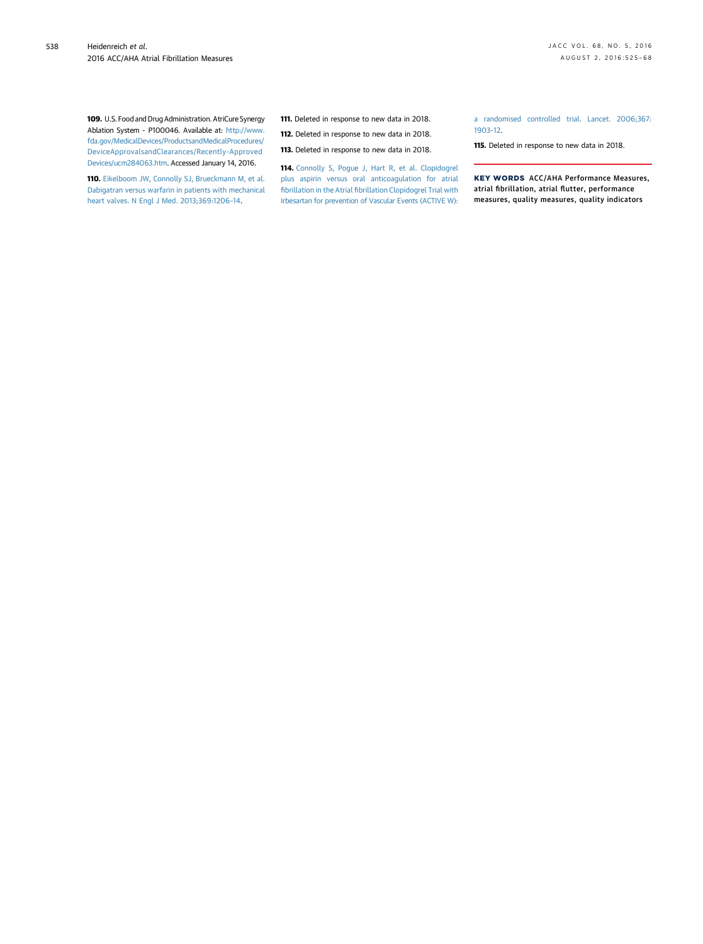<span id="page-13-0"></span>109. U.S. Food and Drug Administration. AtriCure Synergy Ablation System - P100046. Available at: [http://www.](http://www.fda.gov/MedicalDevices/ProductsandMedicalProcedures/DeviceApprovalsandClearances/Recently-ApprovedDevices/ucm284063.htm) [fda.gov/MedicalDevices/ProductsandMedicalProcedures/](http://www.fda.gov/MedicalDevices/ProductsandMedicalProcedures/DeviceApprovalsandClearances/Recently-ApprovedDevices/ucm284063.htm) [DeviceApprovalsandClearances/Recently-Approved](http://www.fda.gov/MedicalDevices/ProductsandMedicalProcedures/DeviceApprovalsandClearances/Recently-ApprovedDevices/ucm284063.htm) [Devices/ucm284063.htm.](http://www.fda.gov/MedicalDevices/ProductsandMedicalProcedures/DeviceApprovalsandClearances/Recently-ApprovedDevices/ucm284063.htm) Accessed January 14, 2016.

110. [Eikelboom JW, Connolly SJ, Brueckmann M, et al.](http://refhub.elsevier.com/S0735-1097(16)32400-7/sref110) [Dabigatran versus warfarin in patients with mechanical](http://refhub.elsevier.com/S0735-1097(16)32400-7/sref110) [heart valves. N Engl J Med. 2013;369:1206](http://refhub.elsevier.com/S0735-1097(16)32400-7/sref110)–14.

111. Deleted in response to new data in 2018.

112. Deleted in response to new data in 2018.

113. Deleted in response to new data in 2018.

114. [Connolly S, Pogue J, Hart R, et al. Clopidogrel](http://refhub.elsevier.com/S0735-1097(16)32400-7/sref114) [plus aspirin versus oral anticoagulation for atrial](http://refhub.elsevier.com/S0735-1097(16)32400-7/sref114) fibrillation in the Atrial fi[brillation Clopidogrel Trial with](http://refhub.elsevier.com/S0735-1097(16)32400-7/sref114) [Irbesartan for prevention of Vascular Events \(ACTIVE W\):](http://refhub.elsevier.com/S0735-1097(16)32400-7/sref114) [a randomised controlled trial. Lancet. 2006;367:](http://refhub.elsevier.com/S0735-1097(16)32400-7/sref114) [1903](http://refhub.elsevier.com/S0735-1097(16)32400-7/sref114)–12.

115. Deleted in response to new data in 2018.

KEY WORDS ACC/AHA Performance Measures, atrial fibrillation, atrial flutter, performance measures, quality measures, quality indicators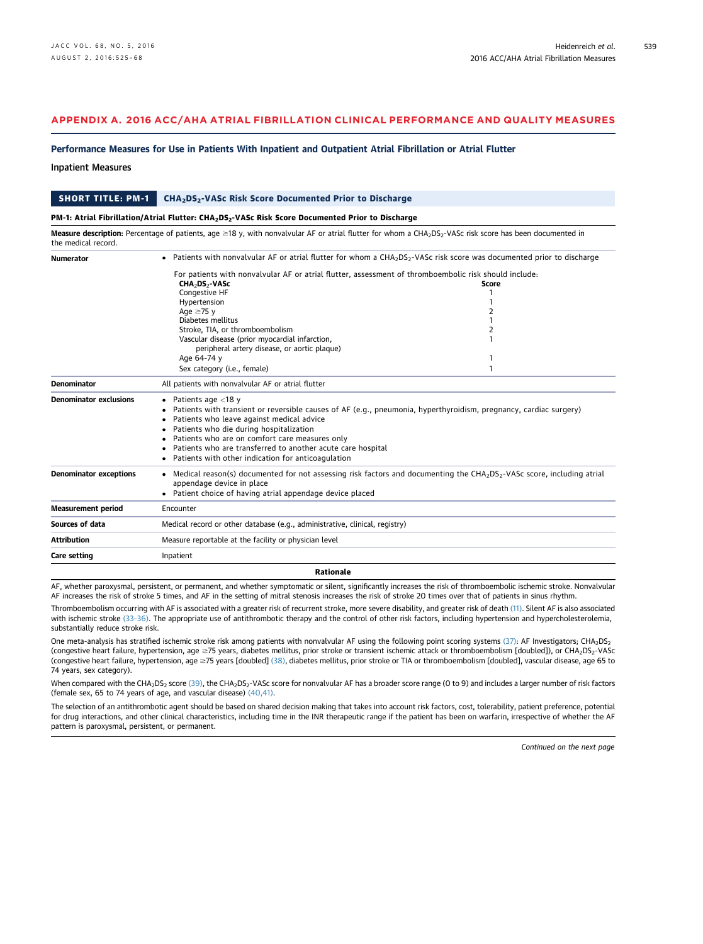# <span id="page-14-0"></span>APPENDIX A. 2016 ACC/AHA ATRIAL FIBRILLATION CLINICAL PERFORMANCE AND QUALITY MEASURES

### Performance Measures for Use in Patients With Inpatient and Outpatient Atrial Fibrillation or Atrial Flutter

Inpatient Measures

# SHORT TITLE: PM-1 CHA<sub>2</sub>DS<sub>2</sub>-VASc Risk Score Documented Prior to Discharge

PM-1: Atrial Fibrillation/Atrial Flutter: CHA<sub>2</sub>DS<sub>2</sub>-VASc Risk Score Documented Prior to Discharge

Measure description: Percentage of patients, age  $\geq 18$  y, with nonvalvular AF or atrial flutter for whom a CHA<sub>2</sub>DS<sub>2</sub>-VASc risk score has been documented in the medical record.

| <b>Numerator</b>              |                                                                                                                                                                                                                                                                                            | • Patients with nonvalvular AF or atrial flutter for whom a CHA <sub>2</sub> DS <sub>2</sub> -VASc risk score was documented prior to discharge  |
|-------------------------------|--------------------------------------------------------------------------------------------------------------------------------------------------------------------------------------------------------------------------------------------------------------------------------------------|--------------------------------------------------------------------------------------------------------------------------------------------------|
|                               | For patients with nonvalvular AF or atrial flutter, assessment of thromboembolic risk should include:                                                                                                                                                                                      |                                                                                                                                                  |
|                               | CHA <sub>2</sub> DS <sub>2</sub> VASc                                                                                                                                                                                                                                                      | Score                                                                                                                                            |
|                               | Congestive HF                                                                                                                                                                                                                                                                              |                                                                                                                                                  |
|                               | Hypertension                                                                                                                                                                                                                                                                               |                                                                                                                                                  |
|                               | Age $\geq$ 75 y                                                                                                                                                                                                                                                                            |                                                                                                                                                  |
|                               | Diabetes mellitus                                                                                                                                                                                                                                                                          |                                                                                                                                                  |
|                               | Stroke, TIA, or thromboembolism                                                                                                                                                                                                                                                            |                                                                                                                                                  |
|                               | Vascular disease (prior myocardial infarction,                                                                                                                                                                                                                                             |                                                                                                                                                  |
|                               | peripheral artery disease, or aortic plaque)                                                                                                                                                                                                                                               |                                                                                                                                                  |
|                               | Age 64-74 y                                                                                                                                                                                                                                                                                |                                                                                                                                                  |
|                               | Sex category (i.e., female)                                                                                                                                                                                                                                                                | 1                                                                                                                                                |
| <b>Denominator</b>            | All patients with nonvalvular AF or atrial flutter                                                                                                                                                                                                                                         |                                                                                                                                                  |
| <b>Denominator exclusions</b> | • Patients age $<$ 18 y<br>Patients who leave against medical advice<br>Patients who die during hospitalization<br>Patients who are on comfort care measures only<br>• Patients who are transferred to another acute care hospital<br>• Patients with other indication for anticoagulation | Patients with transient or reversible causes of AF (e.g., pneumonia, hyperthyroidism, pregnancy, cardiac surgery)                                |
| <b>Denominator exceptions</b> | appendage device in place<br>• Patient choice of having atrial appendage device placed                                                                                                                                                                                                     | • Medical reason(s) documented for not assessing risk factors and documenting the CHA <sub>2</sub> DS <sub>2</sub> -VASc score, including atrial |
| <b>Measurement period</b>     | Encounter                                                                                                                                                                                                                                                                                  |                                                                                                                                                  |
| Sources of data               | Medical record or other database (e.g., administrative, clinical, registry)                                                                                                                                                                                                                |                                                                                                                                                  |
| <b>Attribution</b>            | Measure reportable at the facility or physician level                                                                                                                                                                                                                                      |                                                                                                                                                  |
| <b>Care setting</b>           | Inpatient                                                                                                                                                                                                                                                                                  |                                                                                                                                                  |

# Rationale

AF, whether paroxysmal, persistent, or permanent, and whether symptomatic or silent, significantly increases the risk of thromboembolic ischemic stroke. Nonvalvular AF increases the risk of stroke 5 times, and AF in the setting of mitral stenosis increases the risk of stroke 20 times over that of patients in sinus rhythm.

Thromboembolism occurring with AF is associated with a greater risk of recurrent stroke, more severe disability, and greater risk of death [\(11\).](#page-10-0) Silent AF is also associated with ischemic stroke (33-[36\).](#page-11-0) The appropriate use of antithrombotic therapy and the control of other risk factors, including hypertension and hypercholesterolemia, substantially reduce stroke risk.

One meta-analysis has stratified ischemic stroke risk among patients with nonvalvular AF using the following point scoring systems [\(37\)](#page-11-0): AF Investigators; CHA<sub>2</sub>DS<sub>2</sub> (congestive heart failure, hypertension, age ≥75 years, diabetes mellitus, prior stroke or transient ischemic attack or thromboembolism [doubled]), or CHA<sub>2</sub>DS<sub>2</sub>-VASc (congestive heart failure, hypertension, age ≥75 years [doubled] [\(38\),](#page-11-0) diabetes mellitus, prior stroke or TIA or thromboembolism [doubled], vascular disease, age 65 to 74 years, sex category).

When compared with the CHA<sub>2</sub>DS<sub>2</sub> score [\(39\)](#page-11-0), the CHA<sub>2</sub>DS<sub>2</sub>-VASc score for nonvalvular AF has a broader score range (0 to 9) and includes a larger number of risk factors (female sex, 65 to 74 years of age, and vascular disease) [\(40,41\).](#page-11-0)

The selection of an antithrombotic agent should be based on shared decision making that takes into account risk factors, cost, tolerability, patient preference, potential for drug interactions, and other clinical characteristics, including time in the INR therapeutic range if the patient has been on warfarin, irrespective of whether the AF pattern is paroxysmal, persistent, or permanent.

Continued on the next page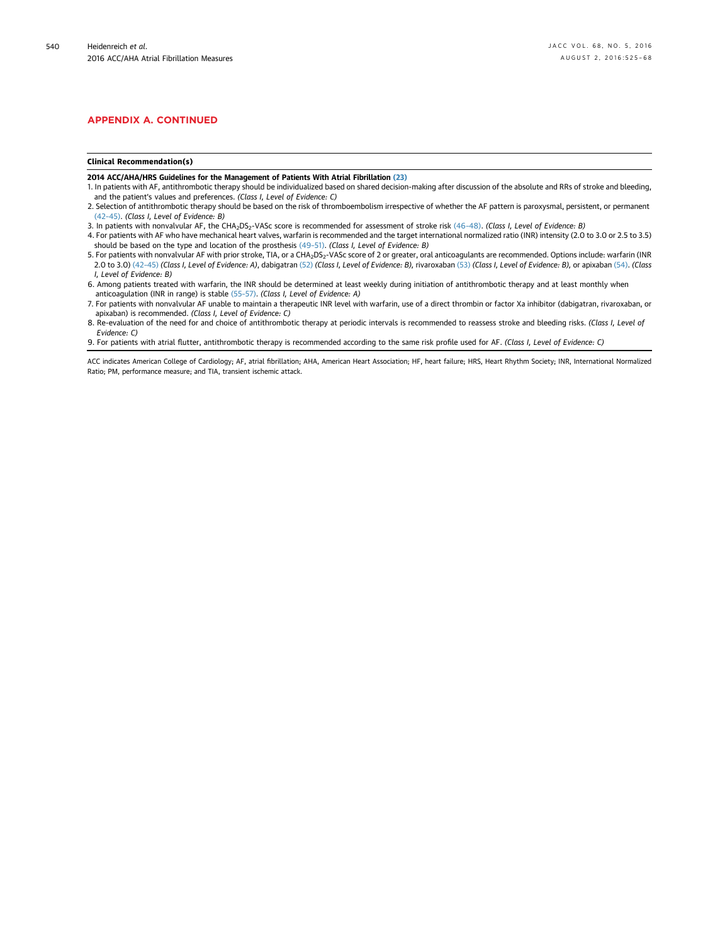### Clinical Recommendation(s)

2014 ACC/AHA/HRS Guidelines for the Management of Patients With Atrial Fibrillation [\(23\)](#page-10-0)

- 1. In patients with AF, antithrombotic therapy should be individualized based on shared decision-making after discussion of the absolute and RRs of stroke and bleeding, and the patient's values and preferences. (Class I, Level of Evidence: C)
- 2. Selection of antithrombotic therapy should be based on the risk of thromboembolism irrespective of whether the AF pattern is paroxysmal, persistent, or permanent [\(42](#page-11-0)–[45\).](#page-11-0) (Class I, Level of Evidence: B)
- 3. In patients with nonvalvular AF, the CHA<sub>2</sub>DS<sub>2</sub>-VASc score is recommended for assessment of stroke risk [\(46](#page-11-0)-48). (Class I, Level of Evidence: B)
- 4. For patients with AF who have mechanical heart valves, warfarin is recommended and the target international normalized ratio (INR) intensity (2.0 to 3.0 or 2.5 to 3.5) should be based on the type and location of the prosthesis [\(49](#page-11-0)-51). (Class I, Level of Evidence: B)
- 5. For patients with nonvalvular AF with prior stroke, TIA, or a CHA<sub>2</sub>DS<sub>2</sub>-VASc score of 2 or greater, oral anticoagulants are recommended. Options include: warfarin (INR 2.0 to 3.0) (42-[45\)](#page-11-0) (Class I, Level of Evidence: A), dabigatran [\(52\)](#page-11-0) (Class I, Level of Evidence: B), rivaroxaban [\(53\)](#page-11-0) (Class I, Level of Evidence: B), or apixaban [\(54\).](#page-11-0) (Class I, Level of Evidence: B)
- 6. Among patients treated with warfarin, the INR should be determined at least weekly during initiation of antithrombotic therapy and at least monthly when anticoagulation (INR in range) is stable [\(55](#page-11-0)–57). (Class I, Level of Evidence: A)
- 7. For patients with nonvalvular AF unable to maintain a therapeutic INR level with warfarin, use of a direct thrombin or factor Xa inhibitor (dabigatran, rivaroxaban, or apixaban) is recommended. (Class I, Level of Evidence: C)
- 8. Re-evaluation of the need for and choice of antithrombotic therapy at periodic intervals is recommended to reassess stroke and bleeding risks. (Class I, Level of Evidence: C)

9. For patients with atrial flutter, antithrombotic therapy is recommended according to the same risk profile used for AF. (Class I, Level of Evidence: C)

ACC indicates American College of Cardiology; AF, atrial fibrillation; AHA, American Heart Association; HF, heart failure; HRS, Heart Rhythm Society; INR, International Normalized Ratio; PM, performance measure; and TIA, transient ischemic attack.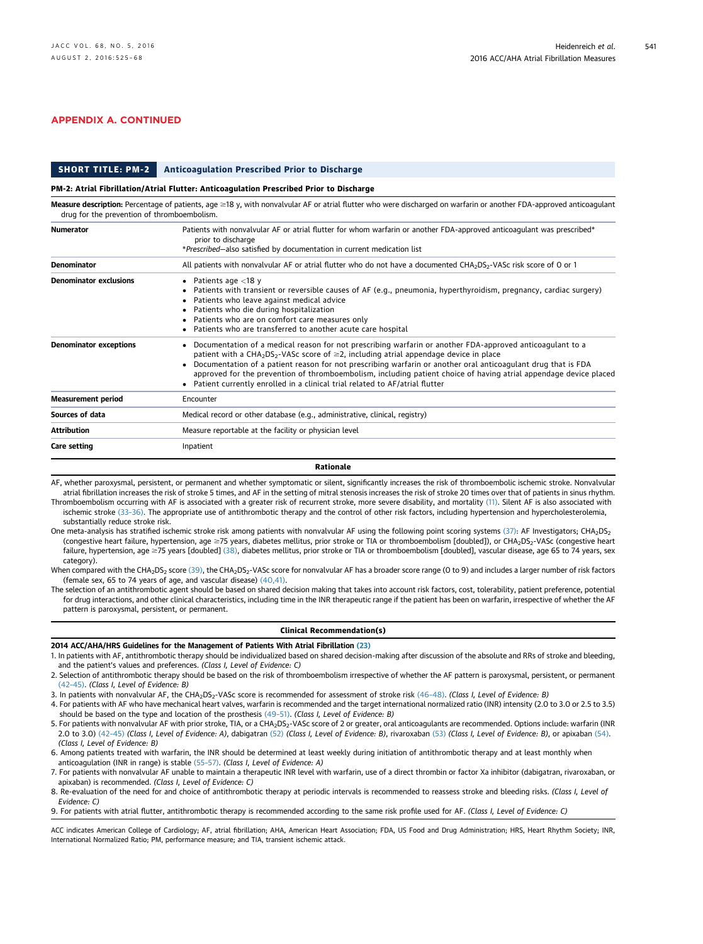### SHORT TITLE: PM-2 Anticoagulation Prescribed Prior to Discharge

#### PM-2: Atrial Fibrillation/Atrial Flutter: Anticoagulation Prescribed Prior to Discharge

Measure description: Percentage of patients, age ≥18 y, with nonvalvular AF or atrial flutter who were discharged on warfarin or another FDA-approved anticoagulant drug for the prevention of thromboembolism.

| <b>Numerator</b>              | Patients with nonvalvular AF or atrial flutter for whom warfarin or another FDA-approved anticoagulant was prescribed*<br>prior to discharge<br>*Prescribed-also satisfied by documentation in current medication list                                                                                                                                                                                                                                                                                                                                                                       |
|-------------------------------|----------------------------------------------------------------------------------------------------------------------------------------------------------------------------------------------------------------------------------------------------------------------------------------------------------------------------------------------------------------------------------------------------------------------------------------------------------------------------------------------------------------------------------------------------------------------------------------------|
| <b>Denominator</b>            | All patients with nonvalvular AF or atrial flutter who do not have a documented CHA <sub>2</sub> DS <sub>2</sub> -VASc risk score of 0 or 1                                                                                                                                                                                                                                                                                                                                                                                                                                                  |
| <b>Denominator exclusions</b> | • Patients age $<$ 18 y<br>Patients with transient or reversible causes of AF (e.g., pneumonia, hyperthyroidism, pregnancy, cardiac surgery)<br>Patients who leave against medical advice<br>٠<br>Patients who die during hospitalization<br>٠<br>Patients who are on comfort care measures only<br>Patients who are transferred to another acute care hospital                                                                                                                                                                                                                              |
| <b>Denominator exceptions</b> | Documentation of a medical reason for not prescribing warfarin or another FDA-approved anticoagulant to a<br>$\bullet$<br>patient with a CHA <sub>2</sub> DS <sub>2</sub> -VASc score of $\geq$ 2, including atrial appendage device in place<br>Documentation of a patient reason for not prescribing warfarin or another oral anticoagulant drug that is FDA<br>$\bullet$<br>approved for the prevention of thromboembolism, including patient choice of having atrial appendage device placed<br>Patient currently enrolled in a clinical trial related to AF/atrial flutter<br>$\bullet$ |
| <b>Measurement period</b>     | Encounter                                                                                                                                                                                                                                                                                                                                                                                                                                                                                                                                                                                    |
| Sources of data               | Medical record or other database (e.g., administrative, clinical, registry)                                                                                                                                                                                                                                                                                                                                                                                                                                                                                                                  |
| <b>Attribution</b>            | Measure reportable at the facility or physician level                                                                                                                                                                                                                                                                                                                                                                                                                                                                                                                                        |
| Care setting                  | Inpatient                                                                                                                                                                                                                                                                                                                                                                                                                                                                                                                                                                                    |

### Rationale

AF, whether paroxysmal, persistent, or permanent and whether symptomatic or silent, significantly increases the risk of thromboembolic ischemic stroke. Nonvalvular atrial fibrillation increases the risk of stroke 5 times, and AF in the setting of mitral stenosis increases the risk of stroke 20 times over that of patients in sinus rhythm.

Thromboembolism occurring with AF is associated with a greater risk of recurrent stroke, more severe disability, and mortality [\(11\).](#page-10-0) Silent AF is also associated with ischemic stroke (33-[36\).](#page-11-0) The appropriate use of antithrombotic therapy and the control of other risk factors, including hypertension and hypercholesterolemia, substantially reduce stroke risk.

One meta-analysis has stratified ischemic stroke risk among patients with nonvalvular AF using the following point scoring systems [\(37\)](#page-11-0): AF Investigators; CHA<sub>2</sub>DS<sub>2</sub> (congestive heart failure, hypertension, age \$75 years, diabetes mellitus, prior stroke or TIA or thromboembolism [doubled]), or CHA2DS2-VASc (congestive heart failure, hypertension, age ≥75 years [doubled] [\(38\),](#page-11-0) diabetes mellitus, prior stroke or TIA or thromboembolism [doubled], vascular disease, age 65 to 74 years, sex category).

When compared with the CHA<sub>2</sub>DS<sub>2</sub> score [\(39\)](#page-11-0), the CHA<sub>2</sub>DS<sub>2</sub>-VASc score for nonvalvular AF has a broader score range (0 to 9) and includes a larger number of risk factors (female sex, 65 to 74 years of age, and vascular disease) [\(40,41\).](#page-11-0)

The selection of an antithrombotic agent should be based on shared decision making that takes into account risk factors, cost, tolerability, patient preference, potential for drug interactions, and other clinical characteristics, including time in the INR therapeutic range if the patient has been on warfarin, irrespective of whether the AF pattern is paroxysmal, persistent, or permanent.

# Clinical Recommendation(s)

2014 ACC/AHA/HRS Guidelines for the Management of Patients With Atrial Fibrillation [\(23\)](#page-10-0)

- 1. In patients with AF, antithrombotic therapy should be individualized based on shared decision-making after discussion of the absolute and RRs of stroke and bleeding, and the patient's values and preferences. (Class I, Level of Evidence: C)
- 2. Selection of antithrombotic therapy should be based on the risk of thromboembolism irrespective of whether the AF pattern is paroxysmal, persistent, or permanent [\(42](#page-11-0)–45). (Class I, Level of Evidence: B)
- 3. In patients with nonvalvular AF, the CHA<sub>2</sub>DS<sub>2</sub>-VASc score is recommended for assessment of stroke risk [\(46](#page-11-0)-48). (Class I, Level of Evidence: B)

4. For patients with AF who have mechanical heart valves, warfarin is recommended and the target international normalized ratio (INR) intensity (2.0 to 3.0 or 2.5 to 3.5) should be based on the type and location of the prosthesis [\(49](#page-11-0)-51). (Class I, Level of Evidence: B)

- 5. For patients with nonvalvular AF with prior stroke, TIA, or a CHA2DS2-VASc score of 2 or greater, oral anticoagulants are recommended. Options include: warfarin (INR 2.0 to 3.0) (42-[45\)](#page-11-0) (Class I, Level of Evidence: A), dabigatran [\(52\)](#page-11-0) (Class I, Level of Evidence: B), rivaroxaban [\(53\)](#page-11-0) (Class I, Level of Evidence: B), or apixaban [\(54\)](#page-11-0). (Class I, Level of Evidence: B)
- 6. Among patients treated with warfarin, the INR should be determined at least weekly during initiation of antithrombotic therapy and at least monthly when anticoagulation (INR in range) is stable [\(55](#page-11-0)-57). (Class I, Level of Evidence: A)
- 7. For patients with nonvalvular AF unable to maintain a therapeutic INR level with warfarin, use of a direct thrombin or factor Xa inhibitor (dabigatran, rivaroxaban, or apixaban) is recommended. (Class I, Level of Evidence: C)

8. Re-evaluation of the need for and choice of antithrombotic therapy at periodic intervals is recommended to reassess stroke and bleeding risks. (Class I, Level of Evidence: C)

9. For patients with atrial flutter, antithrombotic therapy is recommended according to the same risk profile used for AF. (Class I, Level of Evidence: C)

ACC indicates American College of Cardiology; AF, atrial fibrillation; AHA, American Heart Association; FDA, US Food and Drug Administration; HRS, Heart Rhythm Society; INR, International Normalized Ratio; PM, performance measure; and TIA, transient ischemic attack.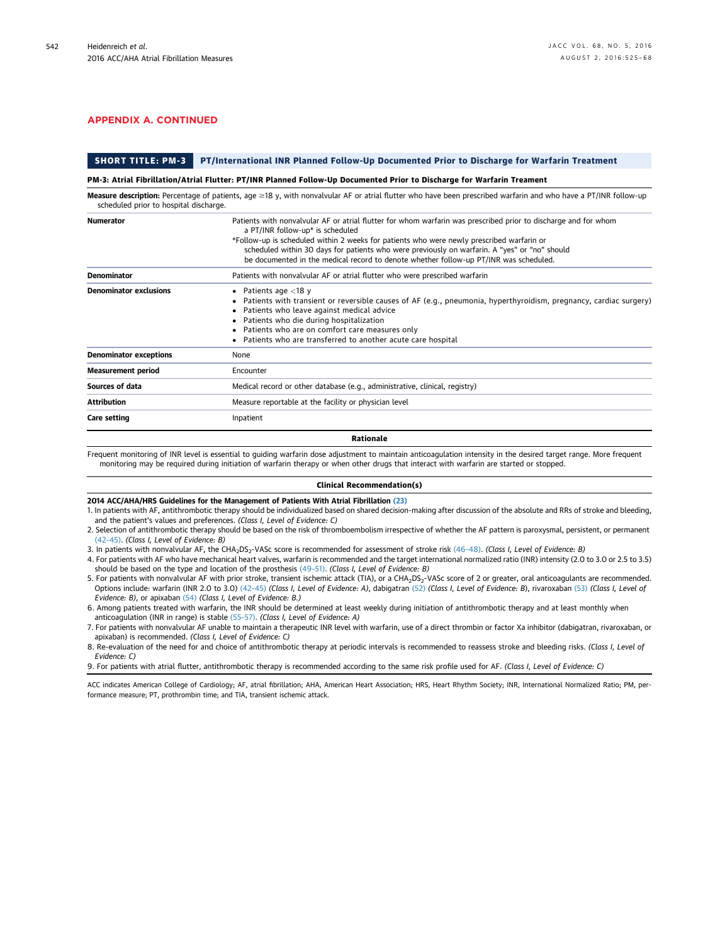### SHORT TITLE: PM-3 PT/International INR Planned Follow-Up Documented Prior to Discharge for Warfarin Treatment

### PM-3: Atrial Fibrillation/Atrial Flutter: PT/INR Planned Follow-Up Documented Prior to Discharge for Warfarin Treament

Measure description: Percentage of patients, age  $\geq 18$  y, with nonvalvular AF or atrial flutter who have been prescribed warfarin and who have a PT/INR follow-up scheduled prior to hospital discharge.

| <b>Numerator</b>              | Patients with nonvalvular AF or atrial flutter for whom warfarin was prescribed prior to discharge and for whom<br>a PT/INR follow-up* is scheduled                                                                                                                                                                                                             |
|-------------------------------|-----------------------------------------------------------------------------------------------------------------------------------------------------------------------------------------------------------------------------------------------------------------------------------------------------------------------------------------------------------------|
|                               | *Follow-up is scheduled within 2 weeks for patients who were newly prescribed warfarin or<br>scheduled within 30 days for patients who were previously on warfarin. A "yes" or "no" should<br>be documented in the medical record to denote whether follow-up PT/INR was scheduled.                                                                             |
| <b>Denominator</b>            | Patients with nonvalvular AF or atrial flutter who were prescribed warfarin                                                                                                                                                                                                                                                                                     |
| <b>Denominator exclusions</b> | • Patients age $<$ 18 y<br>• Patients with transient or reversible causes of AF (e.g., pneumonia, hyperthyroidism, pregnancy, cardiac surgery)<br>• Patients who leave against medical advice<br>• Patients who die during hospitalization<br>• Patients who are on comfort care measures only<br>• Patients who are transferred to another acute care hospital |
| <b>Denominator exceptions</b> | None                                                                                                                                                                                                                                                                                                                                                            |
| <b>Measurement period</b>     | Encounter                                                                                                                                                                                                                                                                                                                                                       |
| Sources of data               | Medical record or other database (e.g., administrative, clinical, registry)                                                                                                                                                                                                                                                                                     |
| <b>Attribution</b>            | Measure reportable at the facility or physician level                                                                                                                                                                                                                                                                                                           |
| Care setting                  | Inpatient                                                                                                                                                                                                                                                                                                                                                       |

#### Rationale

Frequent monitoring of INR level is essential to guiding warfarin dose adjustment to maintain anticoagulation intensity in the desired target range. More frequent monitoring may be required during initiation of warfarin therapy or when other drugs that interact with warfarin are started or stopped.

#### Clinical Recommendation(s)

2014 ACC/AHA/HRS Guidelines for the Management of Patients With Atrial Fibrillation [\(23\)](#page-10-0)

1. In patients with AF, antithrombotic therapy should be individualized based on shared decision-making after discussion of the absolute and RRs of stroke and bleeding, and the patient's values and preferences. (Class I, Level of Evidence: C)

2. Selection of antithrombotic therapy should be based on the risk of thromboembolism irrespective of whether the AF pattern is paroxysmal, persistent, or permanent [\(4](#page-11-0)2–[45\)](#page-11-0). (Class I, Level of Evidence: B)

3. In patients with nonvalvular AF, the CHA<sub>2</sub>DS<sub>2</sub>-VASc score is recommended for assessment of stroke risk [\(46](#page-11-0)-48). (Class I, Level of Evidence: B) 4. For patients with AF who have mechanical heart valves, warfarin is recommended and the target international normalized ratio (INR) intensity (2.0 to 3.0 or 2.5 to 3.5)

should be based on the type and location of the prosthesis [\(49](#page-11-0)–51). (Class I, Level of Evidence: B) 5. For patients with nonvalvular AF with prior stroke, transient ischemic attack (TIA), or a CHA<sub>2</sub>DS<sub>2</sub>-VASc score of 2 or greater, oral anticoagulants are recommended. Options include: warfarin (INR 2.0 to 3.0) [\(42](#page-11-0)-45) (Class I, Level of Evidence: A), dabigatran [\(52\)](#page-11-0) (Class I, Level of Evidence: B), rivaroxaban [\(53\)](#page-11-0) (Class I, Level of

Evidence: B), or apixaban [\(54\)](#page-11-0) (Class I, Level of Evidence: B.) 6. Among patients treated with warfarin, the INR should be determined at least weekly during initiation of antithrombotic therapy and at least monthly when

anticoagulation (INR in range) is stable [\(55](#page-11-0)–57). (Class I, Level of Evidence: A) 7. For patients with nonvalvular AF unable to maintain a therapeutic INR level with warfarin, use of a direct thrombin or factor Xa inhibitor (dabigatran, rivaroxaban, or

apixaban) is recommended. (Class I, Level of Evidence: C) 8. Re-evaluation of the need for and choice of antithrombotic therapy at periodic intervals is recommended to reassess stroke and bleeding risks. (Class I, Level of

Evidence: C) 9. For patients with atrial flutter, antithrombotic therapy is recommended according to the same risk profile used for AF. (Class I, Level of Evidence: C)

ACC indicates American College of Cardiology; AF, atrial fibrillation; AHA, American Heart Association; HRS, Heart Rhythm Society; INR, International Normalized Ratio; PM, performance measure; PT, prothrombin time; and TIA, transient ischemic attack.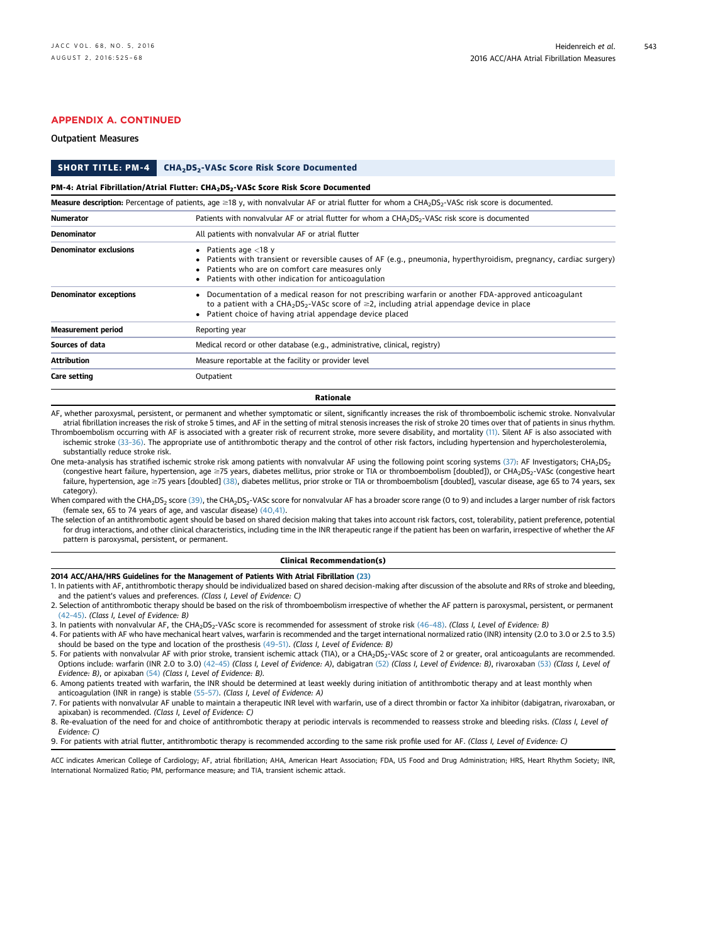### Outpatient Measures

# SHORT TITLE: PM-4 CHA<sub>2</sub>DS<sub>2</sub>-VASc Score Risk Score Documented

#### PM-4: Atrial Fibrillation/Atrial Flutter: CHA<sub>2</sub>DS<sub>2</sub>-VASc Score Risk Score Documented

| Measure description: Percentage of patients, age ≥18 y, with nonvalvular AF or atrial flutter for whom a CHA <sub>2</sub> DS <sub>2</sub> -VASc risk score is documented. |                                                                                                                                                                                                                                                                                                 |  |
|---------------------------------------------------------------------------------------------------------------------------------------------------------------------------|-------------------------------------------------------------------------------------------------------------------------------------------------------------------------------------------------------------------------------------------------------------------------------------------------|--|
| <b>Numerator</b>                                                                                                                                                          | Patients with nonvalvular AF or atrial flutter for whom a CHA <sub>2</sub> DS <sub>2</sub> -VASc risk score is documented                                                                                                                                                                       |  |
| <b>Denominator</b>                                                                                                                                                        | All patients with nonvalvular AF or atrial flutter                                                                                                                                                                                                                                              |  |
| <b>Denominator exclusions</b>                                                                                                                                             | • Patients age $<$ 18 y<br>• Patients with transient or reversible causes of AF (e.g., pneumonia, hyperthyroidism, pregnancy, cardiac surgery)<br>• Patients who are on comfort care measures only<br>• Patients with other indication for anticoagulation                                      |  |
| <b>Denominator exceptions</b>                                                                                                                                             | • Documentation of a medical reason for not prescribing warfarin or another FDA-approved anticoagulant<br>to a patient with a CHA <sub>2</sub> DS <sub>2</sub> -VASc score of $\geq$ 2, including atrial appendage device in place<br>• Patient choice of having atrial appendage device placed |  |
| <b>Measurement period</b>                                                                                                                                                 | Reporting year                                                                                                                                                                                                                                                                                  |  |
| Sources of data                                                                                                                                                           | Medical record or other database (e.g., administrative, clinical, registry)                                                                                                                                                                                                                     |  |
| <b>Attribution</b>                                                                                                                                                        | Measure reportable at the facility or provider level                                                                                                                                                                                                                                            |  |
| <b>Care setting</b>                                                                                                                                                       | Outpatient                                                                                                                                                                                                                                                                                      |  |

### Rationale

AF, whether paroxysmal, persistent, or permanent and whether symptomatic or silent, significantly increases the risk of thromboembolic ischemic stroke. Nonvalvular atrial fibrillation increases the risk of stroke 5 times, and AF in the setting of mitral stenosis increases the risk of stroke 20 times over that of patients in sinus rhythm.

Thromboembolism occurring with AF is associated with a greater risk of recurrent stroke, more severe disability, and mortality [\(11\).](#page-10-0) Silent AF is also associated with ischemic stroke (33-[36\).](#page-11-0) The appropriate use of antithrombotic therapy and the control of other risk factors, including hypertension and hypercholesterolemia, substantially reduce stroke risk.

- One meta-analysis has stratified ischemic stroke risk among patients with nonvalvular AF using the following point scoring systems [\(37\)](#page-11-0): AF Investigators; CHA<sub>2</sub>DS<sub>2</sub> (congestive heart failure, hypertension, age ≥75 years, diabetes mellitus, prior stroke or TIA or thromboembolism [doubled]), or CHA<sub>2</sub>DS<sub>2</sub>-VASc (congestive heart failure, hypertension, age ≥75 years [doubled] [\(38\),](#page-11-0) diabetes mellitus, prior stroke or TIA or thromboembolism [doubled], vascular disease, age 65 to 74 years, sex category).
- When compared with the CHA<sub>2</sub>DS<sub>2</sub> score [\(39\)](#page-11-0), the CHA<sub>2</sub>DS<sub>2</sub>-VASc score for nonvalvular AF has a broader score range (0 to 9) and includes a larger number of risk factors (female sex, 65 to 74 years of age, and vascular disease) [\(40,41\).](#page-11-0)
- The selection of an antithrombotic agent should be based on shared decision making that takes into account risk factors, cost, tolerability, patient preference, potential for drug interactions, and other clinical characteristics, including time in the INR therapeutic range if the patient has been on warfarin, irrespective of whether the AF pattern is paroxysmal, persistent, or permanent.

### Clinical Recommendation(s)

#### 2014 ACC/AHA/HRS Guidelines for the Management of Patients With Atrial Fibrillation [\(23\)](#page-10-0)

- 1. In patients with AF, antithrombotic therapy should be individualized based on shared decision-making after discussion of the absolute and RRs of stroke and bleeding, and the patient's values and preferences. (Class I, Level of Evidence: C)
- 2. Selection of antithrombotic therapy should be based on the risk of thromboembolism irrespective of whether the AF pattern is paroxysmal, persistent, or permanent [\(4](#page-11-0)2–[45\)](#page-11-0). (Class I, Level of Evidence: B)
- 3. In patients with nonvalvular AF, the CHA<sub>2</sub>DS<sub>2</sub>-VASc score is recommended for assessment of stroke risk [\(46](#page-11-0)-48). (Class I, Level of Evidence: B)
- 4. For patients with AF who have mechanical heart valves, warfarin is recommended and the target international normalized ratio (INR) intensity (2.0 to 3.0 or 2.5 to 3.5) should be based on the type and location of the prosthesis [\(49](#page-11-0)-51). (Class I, Level of Evidence: B)
- 5. For patients with nonvalvular AF with prior stroke, transient ischemic attack (TIA), or a CHA<sub>2</sub>DS<sub>2</sub>-VASc score of 2 or greater, oral anticoagulants are recommended. Options include: warfarin (INR 2.0 to 3.0) [\(42](#page-11-0)-45) (Class I, Level of Evidence: A), dabigatran [\(52\)](#page-11-0) (Class I, Level of Evidence: B), rivaroxaban [\(53\)](#page-11-0) (Class I, Level of Evidence: B), or apixaban [\(54\)](#page-11-0) (Class I, Level of Evidence: B).
- 6. Among patients treated with warfarin, the INR should be determined at least weekly during initiation of antithrombotic therapy and at least monthly when anticoagulation (INR in range) is stable [\(55](#page-11-0)–57). (Class I, Level of Evidence: A)
- 7. For patients with nonvalvular AF unable to maintain a therapeutic INR level with warfarin, use of a direct thrombin or factor Xa inhibitor (dabigatran, rivaroxaban, or apixaban) is recommended. (Class I, Level of Evidence: C)
- 8. Re-evaluation of the need for and choice of antithrombotic therapy at periodic intervals is recommended to reassess stroke and bleeding risks. (Class I, Level of Evidence: C)

9. For patients with atrial flutter, antithrombotic therapy is recommended according to the same risk profile used for AF. (Class I, Level of Evidence: C)

ACC indicates American College of Cardiology; AF, atrial fibrillation; AHA, American Heart Association; FDA, US Food and Drug Administration; HRS, Heart Rhythm Society; INR, International Normalized Ratio; PM, performance measure; and TIA, transient ischemic attack.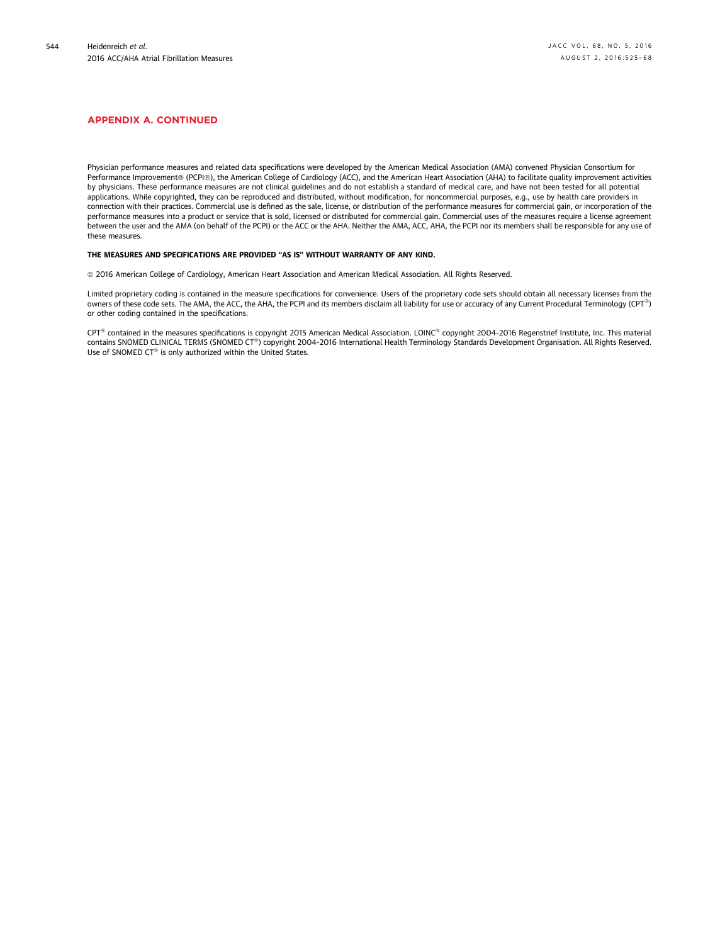Physician performance measures and related data specifications were developed by the American Medical Association (AMA) convened Physician Consortium for Performance Improvement® (PCPI®), the American College of Cardiology (ACC), and the American Heart Association (AHA) to facilitate quality improvement activities by physicians. These performance measures are not clinical guidelines and do not establish a standard of medical care, and have not been tested for all potential applications. While copyrighted, they can be reproduced and distributed, without modification, for noncommercial purposes, e.g., use by health care providers in connection with their practices. Commercial use is defined as the sale, license, or distribution of the performance measures for commercial gain, or incorporation of the performance measures into a product or service that is sold, licensed or distributed for commercial gain. Commercial uses of the measures require a license agreement between the user and the AMA (on behalf of the PCPI) or the ACC or the AHA. Neither the AMA, ACC, AHA, the PCPI nor its members shall be responsible for any use of these measures.

### THE MEASURES AND SPECIFICATIONS ARE PROVIDED "AS IS" WITHOUT WARRANTY OF ANY KIND.

ª 2016 American College of Cardiology, American Heart Association and American Medical Association. All Rights Reserved.

Limited proprietary coding is contained in the measure specifications for convenience. Users of the proprietary code sets should obtain all necessary licenses from the owners of these code sets. The AMA, the ACC, the AHA, the PCPI and its members disclaim all liability for use or accuracy of any Current Procedural Terminology (CPT-) or other coding contained in the specifications.

CPT® contained in the measures specifications is copyright 2015 American Medical Association. LOINC® copyright 2004-2016 Regenstrief Institute, Inc. This material contains SNOMED CLINICAL TERMS (SNOMED CT®) copyright 2004-2016 International Health Terminology Standards Development Organisation. All Rights Reserved. Use of SNOMED  $CT^{\circledast}$  is only authorized within the United States.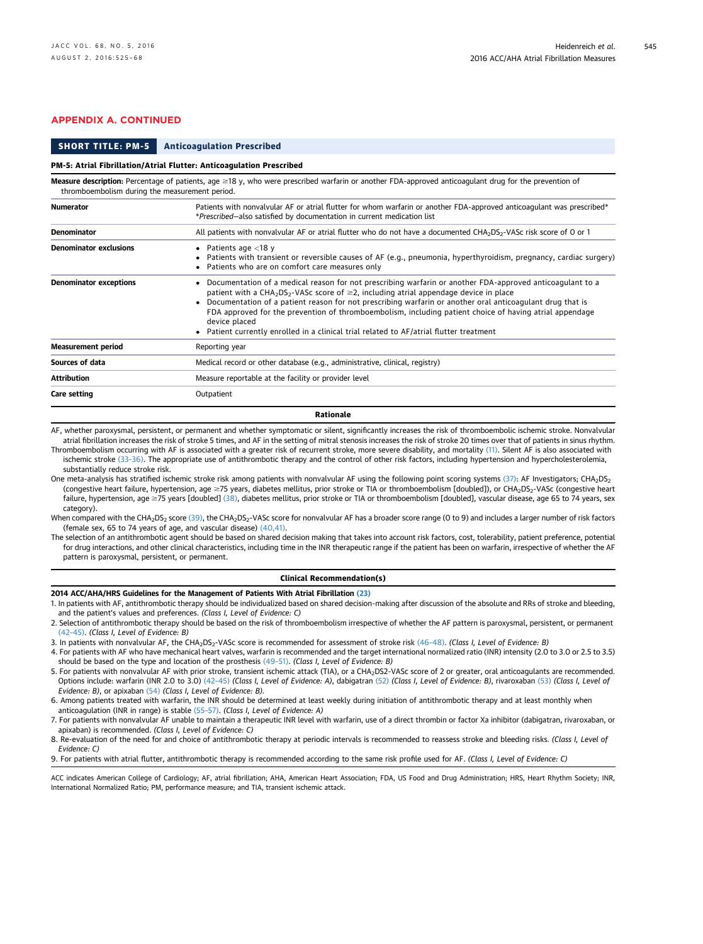### SHORT TITLE: PM-5 Anticoagulation Prescribed

### PM-5: Atrial Fibrillation/Atrial Flutter: Anticoagulation Prescribed

Measure description: Percentage of patients, age ≥18 y, who were prescribed warfarin or another FDA-approved anticoagulant drug for the prevention of thromboembolism during the measurement period.

| <b>Numerator</b>              | Patients with nonvalvular AF or atrial flutter for whom warfarin or another FDA-approved anticoagulant was prescribed*<br>*Prescribed-also satisfied by documentation in current medication list                                                                                                                                                                                                                                                                                                                                                                                    |
|-------------------------------|-------------------------------------------------------------------------------------------------------------------------------------------------------------------------------------------------------------------------------------------------------------------------------------------------------------------------------------------------------------------------------------------------------------------------------------------------------------------------------------------------------------------------------------------------------------------------------------|
| <b>Denominator</b>            | All patients with nonvalvular AF or atrial flutter who do not have a documented CHA <sub>2</sub> DS <sub>2</sub> -VASc risk score of 0 or 1                                                                                                                                                                                                                                                                                                                                                                                                                                         |
| <b>Denominator exclusions</b> | • Patients age $<$ 18 y<br>• Patients with transient or reversible causes of AF (e.g., pneumonia, hyperthyroidism, pregnancy, cardiac surgery)<br>Patients who are on comfort care measures only                                                                                                                                                                                                                                                                                                                                                                                    |
| <b>Denominator exceptions</b> | • Documentation of a medical reason for not prescribing warfarin or another FDA-approved anticoagulant to a<br>patient with a CHA <sub>2</sub> DS <sub>2</sub> -VASc score of $\geq$ 2, including atrial appendage device in place<br>Documentation of a patient reason for not prescribing warfarin or another oral anticoagulant drug that is<br>$\bullet$<br>FDA approved for the prevention of thromboembolism, including patient choice of having atrial appendage<br>device placed<br>• Patient currently enrolled in a clinical trial related to AF/atrial flutter treatment |
| <b>Measurement period</b>     | Reporting year                                                                                                                                                                                                                                                                                                                                                                                                                                                                                                                                                                      |
| Sources of data               | Medical record or other database (e.g., administrative, clinical, registry)                                                                                                                                                                                                                                                                                                                                                                                                                                                                                                         |
| <b>Attribution</b>            | Measure reportable at the facility or provider level                                                                                                                                                                                                                                                                                                                                                                                                                                                                                                                                |
| <b>Care setting</b>           | Outpatient                                                                                                                                                                                                                                                                                                                                                                                                                                                                                                                                                                          |

#### Rationale

AF, whether paroxysmal, persistent, or permanent and whether symptomatic or silent, significantly increases the risk of thromboembolic ischemic stroke. Nonvalvular atrial fibrillation increases the risk of stroke 5 times, and AF in the setting of mitral stenosis increases the risk of stroke 20 times over that of patients in sinus rhythm.

Thromboembolism occurring with AF is associated with a greater risk of recurrent stroke, more severe disability, and mortality [\(11\).](#page-10-0) Silent AF is also associated with ischemic stroke (33-[36\).](#page-11-0) The appropriate use of antithrombotic therapy and the control of other risk factors, including hypertension and hypercholesterolemia, substantially reduce stroke risk.

One meta-analysis has stratified ischemic stroke risk among patients with nonvalvular AF using the following point scoring systems [\(37\)](#page-11-0): AF Investigators; CHA<sub>2</sub>DS<sub>2</sub> (congestive heart failure, hypertension, age ≥75 years, diabetes mellitus, prior stroke or TIA or thromboembolism [doubled]), or CHA<sub>2</sub>DS<sub>2</sub>-VASc (congestive heart failure, hypertension, age ≥75 years [doubled] [\(38\),](#page-11-0) diabetes mellitus, prior stroke or TIA or thromboembolism [doubled], vascular disease, age 65 to 74 years, sex category).

When compared with the CHA<sub>2</sub>DS<sub>2</sub> score [\(39\)](#page-11-0), the CHA<sub>2</sub>DS<sub>2</sub>-VASc score for nonvalvular AF has a broader score range (0 to 9) and includes a larger number of risk factors (female sex, 65 to 74 years of age, and vascular disease) [\(40,41\).](#page-11-0)

The selection of an antithrombotic agent should be based on shared decision making that takes into account risk factors, cost, tolerability, patient preference, potential for drug interactions, and other clinical characteristics, including time in the INR therapeutic range if the patient has been on warfarin, irrespective of whether the AF pattern is paroxysmal, persistent, or permanent.

# Clinical Recommendation(s)

#### 2014 ACC/AHA/HRS Guidelines for the Management of Patients With Atrial Fibrillation [\(23\)](#page-10-0)

1. In patients with AF, antithrombotic therapy should be individualized based on shared decision-making after discussion of the absolute and RRs of stroke and bleeding, and the patient's values and preferences. (Class I, Level of Evidence: C)

2. Selection of antithrombotic therapy should be based on the risk of thromboembolism irrespective of whether the AF pattern is paroxysmal, persistent, or permanent [\(4](#page-11-0)2–[45\)](#page-11-0). (Class I, Level of Evidence: B)

3. In patients with nonvalvular AF, the CHA<sub>2</sub>DS<sub>2</sub>-VASc score is recommended for assessment of stroke risk [\(46](#page-11-0)-48). (Class I, Level of Evidence: B)

4. For patients with AF who have mechanical heart valves, warfarin is recommended and the target international normalized ratio (INR) intensity (2.0 to 3.0 or 2.5 to 3.5) should be based on the type and location of the prosthesis [\(49](#page-11-0)-51). (Class I, Level of Evidence: B)

5. For patients with nonvalvular AF with prior stroke, transient ischemic attack (TIA), or a CHA<sub>2</sub>DS2-VASc score of 2 or greater, oral anticoagulants are recommended. Options include: warfarin (INR 2.0 to 3.0) [\(42](#page-11-0)-45) (Class I, Level of Evidence: A), dabigatran [\(52\)](#page-11-0) (Classs I, Level of Evidence: B), rivaroxaban [\(53\)](#page-11-0) (Class I, Level of Evidence: B), or apixaban [\(54\)](#page-11-0) (Class I, Level of Evidence: B).

6. Among patients treated with warfarin, the INR should be determined at least weekly during initiation of antithrombotic therapy and at least monthly when anticoagulation (INR in range) is stable [\(55](#page-11-0)-57). (Class I, Level of Evidence: A)

7. For patients with nonvalvular AF unable to maintain a therapeutic INR level with warfarin, use of a direct thrombin or factor Xa inhibitor (dabigatran, rivaroxaban, or apixaban) is recommended. (Class I, Level of Evidence: C)

8. Re-evaluation of the need for and choice of antithrombotic therapy at periodic intervals is recommended to reassess stroke and bleeding risks. (Class I, Level of Evidence: C)

9. For patients with atrial flutter, antithrombotic therapy is recommended according to the same risk profile used for AF. (Class I, Level of Evidence: C)

ACC indicates American College of Cardiology; AF, atrial fibrillation; AHA, American Heart Association; FDA, US Food and Drug Administration; HRS, Heart Rhythm Society; INR, International Normalized Ratio; PM, performance measure; and TIA, transient ischemic attack.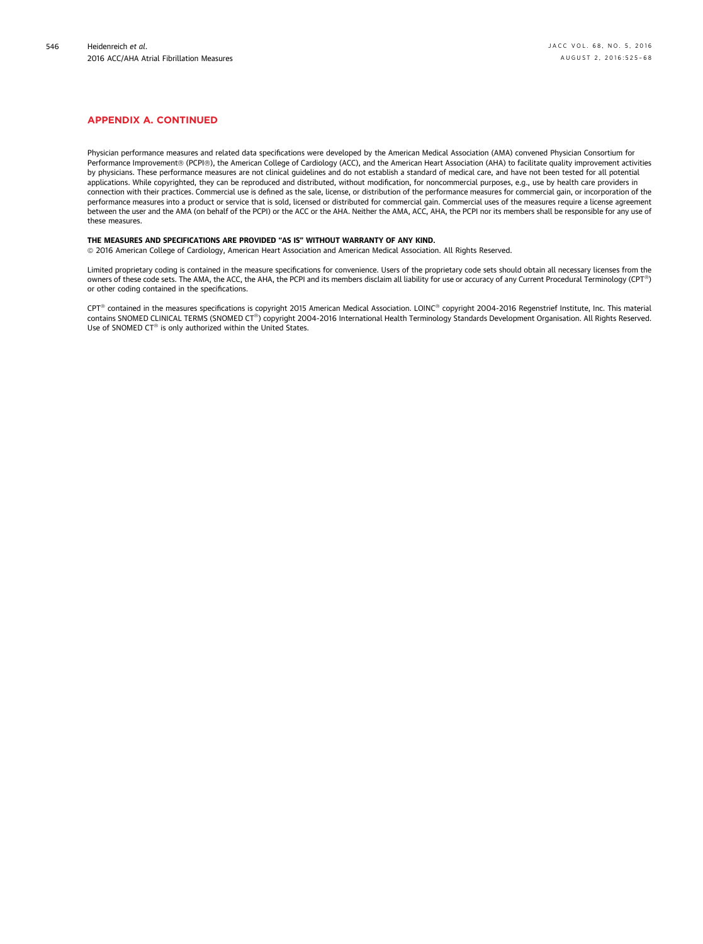Physician performance measures and related data specifications were developed by the American Medical Association (AMA) convened Physician Consortium for Performance Improvement® (PCPI®), the American College of Cardiology (ACC), and the American Heart Association (AHA) to facilitate quality improvement activities by physicians. These performance measures are not clinical guidelines and do not establish a standard of medical care, and have not been tested for all potential applications. While copyrighted, they can be reproduced and distributed, without modification, for noncommercial purposes, e.g., use by health care providers in connection with their practices. Commercial use is defined as the sale, license, or distribution of the performance measures for commercial gain, or incorporation of the performance measures into a product or service that is sold, licensed or distributed for commercial gain. Commercial uses of the measures require a license agreement between the user and the AMA (on behalf of the PCPI) or the ACC or the AHA. Neither the AMA, ACC, AHA, the PCPI nor its members shall be responsible for any use of these measures.

### THE MEASURES AND SPECIFICATIONS ARE PROVIDED "AS IS" WITHOUT WARRANTY OF ANY KIND.

ª 2016 American College of Cardiology, American Heart Association and American Medical Association. All Rights Reserved.

Limited proprietary coding is contained in the measure specifications for convenience. Users of the proprietary code sets should obtain all necessary licenses from the owners of these code sets. The AMA, the ACC, the AHA, the PCPI and its members disclaim all liability for use or accuracy of any Current Procedural Terminology (CPT®) or other coding contained in the specifications.

CPT® contained in the measures specifications is copyright 2015 American Medical Association. LOINC® copyright 2004-2016 Regenstrief Institute, Inc. This material contains SNOMED CLINICAL TERMS (SNOMED CT®) copyright 2004-2016 International Health Terminology Standards Development Organisation. All Rights Reserved. Use of SNOMED CT<sup>®</sup> is only authorized within the United States.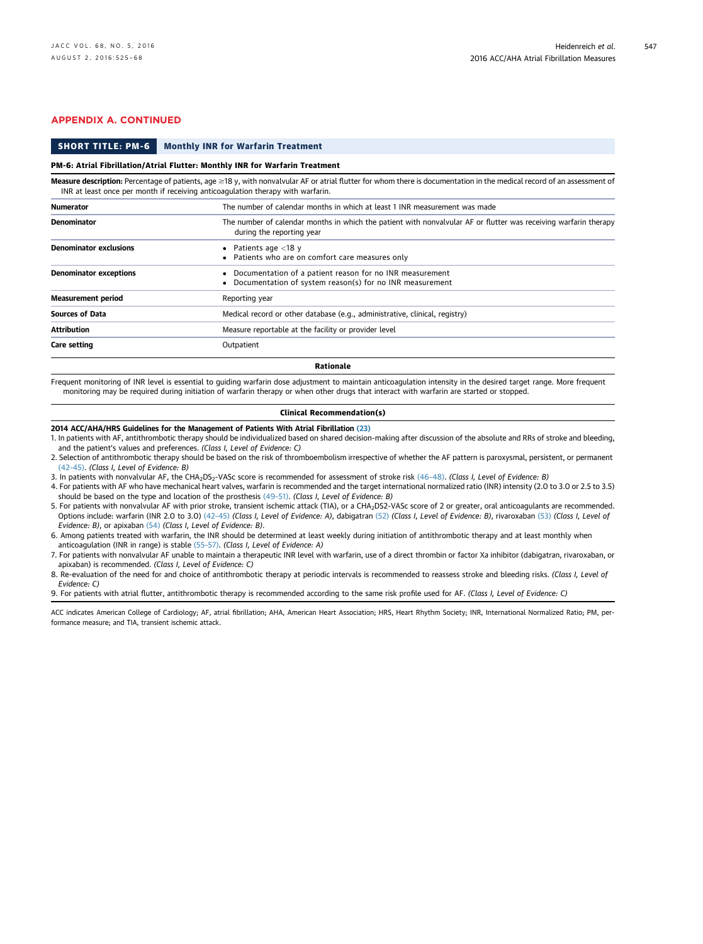### SHORT TITLE: PM-6 Monthly INR for Warfarin Treatment

# PM-6: Atrial Fibrillation/Atrial Flutter: Monthly INR for Warfarin Treatment

Measure description: Percentage of patients, age ≥18 y, with nonvalvular AF or atrial flutter for whom there is documentation in the medical record of an assessment of INR at least once per month if receiving anticoagulation therapy with warfarin.

| <b>Numerator</b>              | The number of calendar months in which at least 1 INR measurement was made                                                                    |
|-------------------------------|-----------------------------------------------------------------------------------------------------------------------------------------------|
| <b>Denominator</b>            | The number of calendar months in which the patient with nonvalvular AF or flutter was receiving warfarin therapy<br>during the reporting year |
| <b>Denominator exclusions</b> | • Patients age $<$ 18 y<br>• Patients who are on comfort care measures only                                                                   |
| <b>Denominator exceptions</b> | • Documentation of a patient reason for no INR measurement<br>Documentation of system reason(s) for no INR measurement                        |
| <b>Measurement period</b>     | Reporting year                                                                                                                                |
| <b>Sources of Data</b>        | Medical record or other database (e.g., administrative, clinical, registry)                                                                   |
| <b>Attribution</b>            | Measure reportable at the facility or provider level                                                                                          |
| Care setting                  | Outpatient                                                                                                                                    |
|                               |                                                                                                                                               |

#### Rationale

Frequent monitoring of INR level is essential to guiding warfarin dose adjustment to maintain anticoagulation intensity in the desired target range. More frequent monitoring may be required during initiation of warfarin therapy or when other drugs that interact with warfarin are started or stopped.

# Clinical Recommendation(s)

- 2014 ACC/AHA/HRS Guidelines for the Management of Patients With Atrial Fibrillation [\(23\)](#page-10-0) 1. In patients with AF, antithrombotic therapy should be individualized based on shared decision-making after discussion of the absolute and RRs of stroke and bleeding, and the patient's values and preferences. (Class I, Level of Evidence: C)
- 2. Selection of antithrombotic therapy should be based on the risk of thromboembolism irrespective of whether the AF pattern is paroxysmal, persistent, or permanent [\(4](#page-11-0)2–[45\)](#page-11-0). (Class I, Level of Evidence: B)
- 3. In patients with nonvalvular AF, the CHA<sub>2</sub>DS<sub>2</sub>-VASc score is recommended for assessment of stroke risk [\(46](#page-11-0)-48). (Class I, Level of Evidence: B)
- 4. For patients with AF who have mechanical heart valves, warfarin is recommended and the target international normalized ratio (INR) intensity (2.0 to 3.0 or 2.5 to 3.5) should be based on the type and location of the prosthesis [\(49](#page-11-0)-51). (Class I, Level of Evidence: B)
- 5. For patients with nonvalvular AF with prior stroke, transient ischemic attack (TIA), or a CHA<sub>2</sub>DS2-VASc score of 2 or greater, oral anticoagulants are recommended. Options include: warfarin (INR 2.0 to 3.0) [\(42](#page-11-0)-45) (Class I, Level of Evidence: A), dabigatran [\(52\)](#page-11-0) (Class I, Level of Evidence: B), rivaroxaban [\(53\)](#page-11-0) (Class I, Level of Evidence: B), or apixaban [\(54\)](#page-11-0) (Class I, Level of Evidence: B).
- 6. Among patients treated with warfarin, the INR should be determined at least weekly during initiation of antithrombotic therapy and at least monthly when anticoagulation (INR in range) is stable [\(55](#page-11-0)–57). (Class I, Level of Evidence: A)
- 7. For patients with nonvalvular AF unable to maintain a therapeutic INR level with warfarin, use of a direct thrombin or factor Xa inhibitor (dabigatran, rivaroxaban, or apixaban) is recommended. (Class I, Level of Evidence: C)
- 8. Re-evaluation of the need for and choice of antithrombotic therapy at periodic intervals is recommended to reassess stroke and bleeding risks. (Class I, Level of Evidence: C)
- 9. For patients with atrial flutter, antithrombotic therapy is recommended according to the same risk profile used for AF. (Class I, Level of Evidence: C)

ACC indicates American College of Cardiology; AF, atrial fibrillation; AHA, American Heart Association; HRS, Heart Rhythm Society; INR, International Normalized Ratio; PM, performance measure; and TIA, transient ischemic attack.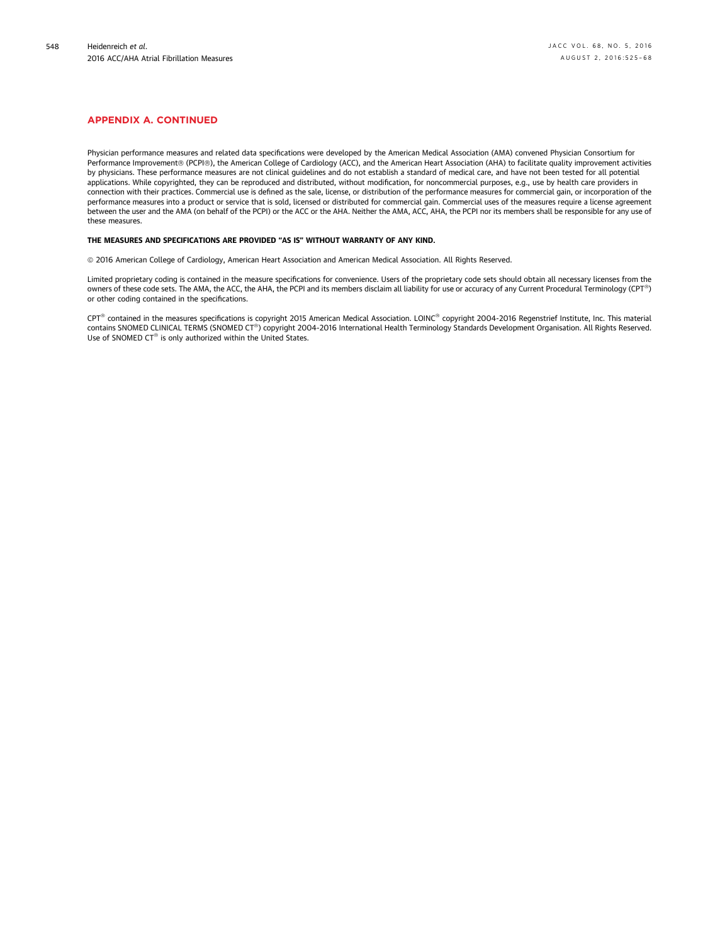Physician performance measures and related data specifications were developed by the American Medical Association (AMA) convened Physician Consortium for Performance Improvement® (PCPI®), the American College of Cardiology (ACC), and the American Heart Association (AHA) to facilitate quality improvement activities by physicians. These performance measures are not clinical guidelines and do not establish a standard of medical care, and have not been tested for all potential applications. While copyrighted, they can be reproduced and distributed, without modification, for noncommercial purposes, e.g., use by health care providers in connection with their practices. Commercial use is defined as the sale, license, or distribution of the performance measures for commercial gain, or incorporation of the performance measures into a product or service that is sold, licensed or distributed for commercial gain. Commercial uses of the measures require a license agreement between the user and the AMA (on behalf of the PCPI) or the ACC or the AHA. Neither the AMA, ACC, AHA, the PCPI nor its members shall be responsible for any use of these measures.

### THE MEASURES AND SPECIFICATIONS ARE PROVIDED "AS IS" WITHOUT WARRANTY OF ANY KIND.

ª 2016 American College of Cardiology, American Heart Association and American Medical Association. All Rights Reserved.

Limited proprietary coding is contained in the measure specifications for convenience. Users of the proprietary code sets should obtain all necessary licenses from the owners of these code sets. The AMA, the ACC, the AHA, the PCPI and its members disclaim all liability for use or accuracy of any Current Procedural Terminology (CPT-) or other coding contained in the specifications.

CPT® contained in the measures specifications is copyright 2015 American Medical Association. LOINC® copyright 2004-2016 Regenstrief Institute, Inc. This material contains SNOMED CLINICAL TERMS (SNOMED CT®) copyright 2004-2016 International Health Terminology Standards Development Organisation. All Rights Reserved. Use of SNOMED  $CT^{\circledast}$  is only authorized within the United States.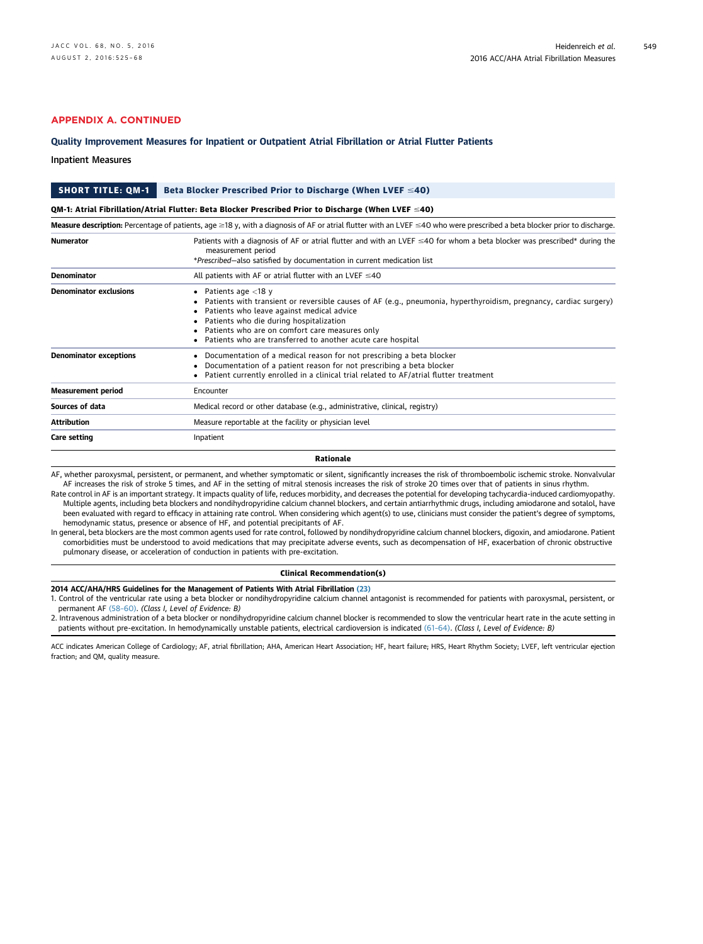### Quality Improvement Measures for Inpatient or Outpatient Atrial Fibrillation or Atrial Flutter Patients

Inpatient Measures

# **SHORT TITLE: QM-1** Beta Blocker Prescribed Prior to Discharge (When LVEF  $\leq$ 40)

### QM-1: Atrial Fibrillation/Atrial Flutter: Beta Blocker Prescribed Prior to Discharge (When LVEF  $\leq$ 40)

| <b>Measure description:</b> Percentage of patients, age $\geq 18$ y, with a diagnosis of AF or atrial flutter with an LVEF $\leq 40$ who were prescribed a beta blocker prior to discharge. |                                                                                                                                                                                                                                                                                                                                                                 |  |
|---------------------------------------------------------------------------------------------------------------------------------------------------------------------------------------------|-----------------------------------------------------------------------------------------------------------------------------------------------------------------------------------------------------------------------------------------------------------------------------------------------------------------------------------------------------------------|--|
| <b>Numerator</b>                                                                                                                                                                            | Patients with a diagnosis of AF or atrial flutter and with an LVEF $\leq$ 40 for whom a beta blocker was prescribed* during the<br>measurement period<br>*Prescribed-also satisfied by documentation in current medication list                                                                                                                                 |  |
| Denominator                                                                                                                                                                                 | All patients with AF or atrial flutter with an LVEF $\leq$ 40                                                                                                                                                                                                                                                                                                   |  |
| <b>Denominator exclusions</b>                                                                                                                                                               | • Patients age $<$ 18 y<br>• Patients with transient or reversible causes of AF (e.g., pneumonia, hyperthyroidism, pregnancy, cardiac surgery)<br>• Patients who leave against medical advice<br>• Patients who die during hospitalization<br>• Patients who are on comfort care measures only<br>• Patients who are transferred to another acute care hospital |  |
| <b>Denominator exceptions</b>                                                                                                                                                               | • Documentation of a medical reason for not prescribing a beta blocker<br>• Documentation of a patient reason for not prescribing a beta blocker<br>• Patient currently enrolled in a clinical trial related to AF/atrial flutter treatment                                                                                                                     |  |
| <b>Measurement period</b>                                                                                                                                                                   | Encounter                                                                                                                                                                                                                                                                                                                                                       |  |
| Sources of data                                                                                                                                                                             | Medical record or other database (e.g., administrative, clinical, registry)                                                                                                                                                                                                                                                                                     |  |
| Attribution                                                                                                                                                                                 | Measure reportable at the facility or physician level                                                                                                                                                                                                                                                                                                           |  |
| Care setting                                                                                                                                                                                | Inpatient                                                                                                                                                                                                                                                                                                                                                       |  |
|                                                                                                                                                                                             |                                                                                                                                                                                                                                                                                                                                                                 |  |

Rationale

AF, whether paroxysmal, persistent, or permanent, and whether symptomatic or silent, significantly increases the risk of thromboembolic ischemic stroke. Nonvalvular AF increases the risk of stroke 5 times, and AF in the setting of mitral stenosis increases the risk of stroke 20 times over that of patients in sinus rhythm.

Rate control in AF is an important strategy. It impacts quality of life, reduces morbidity, and decreases the potential for developing tachycardia-induced cardiomyopathy. Multiple agents, including beta blockers and nondihydropyridine calcium channel blockers, and certain antiarrhythmic drugs, including amiodarone and sotalol, have been evaluated with regard to efficacy in attaining rate control. When considering which agent(s) to use, clinicians must consider the patient's degree of symptoms, hemodynamic status, presence or absence of HF, and potential precipitants of AF.

In general, beta blockers are the most common agents used for rate control, followed by nondihydropyridine calcium channel blockers, digoxin, and amiodarone. Patient comorbidities must be understood to avoid medications that may precipitate adverse events, such as decompensation of HF, exacerbation of chronic obstructive pulmonary disease, or acceleration of conduction in patients with pre-excitation.

# Clinical Recommendation(s)

### 2014 ACC/AHA/HRS Guidelines for the Management of Patients With Atrial Fibrillation [\(23\)](#page-10-0)

1. Control of the ventricular rate using a beta blocker or nondihydropyridine calcium channel antagonist is recommended for patients with paroxysmal, persistent, or permanent AF (58–[60\).](#page-11-0) (Class I, Level of Evidence: B)

2. Intravenous administration of a beta blocker or nondihydropyridine calcium channel blocker is recommended to slow the ventricular heart rate in the acute setting in patients without pre-excitation. In hemodynamically unstable patients, electrical cardioversion is indicated (61–[64\)](#page-11-0). (Class I, Level of Evidence: B)

ACC indicates American College of Cardiology; AF, atrial fibrillation; AHA, American Heart Association; HF, heart failure; HRS, Heart Rhythm Society; LVEF, left ventricular ejection fraction; and QM, quality measure.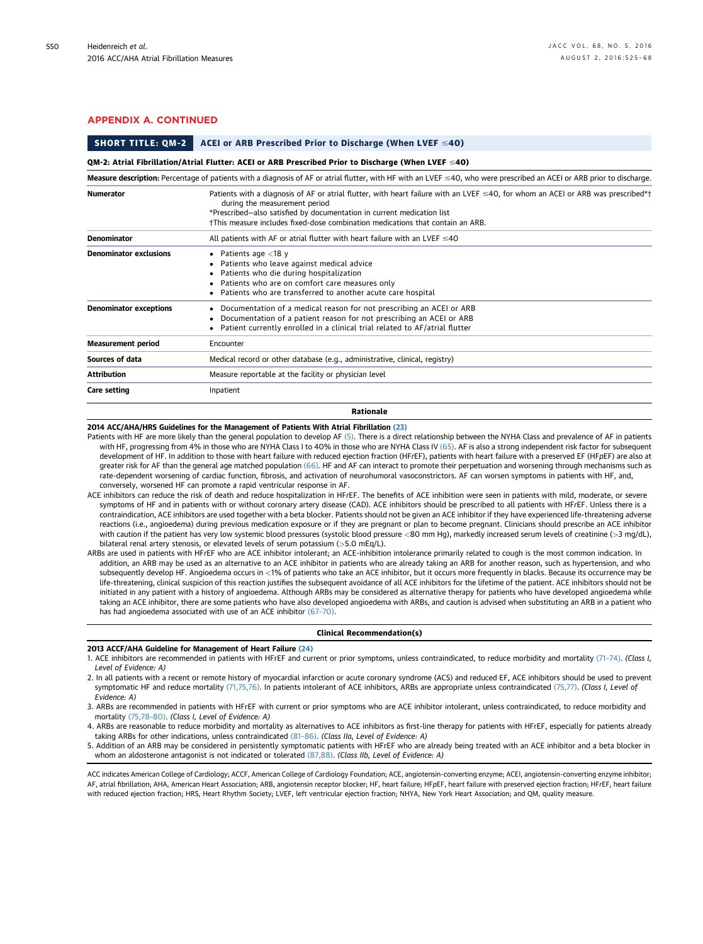| <b>SHORT TITLE: QM-2</b> | ACEI or ARB Prescribed Prior to Discharge (When LVEF $\leq$ 40)                                                                                                                                                                                                                                                                     |
|--------------------------|-------------------------------------------------------------------------------------------------------------------------------------------------------------------------------------------------------------------------------------------------------------------------------------------------------------------------------------|
|                          | QM-2: Atrial Fibrillation/Atrial Flutter: ACEI or ARB Prescribed Prior to Discharge (When LVEF ≤40)                                                                                                                                                                                                                                 |
|                          | Measure description: Percentage of patients with a diagnosis of AF or atrial flutter, with HF with an LVEF ≤40, who were prescribed an ACEI or ARB prior to discharge.                                                                                                                                                              |
| <b>Numerator</b>         | Patients with a diagnosis of AF or atrial flutter, with heart failure with an LVEF $\leq$ 40, for whom an ACEI or ARB was prescribed*†<br>during the measurement period<br>*Prescribed-also satisfied by documentation in current medication list<br>tThis measure includes fixed-dose combination medications that contain an ARB. |
| <b>Denominator</b>       | All patients with AF or atrial flutter with heart failure with an LVEF $\leq 40$                                                                                                                                                                                                                                                    |

| <b>Denominator exclusions</b> | • Patients age $<$ 18 y                                                           |
|-------------------------------|-----------------------------------------------------------------------------------|
|                               | Patients who leave against medical advice                                         |
|                               | • Patients who die during hospitalization                                         |
|                               | • Patients who are on comfort care measures only                                  |
|                               | • Patients who are transferred to another acute care hospital                     |
| <b>Denominator exceptions</b> | • Documentation of a medical reason for not prescribing an ACEI or ARB            |
|                               | Documentation of a patient reason for not prescribing an ACEI or ARB<br>$\bullet$ |
|                               | • Patient currently enrolled in a clinical trial related to AF/atrial flutter     |
| <b>Measurement period</b>     | Encounter                                                                         |
| Sources of data               | Medical record or other database (e.g., administrative, clinical, registry)       |
| <b>Attribution</b>            | Measure reportable at the facility or physician level                             |
| <b>Care setting</b>           | Inpatient                                                                         |
|                               |                                                                                   |

# Rationale

### 2014 ACC/AHA/HRS Guidelines for the Management of Patients With Atrial Fibrillation [\(23\)](#page-10-0)

Patients with HF are more likely than the general population to develop AF [\(5\)](#page-10-0). There is a direct relationship between the NYHA Class and prevalence of AF in patients with HF, progressing from 4% in those who are NYHA Class I to 40% in those who are NYHA Class IV [\(65\)](#page-12-0). AF is also a strong independent risk factor for subsequent development of HF. In addition to those with heart failure with reduced ejection fraction (HFrEF), patients with heart failure with a preserved EF (HFpEF) are also at greater risk for AF than the general age matched population [\(66\)](#page-12-0). HF and AF can interact to promote their perpetuation and worsening through mechanisms such as rate-dependent worsening of cardiac function, fibrosis, and activation of neurohumoral vasoconstrictors. AF can worsen symptoms in patients with HF, and, conversely, worsened HF can promote a rapid ventricular response in AF.

- ACE inhibitors can reduce the risk of death and reduce hospitalization in HFrEF. The benefits of ACE inhibition were seen in patients with mild, moderate, or severe symptoms of HF and in patients with or without coronary artery disease (CAD). ACE inhibitors should be prescribed to all patients with HFrEF. Unless there is a contraindication, ACE inhibitors are used together with a beta blocker. Patients should not be given an ACE inhibitor if they have experienced life-threatening adverse reactions (i.e., angioedema) during previous medication exposure or if they are pregnant or plan to become pregnant. Clinicians should prescribe an ACE inhibitor with caution if the patient has very low systemic blood pressures (systolic blood pressure <80 mm Hg), markedly increased serum levels of creatinine (>3 mg/dL), bilateral renal artery stenosis, or elevated levels of serum potassium (>5.0 mEq/L).
- ARBs are used in patients with HFrEF who are ACE inhibitor intolerant; an ACE-inhibition intolerance primarily related to cough is the most common indication. In addition, an ARB may be used as an alternative to an ACE inhibitor in patients who are already taking an ARB for another reason, such as hypertension, and who subsequently develop HF. Angioedema occurs in <1% of patients who take an ACE inhibitor, but it occurs more frequently in blacks. Because its occurrence may be life-threatening, clinical suspicion of this reaction justifies the subsequent avoidance of all ACE inhibitors for the lifetime of the patient. ACE inhibitors should not be initiated in any patient with a history of angioedema. Although ARBs may be considered as alternative therapy for patients who have developed angioedema while taking an ACE inhibitor, there are some patients who have also developed angioedema with ARBs, and caution is advised when substituting an ARB in a patient who has had angioedema associated with use of an ACE inhibitor (67–[70\).](#page-12-0)

### Clinical Recommendation(s)

### 2013 ACCF/AHA Guideline for Management of Heart Failure [\(24\)](#page-11-0)

- 1. ACE inhibitors are recommended in patients with HFrEF and current or prior symptoms, unless contraindicated, to reduce morbidity and mortality (71–[74\).](#page-12-0) (Class I, Level of Evidence: A)
- 2. In all patients with a recent or remote history of myocardial infarction or acute coronary syndrome (ACS) and reduced EF, ACE inhibitors should be used to prevent symptomatic HF and reduce mortality [\(71,75,76\).](#page-12-0) In patients intolerant of ACE inhibitors, ARBs are appropriate unless contraindicated [\(75,77\)](#page-12-0). (Class I, Level of Evidence: A)
- 3. ARBs are recommended in patients with HFrEF with current or prior symptoms who are ACE inhibitor intolerant, unless contraindicated, to reduce morbidity and mortality [\(75,78](#page-12-0)–80). (Class I, Level of Evidence: A)
- 4. ARBs are reasonable to reduce morbidity and mortality as alternatives to ACE inhibitors as first-line therapy for patients with HFrEF, especially for patients already taking ARBs for other indications, unless contraindicated (81–[86\).](#page-12-0) (Class IIa, Level of Evidence: A)
- 5. Addition of an ARB may be considered in persistently symptomatic patients with HFrEF who are already being treated with an ACE inhibitor and a beta blocker in whom an aldosterone antagonist is not indicated or tolerated [\(87,88\).](#page-12-0) (Class IIb, Level of Evidence: A)

ACC indicates American College of Cardiology; ACCF, American College of Cardiology Foundation; ACE, angiotensin-converting enzyme; ACEI, angiotensin-converting enzyme inhibitor; AF, atrial fibrillation; AHA, American Heart Association; ARB, angiotensin receptor blocker; HF, heart failure; HFpEF, heart failure with preserved ejection fraction; HFrEF, heart failure with reduced ejection fraction; HRS, Heart Rhythm Society; LVEF, left ventricular ejection fraction; NHYA, New York Heart Association; and QM, quality measure.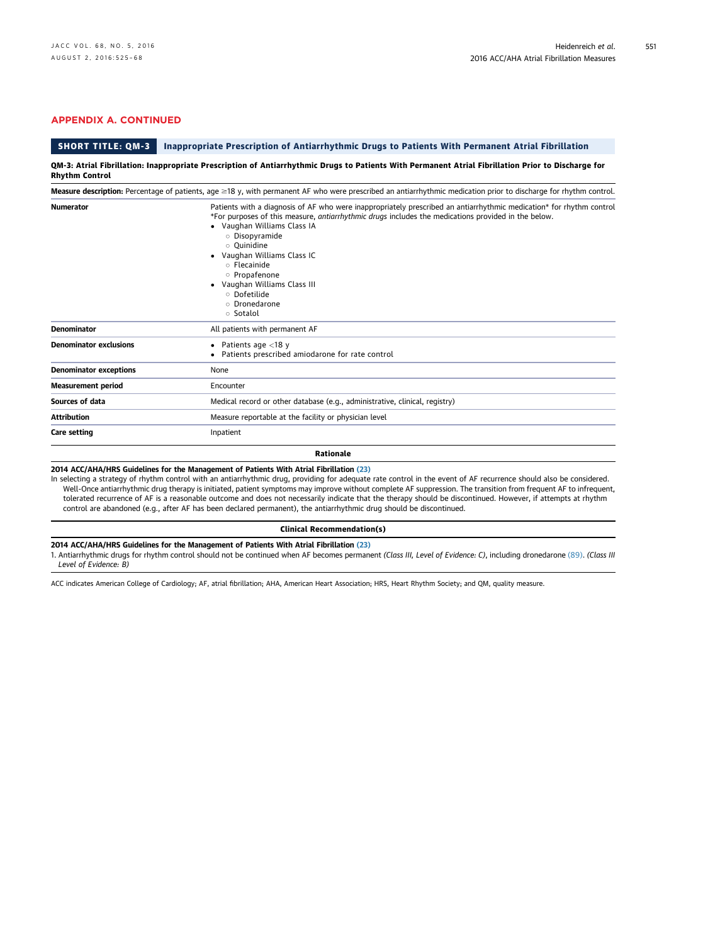# SHORT TITLE: QM-3 Inappropriate Prescription of Antiarrhythmic Drugs to Patients With Permanent Atrial Fibrillation

QM-3: Atrial Fibrillation: Inappropriate Prescription of Antiarrhythmic Drugs to Patients With Permanent Atrial Fibrillation Prior to Discharge for Rhythm Control

| <b>Measure description:</b> Percentage of patients, age $\geq 18$ y, with permanent AF who were prescribed an antiarrhythmic medication prior to discharge for rhythm control. |                                                                                                                                                                                                                                                                                                                                                                                                                                         |
|--------------------------------------------------------------------------------------------------------------------------------------------------------------------------------|-----------------------------------------------------------------------------------------------------------------------------------------------------------------------------------------------------------------------------------------------------------------------------------------------------------------------------------------------------------------------------------------------------------------------------------------|
| <b>Numerator</b>                                                                                                                                                               | Patients with a diagnosis of AF who were inappropriately prescribed an antiarrhythmic medication* for rhythm control<br>*For purposes of this measure, antiarrhythmic drugs includes the medications provided in the below.<br>• Vaughan Williams Class IA<br>O Disopyramide<br>o Ouinidine<br>• Vaughan Williams Class IC<br>o Flecainide<br>o Propafenone<br>Vaughan Williams Class III<br>o Dofetilide<br>o Dronedarone<br>○ Sotalol |
| <b>Denominator</b>                                                                                                                                                             | All patients with permanent AF                                                                                                                                                                                                                                                                                                                                                                                                          |
| <b>Denominator exclusions</b>                                                                                                                                                  | • Patients age $<$ 18 y<br>• Patients prescribed amiodarone for rate control                                                                                                                                                                                                                                                                                                                                                            |
| <b>Denominator exceptions</b>                                                                                                                                                  | None                                                                                                                                                                                                                                                                                                                                                                                                                                    |
| <b>Measurement period</b>                                                                                                                                                      | Encounter                                                                                                                                                                                                                                                                                                                                                                                                                               |
| Sources of data                                                                                                                                                                | Medical record or other database (e.g., administrative, clinical, registry)                                                                                                                                                                                                                                                                                                                                                             |
| <b>Attribution</b>                                                                                                                                                             | Measure reportable at the facility or physician level                                                                                                                                                                                                                                                                                                                                                                                   |
| Care setting                                                                                                                                                                   | Inpatient                                                                                                                                                                                                                                                                                                                                                                                                                               |
|                                                                                                                                                                                |                                                                                                                                                                                                                                                                                                                                                                                                                                         |

Rationale

# 2014 ACC/AHA/HRS Guidelines for the Management of Patients With Atrial Fibrillation [\(23\)](#page-10-0)

In selecting a strategy of rhythm control with an antiarrhythmic drug, providing for adequate rate control in the event of AF recurrence should also be considered. Well-Once antiarrhythmic drug therapy is initiated, patient symptoms may improve without complete AF suppression. The transition from frequent AF to infrequent, tolerated recurrence of AF is a reasonable outcome and does not necessarily indicate that the therapy should be discontinued. However, if attempts at rhythm control are abandoned (e.g., after AF has been declared permanent), the antiarrhythmic drug should be discontinued.

#### Clinical Recommendation(s)

# 2014 ACC/AHA/HRS Guidelines for the Management of Patients With Atrial Fibrillation [\(23\)](#page-10-0)

1. Antiarrhythmic drugs for rhythm control should not be continued when AF becomes permanent (Class III, Level of Evidence: C), including dronedarone [\(89\).](#page-12-0) (Class III Level of Evidence: B)

ACC indicates American College of Cardiology; AF, atrial fibrillation; AHA, American Heart Association; HRS, Heart Rhythm Society; and QM, quality measure.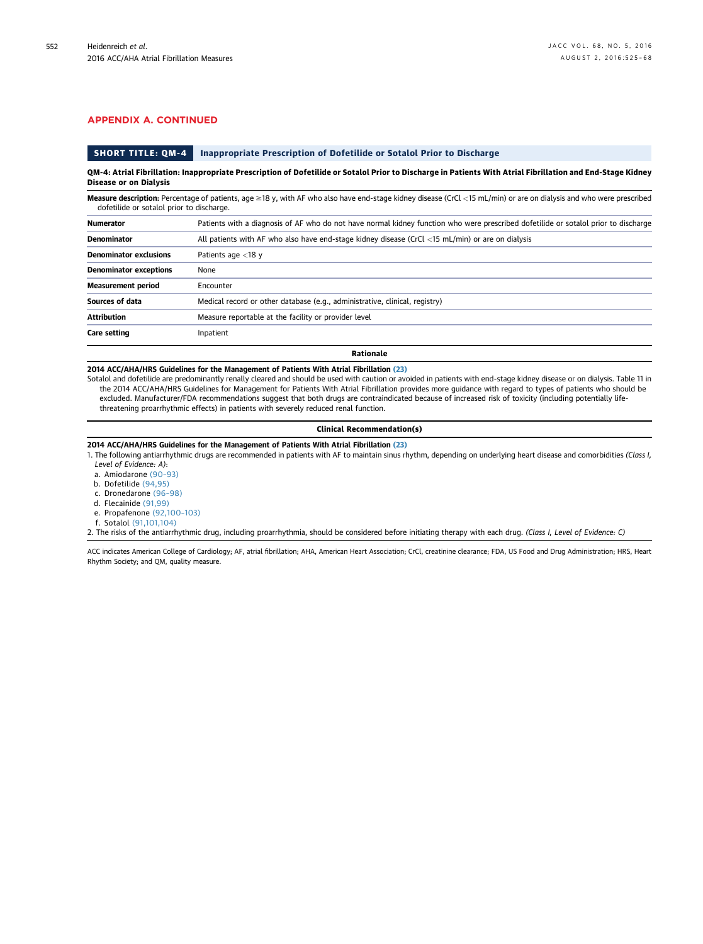### SHORT TITLE: QM-4 Inappropriate Prescription of Dofetilide or Sotalol Prior to Discharge

#### QM-4: Atrial Fibrillation: Inappropriate Prescription of Dofetilide or Sotalol Prior to Discharge in Patients With Atrial Fibrillation and End-Stage Kidney Disease or on Dialysis

Measure description: Percentage of patients, age  $\geq 18$  y, with AF who also have end-stage kidney disease (CrCl <15 mL/min) or are on dialysis and who were prescribed dofetilide or sotalol prior to discharge.

|                               | <b>Rationale</b>                                                                                                                    |
|-------------------------------|-------------------------------------------------------------------------------------------------------------------------------------|
| Care setting                  | Inpatient                                                                                                                           |
| <b>Attribution</b>            | Measure reportable at the facility or provider level                                                                                |
| Sources of data               | Medical record or other database (e.g., administrative, clinical, registry)                                                         |
| <b>Measurement period</b>     | Encounter                                                                                                                           |
| <b>Denominator exceptions</b> | None                                                                                                                                |
| <b>Denominator exclusions</b> | Patients age $<$ 18 y                                                                                                               |
| <b>Denominator</b>            | All patients with AF who also have end-stage kidney disease (CrCl <15 mL/min) or are on dialysis                                    |
| <b>Numerator</b>              | Patients with a diagnosis of AF who do not have normal kidney function who were prescribed dofetilide or sotalol prior to discharge |

# 2014 ACC/AHA/HRS Guidelines for the Management of Patients With Atrial Fibrillation [\(23\)](#page-10-0)

Sotalol and dofetilide are predominantly renally cleared and should be used with caution or avoided in patients with end-stage kidney disease or on dialysis. Table 11 in the 2014 ACC/AHA/HRS Guidelines for Management for Patients With Atrial Fibrillation provides more guidance with regard to types of patients who should be excluded. Manufacturer/FDA recommendations suggest that both drugs are contraindicated because of increased risk of toxicity (including potentially lifethreatening proarrhythmic effects) in patients with severely reduced renal function.

#### Clinical Recommendation(s)

### 2014 ACC/AHA/HRS Guidelines for the Management of Patients With Atrial Fibrillation [\(23\)](#page-10-0)

1. The following antiarrhythmic drugs are recommended in patients with AF to maintain sinus rhythm, depending on underlying heart disease and comorbidities (Class I, Level of Evidence: A):

- a. Amiodarone [\(90](#page-12-0)–93)
- b. Dofetilide [\(94,95\)](#page-12-0)
- c. Dronedarone (96–[98\)](#page-12-0)
- d. Flecainide [\(91,99\)](#page-12-0)
- e. Propafenone [\(92,100](#page-12-0)–103)
- f. Sotalol [\(91,101,104\)](#page-12-0)

2. The risks of the antiarrhythmic drug, including proarrhythmia, should be considered before initiating therapy with each drug. (Class I, Level of Evidence: C)

ACC indicates American College of Cardiology; AF, atrial fibrillation; AHA, American Heart Association; CrCl, creatinine clearance; FDA, US Food and Drug Administration; HRS, Heart Rhythm Society; and QM, quality measure.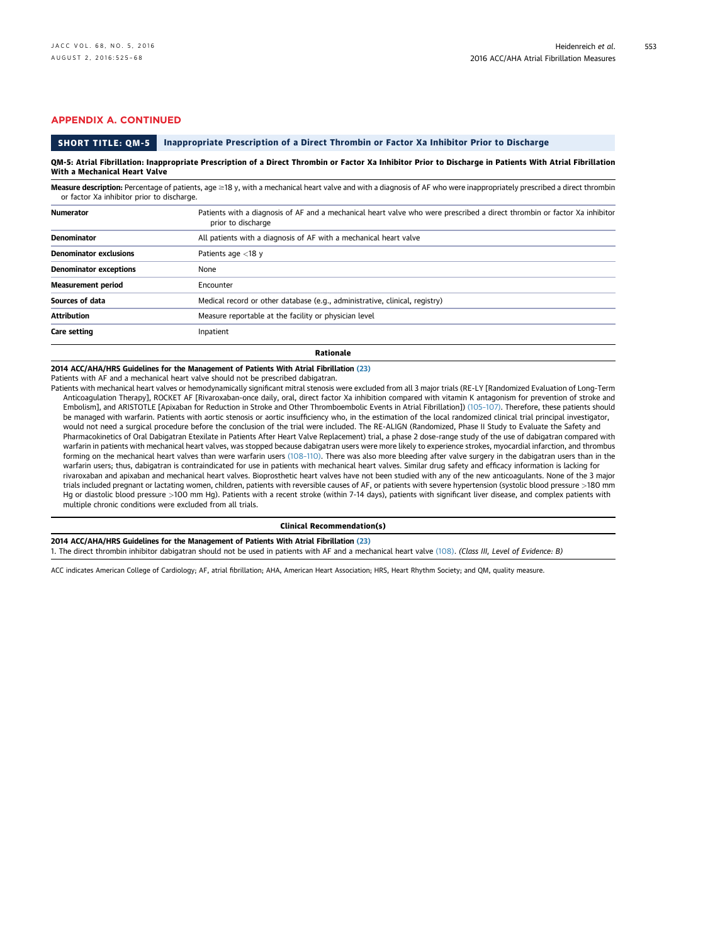### SHORT TITLE: QM-5 Inappropriate Prescription of a Direct Thrombin or Factor Xa Inhibitor Prior to Discharge

QM-5: Atrial Fibrillation: Inappropriate Prescription of a Direct Thrombin or Factor Xa Inhibitor Prior to Discharge in Patients With Atrial Fibrillation With a Mechanical Heart Valve

Measure description: Percentage of patients, age ≥18 y, with a mechanical heart valve and with a diagnosis of AF who were inappropriately prescribed a direct thrombin or factor Xa inhibitor prior to discharge.

| <b>Numerator</b>              | Patients with a diagnosis of AF and a mechanical heart valve who were prescribed a direct thrombin or factor Xa inhibitor<br>prior to discharge |
|-------------------------------|-------------------------------------------------------------------------------------------------------------------------------------------------|
| <b>Denominator</b>            | All patients with a diagnosis of AF with a mechanical heart valve                                                                               |
| <b>Denominator exclusions</b> | Patients age $<$ 18 y                                                                                                                           |
| <b>Denominator exceptions</b> | None                                                                                                                                            |
| <b>Measurement period</b>     | Encounter                                                                                                                                       |
| Sources of data               | Medical record or other database (e.g., administrative, clinical, registry)                                                                     |
| <b>Attribution</b>            | Measure reportable at the facility or physician level                                                                                           |
| Care setting                  | Inpatient                                                                                                                                       |

Rationale

#### 2014 ACC/AHA/HRS Guidelines for the Management of Patients With Atrial Fibrillation [\(23\)](#page-10-0)

Patients with AF and a mechanical heart valve should not be prescribed dabigatran.

Patients with mechanical heart valves or hemodynamically significant mitral stenosis were excluded from all 3 major trials (RE-LY [Randomized Evaluation of Long-Term Anticoagulation Therapy], ROCKET AF [Rivaroxaban-once daily, oral, direct factor Xa inhibition compared with vitamin K antagonism for prevention of stroke and Embolism], and ARISTOTLE [Apixaban for Reduction in Stroke and Other Thromboembolic Events in Atrial Fibrillation]) (105–[107\).](#page-12-0) Therefore, these patients should be managed with warfarin. Patients with aortic stenosis or aortic insufficiency who, in the estimation of the local randomized clinical trial principal investigator, would not need a surgical procedure before the conclusion of the trial were included. The RE-ALIGN (Randomized, Phase II Study to Evaluate the Safety and Pharmacokinetics of Oral Dabigatran Etexilate in Patients After Heart Valve Replacement) trial, a phase 2 dose-range study of the use of dabigatran compared with warfarin in patients with mechanical heart valves, was stopped because dabigatran users were more likely to experience strokes, myocardial infarction, and thrombus forming on the mechanical heart valves than were warfarin users [\(108](#page-12-0)–110). There was also more bleeding after valve surgery in the dabigatran users than in the warfarin users; thus, dabigatran is contraindicated for use in patients with mechanical heart valves. Similar drug safety and efficacy information is lacking for rivaroxaban and apixaban and mechanical heart valves. Bioprosthetic heart valves have not been studied with any of the new anticoagulants. None of the 3 major trials included pregnant or lactating women, children, patients with reversible causes of AF, or patients with severe hypertension (systolic blood pressure >180 mm Hg or diastolic blood pressure >100 mm Hg). Patients with a recent stroke (within 7-14 days), patients with significant liver disease, and complex patients with multiple chronic conditions were excluded from all trials.

Clinical Recommendation(s)

2014 ACC/AHA/HRS Guidelines for the Management of Patients With Atrial Fibrillation [\(23\)](#page-10-0) 1. The direct thrombin inhibitor dabigatran should not be used in patients with AF and a mechanical heart valve [\(108\)](#page-12-0). (Class III, Level of Evidence: B)

ACC indicates American College of Cardiology; AF, atrial fibrillation; AHA, American Heart Association; HRS, Heart Rhythm Society; and QM, quality measure.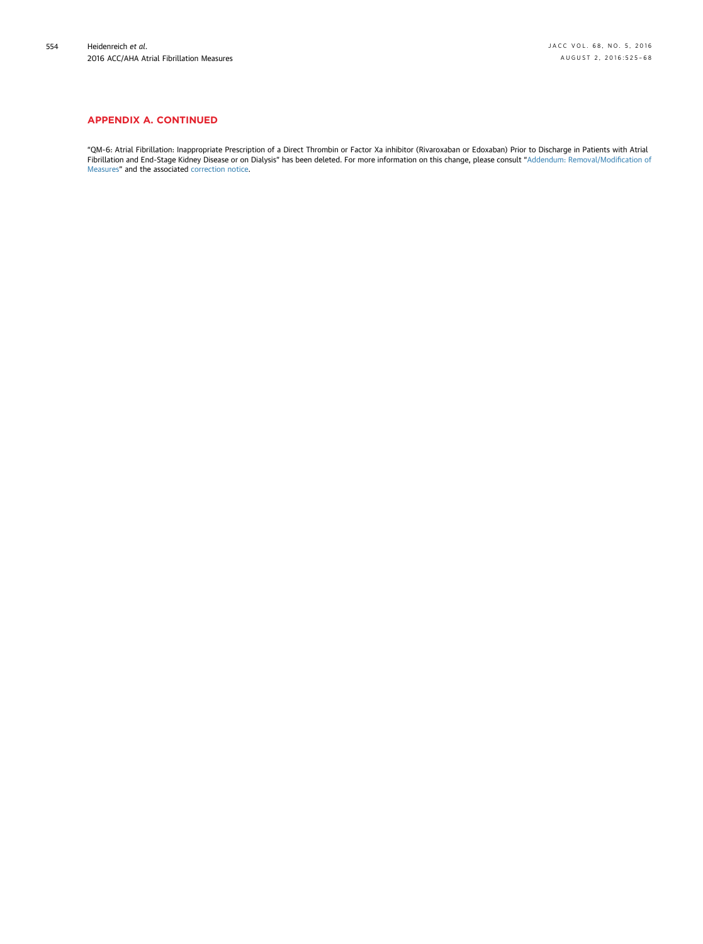"QM-6: Atrial Fibrillation: Inappropriate Prescription of a Direct Thrombin or Factor Xa inhibitor (Rivaroxaban or Edoxaban) Prior to Discharge in Patients with Atrial Fibrillation and End-Stage Kidney Disease or on Dialysis" has been deleted. For more information on this change, please consult "Addendum: Removal/Modification of Measures" and the associated correction notice.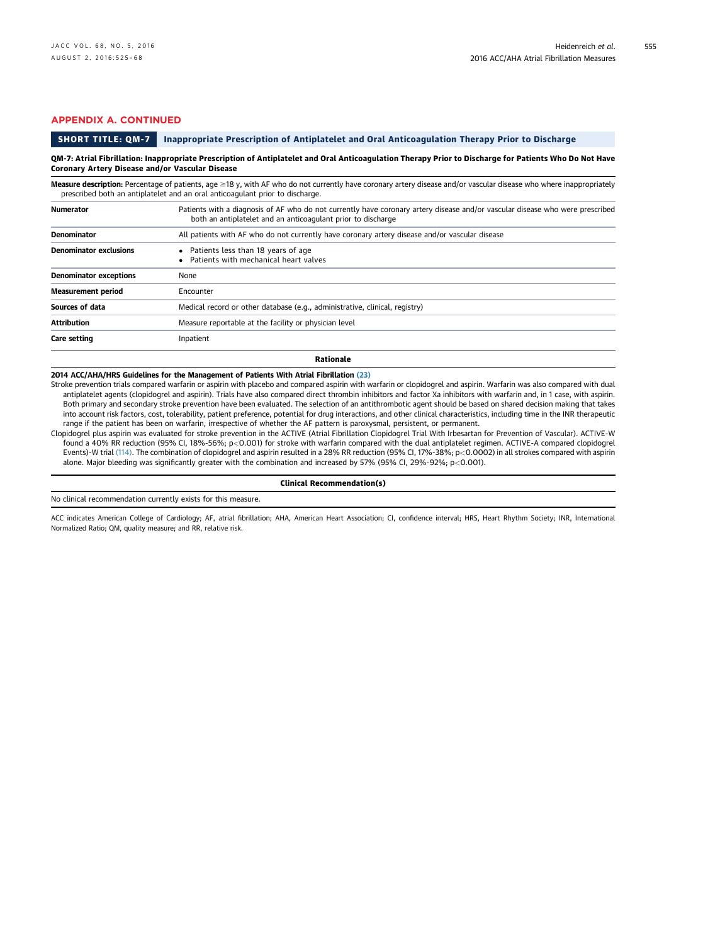### SHORT TITLE: QM-7 Inappropriate Prescription of Antiplatelet and Oral Anticoagulation Therapy Prior to Discharge

### QM-7: Atrial Fibrillation: Inappropriate Prescription of Antiplatelet and Oral Anticoagulation Therapy Prior to Discharge for Patients Who Do Not Have Coronary Artery Disease and/or Vascular Disease

Measure description: Percentage of patients, age ≥18 y, with AF who do not currently have coronary artery disease and/or vascular disease who where inappropriately prescribed both an antiplatelet and an oral anticoagulant prior to discharge. Numerator **Patients with a diagnosis of AF who do not currently have coronary artery disease and/or vascular disease who were prescribed by** both an antiplatelet and an anticoagulant prior to discharge Denominator **All patients with AF who do not currently have coronary artery disease and/or vascular disease** Denominator exclusions • Patients less than 18 years of age Patients with mechanical heart valves Denominator exceptions Mone Measurement period **Encounter** Sources of data Medical record or other database (e.g., administrative, clinical, registry) Attribution **Measure reportable at the facility or physician level** Care setting **Inpatient** Rationale

### 2014 ACC/AHA/HRS Guidelines for the Management of Patients With Atrial Fibrillation [\(23\)](#page-10-0)

Stroke prevention trials compared warfarin or aspirin with placebo and compared aspirin with warfarin or clopidogrel and aspirin. Warfarin was also compared with dual antiplatelet agents (clopidogrel and aspirin). Trials have also compared direct thrombin inhibitors and factor Xa inhibitors with warfarin and, in 1 case, with aspirin. Both primary and secondary stroke prevention have been evaluated. The selection of an antithrombotic agent should be based on shared decision making that takes into account risk factors, cost, tolerability, patient preference, potential for drug interactions, and other clinical characteristics, including time in the INR therapeutic range if the patient has been on warfarin, irrespective of whether the AF pattern is paroxysmal, persistent, or permanent.

Clopidogrel plus aspirin was evaluated for stroke prevention in the ACTIVE (Atrial Fibrillation Clopidogrel Trial With Irbesartan for Prevention of Vascular). ACTIVE-W found a 40% RR reduction (95% CI, 18%-56%; p<0.001) for stroke with warfarin compared with the dual antiplatelet regimen. ACTIVE-A compared clopidogrel Events)-W trial [\(114\)](#page-13-0). The combination of clopidogrel and aspirin resulted in a 28% RR reduction (95% CI, 17%-38%; p<0.0002) in all strokes compared with aspirin alone. Major bleeding was significantly greater with the combination and increased by 57% (95% CI, 29%-92%; p<0.001).

### Clinical Recommendation(s)

No clinical recommendation currently exists for this measure.

ACC indicates American College of Cardiology; AF, atrial fibrillation; AHA, American Heart Association; CI, confidence interval; HRS, Heart Rhythm Society; INR, International Normalized Ratio; QM, quality measure; and RR, relative risk.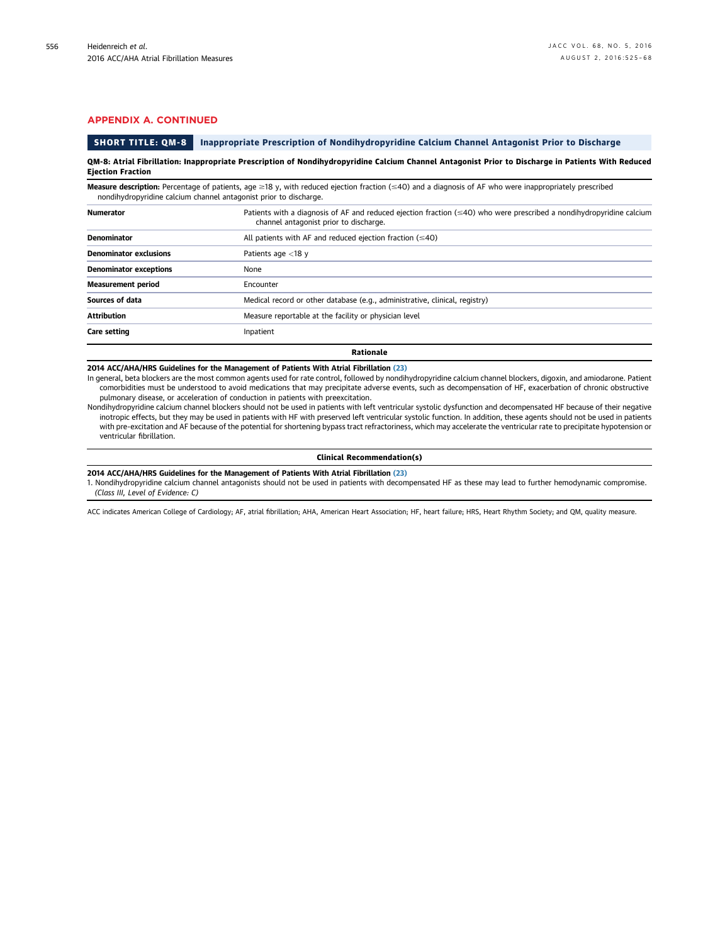# SHORT TITLE: QM-8 Inappropriate Prescription of Nondihydropyridine Calcium Channel Antagonist Prior to Discharge

QM-8: Atrial Fibrillation: Inappropriate Prescription of Nondihydropyridine Calcium Channel Antagonist Prior to Discharge in Patients With Reduced Ejection Fraction

Measure description: Percentage of patients, age ≥18 y, with reduced ejection fraction (≤40) and a diagnosis of AF who were inappropriately prescribed nondihydropyridine calcium channel antagonist prior to discharge.

| None                                                                        |  |  |  |  |
|-----------------------------------------------------------------------------|--|--|--|--|
| Encounter                                                                   |  |  |  |  |
| Medical record or other database (e.g., administrative, clinical, registry) |  |  |  |  |
|                                                                             |  |  |  |  |
|                                                                             |  |  |  |  |
|                                                                             |  |  |  |  |

# Rationale

#### 2014 ACC/AHA/HRS Guidelines for the Management of Patients With Atrial Fibrillation [\(23\)](#page-10-0)

In general, beta blockers are the most common agents used for rate control, followed by nondihydropyridine calcium channel blockers, digoxin, and amiodarone. Patient comorbidities must be understood to avoid medications that may precipitate adverse events, such as decompensation of HF, exacerbation of chronic obstructive pulmonary disease, or acceleration of conduction in patients with preexcitation.

Nondihydropyridine calcium channel blockers should not be used in patients with left ventricular systolic dysfunction and decompensated HF because of their negative inotropic effects, but they may be used in patients with HF with preserved left ventricular systolic function. In addition, these agents should not be used in patients with pre-excitation and AF because of the potential for shortening bypass tract refractoriness, which may accelerate the ventricular rate to precipitate hypotension or ventricular fibrillation.

### Clinical Recommendation(s)

### 2014 ACC/AHA/HRS Guidelines for the Management of Patients With Atrial Fibrillation [\(23\)](#page-10-0)

1. Nondihydropyridine calcium channel antagonists should not be used in patients with decompensated HF as these may lead to further hemodynamic compromise. (Class III, Level of Evidence: C)

ACC indicates American College of Cardiology; AF, atrial fibrillation; AHA, American Heart Association; HF, heart failure; HRS, Heart Rhythm Society; and QM, quality measure.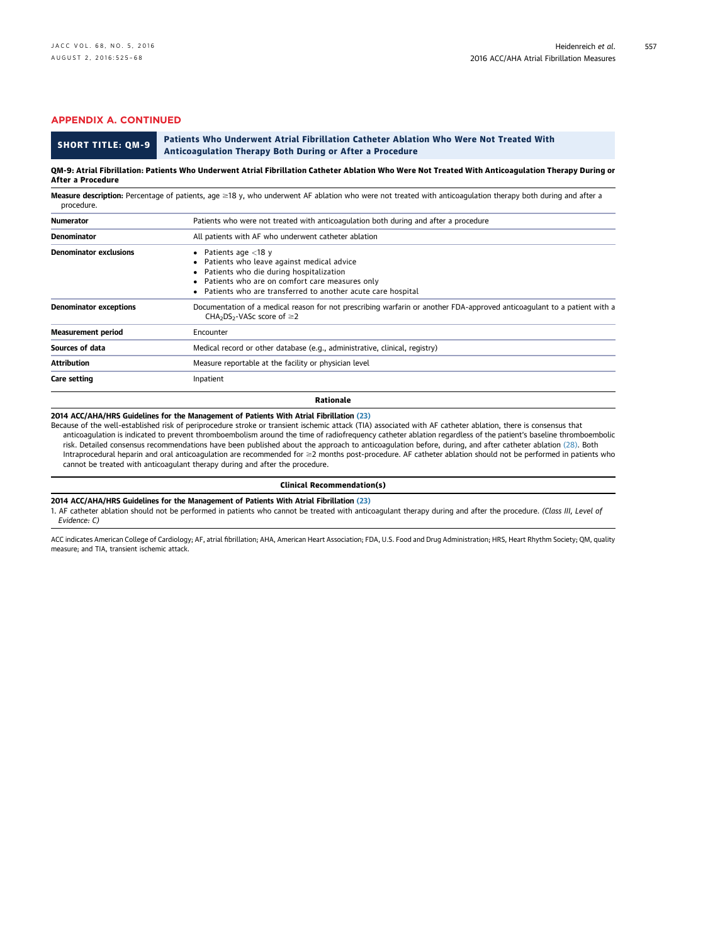SHORT TITLE: QM-9 Patients Who Underwent Atrial Fibrillation Catheter Ablation Who Were Not Treated With Anticoagulation Therapy Both During or After a Procedure

### QM-9: Atrial Fibrillation: Patients Who Underwent Atrial Fibrillation Catheter Ablation Who Were Not Treated With Anticoagulation Therapy During or After a Procedure

Measure description: Percentage of patients, age ≥18 y, who underwent AF ablation who were not treated with anticoagulation therapy both during and after a procedure.

| <b>Numerator</b>              | Patients who were not treated with anticoagulation both during and after a procedure                                                                                                                                                     |
|-------------------------------|------------------------------------------------------------------------------------------------------------------------------------------------------------------------------------------------------------------------------------------|
| <b>Denominator</b>            | All patients with AF who underwent catheter ablation                                                                                                                                                                                     |
| <b>Denominator exclusions</b> | • Patients age $<$ 18 y<br>• Patients who leave against medical advice<br>• Patients who die during hospitalization<br>• Patients who are on comfort care measures only<br>• Patients who are transferred to another acute care hospital |
| <b>Denominator exceptions</b> | Documentation of a medical reason for not prescribing warfarin or another FDA-approved anticoagulant to a patient with a<br>CHA <sub>2</sub> DS <sub>2</sub> -VASc score of $\geq$ 2                                                     |
| <b>Measurement period</b>     | Encounter                                                                                                                                                                                                                                |
| Sources of data               | Medical record or other database (e.g., administrative, clinical, registry)                                                                                                                                                              |
| <b>Attribution</b>            | Measure reportable at the facility or physician level                                                                                                                                                                                    |
| Care setting                  | Inpatient                                                                                                                                                                                                                                |

# Rationale

### 2014 ACC/AHA/HRS Guidelines for the Management of Patients With Atrial Fibrillation [\(23\)](#page-10-0)

Because of the well-established risk of periprocedure stroke or transient ischemic attack (TIA) associated with AF catheter ablation, there is consensus that anticoagulation is indicated to prevent thromboembolism around the time of radiofrequency catheter ablation regardless of the patient's baseline thromboembolic risk. Detailed consensus recommendations have been published about the approach to anticoagulation before, during, and after catheter ablation [\(28\)](#page-11-0). Both Intraprocedural heparin and oral anticoagulation are recommended for ≥2 months post-procedure. AF catheter ablation should not be performed in patients who cannot be treated with anticoagulant therapy during and after the procedure.

### Clinical Recommendation(s)

### 2014 ACC/AHA/HRS Guidelines for the Management of Patients With Atrial Fibrillation [\(23\)](#page-10-0)

1. AF catheter ablation should not be performed in patients who cannot be treated with anticoagulant therapy during and after the procedure. (Class III, Level of Evidence: C)

ACC indicates American College of Cardiology; AF, atrial fibrillation; AHA, American Heart Association; FDA, U.S. Food and Drug Administration; HRS, Heart Rhythm Society; QM, quality measure; and TIA, transient ischemic attack.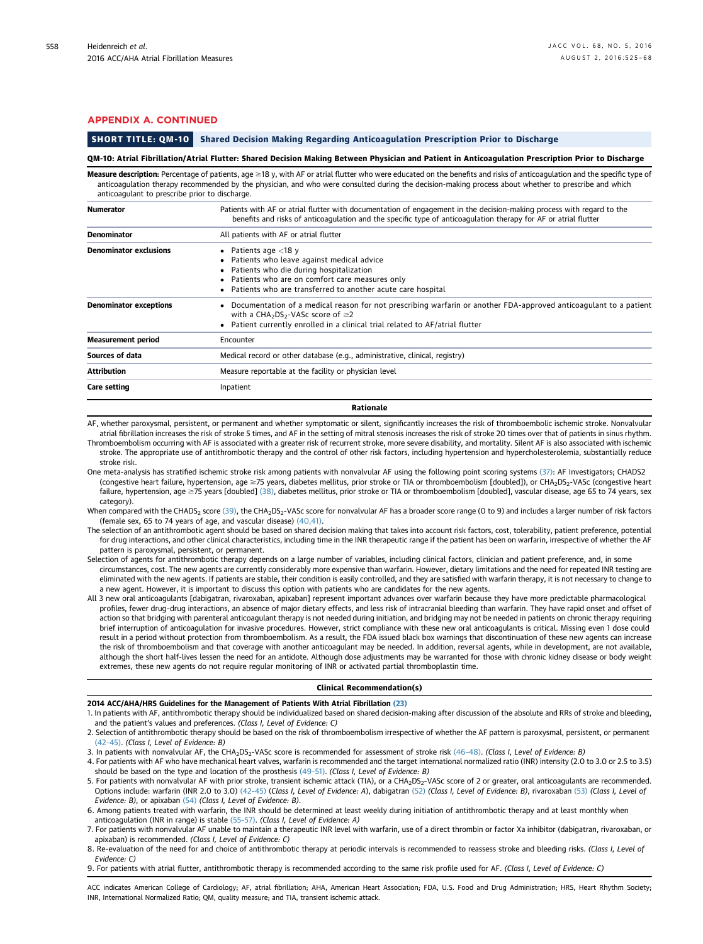### SHORT TITLE: QM-10 Shared Decision Making Regarding Anticoagulation Prescription Prior to Discharge

#### QM-10: Atrial Fibrillation/Atrial Flutter: Shared Decision Making Between Physician and Patient in Anticoagulation Prescription Prior to Discharge

Measure description: Percentage of patients, age ≥18 y, with AF or atrial flutter who were educated on the benefits and risks of anticoagulation and the specific type of anticoagulation therapy recommended by the physician, and who were consulted during the decision-making process about whether to prescribe and which anticoagulant to prescribe prior to discharge.

| <b>Numerator</b>              | Patients with AF or atrial flutter with documentation of engagement in the decision-making process with regard to the<br>benefits and risks of anticoagulation and the specific type of anticoagulation therapy for AF or atrial flutter                              |  |  |
|-------------------------------|-----------------------------------------------------------------------------------------------------------------------------------------------------------------------------------------------------------------------------------------------------------------------|--|--|
| Denominator                   | All patients with AF or atrial flutter                                                                                                                                                                                                                                |  |  |
| <b>Denominator exclusions</b> | • Patients age $<$ 18 y<br>• Patients who leave against medical advice<br>• Patients who die during hospitalization<br>• Patients who are on comfort care measures only<br>• Patients who are transferred to another acute care hospital                              |  |  |
| <b>Denominator exceptions</b> | Documentation of a medical reason for not prescribing warfarin or another FDA-approved anticoagulant to a patient<br>with a CHA <sub>2</sub> DS <sub>2</sub> -VASc score of $\geq$ 2<br>• Patient currently enrolled in a clinical trial related to AF/atrial flutter |  |  |
| <b>Measurement period</b>     | Encounter                                                                                                                                                                                                                                                             |  |  |
| Sources of data               | Medical record or other database (e.g., administrative, clinical, registry)                                                                                                                                                                                           |  |  |
| <b>Attribution</b>            | Measure reportable at the facility or physician level                                                                                                                                                                                                                 |  |  |
| Care setting                  | Inpatient                                                                                                                                                                                                                                                             |  |  |

#### Rationale

AF, whether paroxysmal, persistent, or permanent and whether symptomatic or silent, significantly increases the risk of thromboembolic ischemic stroke. Nonvalvular atrial fibrillation increases the risk of stroke 5 times, and AF in the setting of mitral stenosis increases the risk of stroke 20 times over that of patients in sinus rhythm.

Thromboembolism occurring with AF is associated with a greater risk of recurrent stroke, more severe disability, and mortality. Silent AF is also associated with ischemic stroke. The appropriate use of antithrombotic therapy and the control of other risk factors, including hypertension and hypercholesterolemia, substantially reduce stroke risk.

One meta-analysis has stratified ischemic stroke risk among patients with nonvalvular AF using the following point scoring systems [\(37\)](#page-11-0): AF Investigators; CHADS2 (congestive heart failure, hypertension, age ≥75 years, diabetes mellitus, prior stroke or TIA or thromboembolism [doubled]), or CHA<sub>2</sub>DS<sub>2</sub>-VASc (congestive heart failure, hypertension, age ≥75 years [doubled] [\(38\),](#page-11-0) diabetes mellitus, prior stroke or TIA or thromboembolism [doubled], vascular disease, age 65 to 74 years, sex category).

When compared with the CHADS<sub>2</sub> score [\(39\),](#page-11-0) the CHA<sub>2</sub>DS<sub>2</sub>-VASc score for nonvalvular AF has a broader score range (0 to 9) and includes a larger number of risk factors (female sex, 65 to 74 years of age, and vascular disease) [\(40,41\).](#page-11-0)

- The selection of an antithrombotic agent should be based on shared decision making that takes into account risk factors, cost, tolerability, patient preference, potential for drug interactions, and other clinical characteristics, including time in the INR therapeutic range if the patient has been on warfarin, irrespective of whether the AF pattern is paroxysmal, persistent, or permanent.
- Selection of agents for antithrombotic therapy depends on a large number of variables, including clinical factors, clinician and patient preference, and, in some circumstances, cost. The new agents are currently considerably more expensive than warfarin. However, dietary limitations and the need for repeated INR testing are eliminated with the new agents. If patients are stable, their condition is easily controlled, and they are satisfied with warfarin therapy, it is not necessary to change to a new agent. However, it is important to discuss this option with patients who are candidates for the new agents.

All 3 new oral anticoagulants [dabigatran, rivaroxaban, apixaban] represent important advances over warfarin because they have more predictable pharmacological profiles, fewer drug–drug interactions, an absence of major dietary effects, and less risk of intracranial bleeding than warfarin. They have rapid onset and offset of action so that bridging with parenteral anticoagulant therapy is not needed during initiation, and bridging may not be needed in patients on chronic therapy requiring brief interruption of anticoagulation for invasive procedures. However, strict compliance with these new oral anticoagulants is critical. Missing even 1 dose could result in a period without protection from thromboembolism. As a result, the FDA issued black box warnings that discontinuation of these new agents can increase the risk of thromboembolism and that coverage with another anticoagulant may be needed. In addition, reversal agents, while in development, are not available, although the short half-lives lessen the need for an antidote. Although dose adjustments may be warranted for those with chronic kidney disease or body weight extremes, these new agents do not require regular monitoring of INR or activated partial thromboplastin time.

#### Clinical Recommendation(s)

### 2014 ACC/AHA/HRS Guidelines for the Management of Patients With Atrial Fibrillation [\(23\)](#page-10-0)

- 1. In patients with AF, antithrombotic therapy should be individualized based on shared decision-making after discussion of the absolute and RRs of stroke and bleeding, and the patient's values and preferences. (Class I, Level of Evidence: C)
- 2. Selection of antithrombotic therapy should be based on the risk of thromboembolism irrespective of whether the AF pattern is paroxysmal, persistent, or permanent [\(4](#page-11-0)2–[45\)](#page-11-0). (Class I, Level of Evidence: B)

3. In patients with nonvalvular AF, the CHA<sub>2</sub>DS<sub>2</sub>-VASc score is recommended for assessment of stroke risk [\(46](#page-11-0)-48). (Class I, Level of Evidence: B)

4. For patients with AF who have mechanical heart valves, warfarin is recommended and the target international normalized ratio (INR) intensity (2.0 to 3.0 or 2.5 to 3.5) should be based on the type and location of the prosthesis [\(49](#page-11-0)-51). (Class I, Level of Evidence: B)

5. For patients with nonvalvular AF with prior stroke, transient ischemic attack (TIA), or a CHA<sub>2</sub>DS<sub>2</sub>-VASc score of 2 or greater, oral anticoagulants are recommended. Options include: warfarin (INR 2.0 to 3.0) [\(42](#page-11-0)-45) (Class I, Level of Evidence: A), dabigatran [\(52\)](#page-11-0) (Class I, Level of Evidence: B), rivaroxaban [\(53\)](#page-11-0) (Class I, Level of Evidence: B), or apixaban [\(54\)](#page-11-0) (Class I, Level of Evidence: B).

6. Among patients treated with warfarin, the INR should be determined at least weekly during initiation of antithrombotic therapy and at least monthly when anticoagulation (INR in range) is stable [\(55](#page-11-0)–57). (Class I, Level of Evidence: A)

7. For patients with nonvalvular AF unable to maintain a therapeutic INR level with warfarin, use of a direct thrombin or factor Xa inhibitor (dabigatran, rivaroxaban, or apixaban) is recommended. (Class I, Level of Evidence: C)

8. Re-evaluation of the need for and choice of antithrombotic therapy at periodic intervals is recommended to reassess stroke and bleeding risks. (Class I, Level of Evidence: C)

9. For patients with atrial flutter, antithrombotic therapy is recommended according to the same risk profile used for AF. (Class I, Level of Evidence: C)

ACC indicates American College of Cardiology; AF, atrial fibrillation; AHA, American Heart Association; FDA, U.S. Food and Drug Administration; HRS, Heart Rhythm Society; INR, International Normalized Ratio; QM, quality measure; and TIA, transient ischemic attack.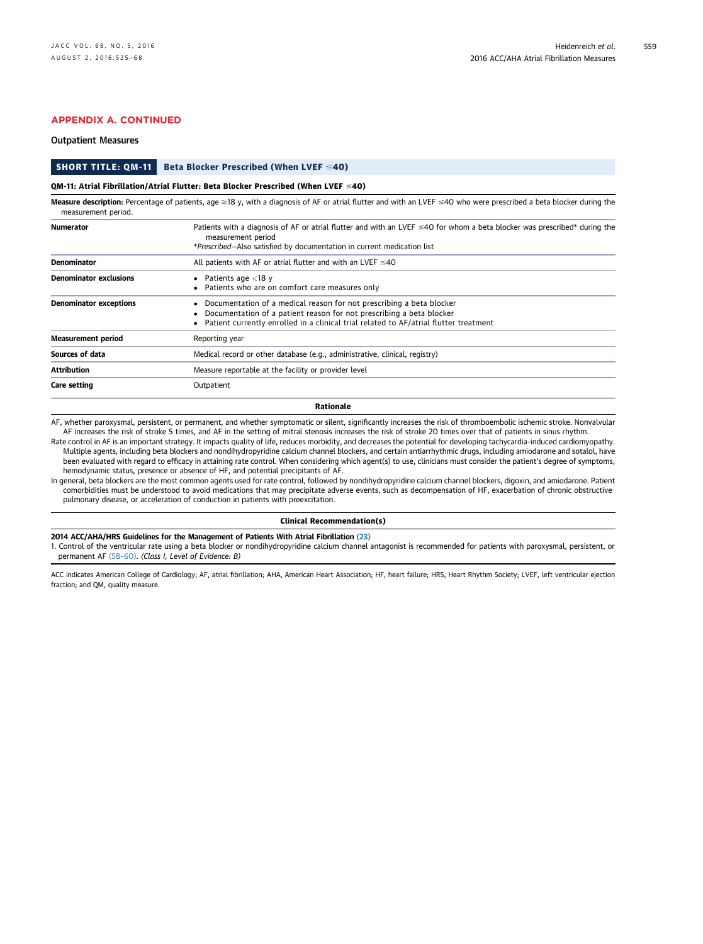### Outpatient Measures

# **SHORT TITLE: QM-11** Beta Blocker Prescribed (When LVEF  $\leq$ 40)

### $QM-11:$  Atrial Fibrillation/Atrial Flutter: Beta Blocker Prescribed (When LVEF  $\leq$ 40)

Measure description: Percentage of patients, age ≥18 y, with a diagnosis of AF or atrial flutter and with an LVEF ≤40 who were prescribed a beta blocker during the measurement period.

| <b>Numerator</b>              | Patients with a diagnosis of AF or atrial flutter and with an LVEF $\leq$ 40 for whom a beta blocker was prescribed* during the<br>measurement period<br>*Prescribed-Also satisfied by documentation in current medication list             |  |  |  |
|-------------------------------|---------------------------------------------------------------------------------------------------------------------------------------------------------------------------------------------------------------------------------------------|--|--|--|
| <b>Denominator</b>            | All patients with AF or atrial flutter and with an LVEF $\leq 40$                                                                                                                                                                           |  |  |  |
| <b>Denominator exclusions</b> | • Patients age $<$ 18 y<br>• Patients who are on comfort care measures only                                                                                                                                                                 |  |  |  |
| <b>Denominator exceptions</b> | • Documentation of a medical reason for not prescribing a beta blocker<br>• Documentation of a patient reason for not prescribing a beta blocker<br>• Patient currently enrolled in a clinical trial related to AF/atrial flutter treatment |  |  |  |
| <b>Measurement period</b>     | Reporting year                                                                                                                                                                                                                              |  |  |  |
| Sources of data               | Medical record or other database (e.g., administrative, clinical, registry)                                                                                                                                                                 |  |  |  |
| <b>Attribution</b>            | Measure reportable at the facility or provider level                                                                                                                                                                                        |  |  |  |
| Care setting                  | Outpatient                                                                                                                                                                                                                                  |  |  |  |

#### Rationale

AF, whether paroxysmal, persistent, or permanent, and whether symptomatic or silent, significantly increases the risk of thromboembolic ischemic stroke. Nonvalvular AF increases the risk of stroke 5 times, and AF in the setting of mitral stenosis increases the risk of stroke 20 times over that of patients in sinus rhythm.

Rate control in AF is an important strategy. It impacts quality of life, reduces morbidity, and decreases the potential for developing tachycardia-induced cardiomyopathy. Multiple agents, including beta blockers and nondihydropyridine calcium channel blockers, and certain antiarrhythmic drugs, including amiodarone and sotalol, have been evaluated with regard to efficacy in attaining rate control. When considering which agent(s) to use, clinicians must consider the patient's degree of symptoms, hemodynamic status, presence or absence of HF, and potential precipitants of AF.

In general, beta blockers are the most common agents used for rate control, followed by nondihydropyridine calcium channel blockers, digoxin, and amiodarone. Patient comorbidities must be understood to avoid medications that may precipitate adverse events, such as decompensation of HF, exacerbation of chronic obstructive pulmonary disease, or acceleration of conduction in patients with preexcitation.

### Clinical Recommendation(s)

#### 2014 ACC/AHA/HRS Guidelines for the Management of Patients With Atrial Fibrillation [\(23\)](#page-10-0)

1. Control of the ventricular rate using a beta blocker or nondihydropyridine calcium channel antagonist is recommended for patients with paroxysmal, persistent, or permanent AF (58–[60\).](#page-11-0) (Class I, Level of Evidence: B)

ACC indicates American College of Cardiology; AF, atrial fibrillation; AHA, American Heart Association; HF, heart failure; HRS, Heart Rhythm Society; LVEF, left ventricular ejection fraction; and QM, quality measure.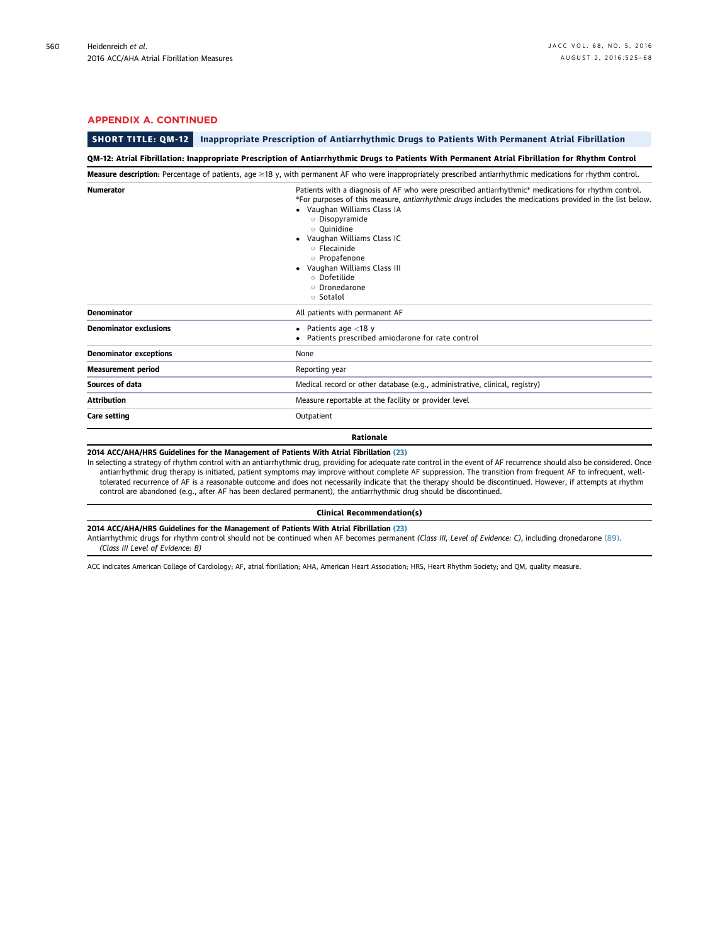# SHORT TITLE: QM-12 Inappropriate Prescription of Antiarrhythmic Drugs to Patients With Permanent Atrial Fibrillation

QM-12: Atrial Fibrillation: Inappropriate Prescription of Antiarrhythmic Drugs to Patients With Permanent Atrial Fibrillation for Rhythm Control

|                               | Measure description: Percentage of patients, age ≥18 y, with permanent AF who were inappropriately prescribed antiarrhythmic medications for rhythm control.                                                                                                                                                                                                                                                                  |
|-------------------------------|-------------------------------------------------------------------------------------------------------------------------------------------------------------------------------------------------------------------------------------------------------------------------------------------------------------------------------------------------------------------------------------------------------------------------------|
| <b>Numerator</b>              | Patients with a diagnosis of AF who were prescribed antiarrhythmic* medications for rhythm control.<br>*For purposes of this measure, antiarrhythmic drugs includes the medications provided in the list below.<br>• Vaughan Williams Class IA<br>O Disopyramide<br>o Ouinidine<br>• Vaughan Williams Class IC<br>o Flecainide<br>o Propafenone<br>• Vaughan Williams Class III<br>o Dofetilide<br>o Dronedarone<br>○ Sotalol |
| <b>Denominator</b>            | All patients with permanent AF                                                                                                                                                                                                                                                                                                                                                                                                |
| <b>Denominator exclusions</b> | • Patients age $<$ 18 y<br>• Patients prescribed amiodarone for rate control                                                                                                                                                                                                                                                                                                                                                  |
| <b>Denominator exceptions</b> | None                                                                                                                                                                                                                                                                                                                                                                                                                          |
| <b>Measurement period</b>     | Reporting year                                                                                                                                                                                                                                                                                                                                                                                                                |
| Sources of data               | Medical record or other database (e.g., administrative, clinical, registry)                                                                                                                                                                                                                                                                                                                                                   |
| <b>Attribution</b>            | Measure reportable at the facility or provider level                                                                                                                                                                                                                                                                                                                                                                          |
| <b>Care setting</b>           | Outpatient                                                                                                                                                                                                                                                                                                                                                                                                                    |
|                               | <b>Rationale</b>                                                                                                                                                                                                                                                                                                                                                                                                              |

### 2014 ACC/AHA/HRS Guidelines for the Management of Patients With Atrial Fibrillation [\(23\)](#page-10-0)

In selecting a strategy of rhythm control with an antiarrhythmic drug, providing for adequate rate control in the event of AF recurrence should also be considered. Once antiarrhythmic drug therapy is initiated, patient symptoms may improve without complete AF suppression. The transition from frequent AF to infrequent, welltolerated recurrence of AF is a reasonable outcome and does not necessarily indicate that the therapy should be discontinued. However, if attempts at rhythm control are abandoned (e.g., after AF has been declared permanent), the antiarrhythmic drug should be discontinued.

### Clinical Recommendation(s)

2014 ACC/AHA/HRS Guidelines for the Management of Patients With Atrial Fibrillation [\(23\)](#page-10-0) Antiarrhythmic drugs for rhythm control should not be continued when AF becomes permanent (Class III, Level of Evidence: C), including dronedarone [\(89\).](#page-12-0) (Class III Level of Evidence: B)

ACC indicates American College of Cardiology; AF, atrial fibrillation; AHA, American Heart Association; HRS, Heart Rhythm Society; and QM, quality measure.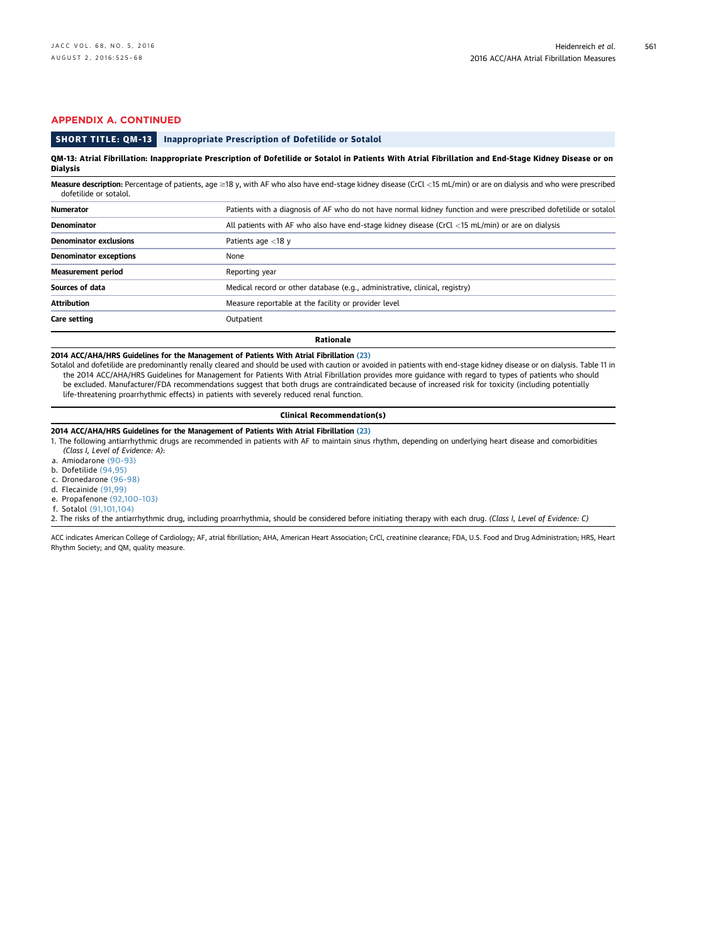### SHORT TITLE: QM-13 Inappropriate Prescription of Dofetilide or Sotalol

### QM-13: Atrial Fibrillation: Inappropriate Prescription of Dofetilide or Sotalol in Patients With Atrial Fibrillation and End-Stage Kidney Disease or on Dialysis

Measure description: Percentage of patients, age ≥18 y, with AF who also have end-stage kidney disease (CrCl <15 mL/min) or are on dialysis and who were prescribed dofetilide or sotalol.

| <b>Numerator</b>              | Patients with a diagnosis of AF who do not have normal kidney function and were prescribed dofetilide or sotalol |  |  |  |  |
|-------------------------------|------------------------------------------------------------------------------------------------------------------|--|--|--|--|
| <b>Denominator</b>            | All patients with AF who also have end-stage kidney disease (CrCl <15 mL/min) or are on dialysis                 |  |  |  |  |
| <b>Denominator exclusions</b> | Patients age $<$ 18 y                                                                                            |  |  |  |  |
| <b>Denominator exceptions</b> | None                                                                                                             |  |  |  |  |
| <b>Measurement period</b>     | Reporting year                                                                                                   |  |  |  |  |
| Sources of data               | Medical record or other database (e.g., administrative, clinical, registry)                                      |  |  |  |  |
| <b>Attribution</b>            | Measure reportable at the facility or provider level                                                             |  |  |  |  |
| Care setting                  | Outpatient                                                                                                       |  |  |  |  |
|                               |                                                                                                                  |  |  |  |  |

Rationale

2014 ACC/AHA/HRS Guidelines for the Management of Patients With Atrial Fibrillation [\(23\)](#page-10-0)

Sotalol and dofetilide are predominantly renally cleared and should be used with caution or avoided in patients with end-stage kidney disease or on dialysis. Table 11 in the 2014 ACC/AHA/HRS Guidelines for Management for Patients With Atrial Fibrillation provides more guidance with regard to types of patients who should be excluded. Manufacturer/FDA recommendations suggest that both drugs are contraindicated because of increased risk for toxicity (including potentially life-threatening proarrhythmic effects) in patients with severely reduced renal function.

# Clinical Recommendation(s)

2014 ACC/AHA/HRS Guidelines for the Management of Patients With Atrial Fibrillation [\(23\)](#page-10-0)

1. The following antiarrhythmic drugs are recommended in patients with AF to maintain sinus rhythm, depending on underlying heart disease and comorbidities (Class I, Level of Evidence: A):

a. Amiodarone [\(90](#page-12-0)–93)

b. Dofetilide [\(94,95\)](#page-12-0)

c. Dronedarone (96–[98\)](#page-12-0)

d. Flecainide [\(91,99\)](#page-12-0)

e. Propafenone [\(92,100](#page-12-0)–103)

f. Sotalol [\(91,101,104\)](#page-12-0)

2. The risks of the antiarrhythmic drug, including proarrhythmia, should be considered before initiating therapy with each drug. (Class I, Level of Evidence: C)

ACC indicates American College of Cardiology; AF, atrial fibrillation; AHA, American Heart Association; CrCl, creatinine clearance; FDA, U.S. Food and Drug Administration; HRS, Heart Rhythm Society; and QM, quality measure.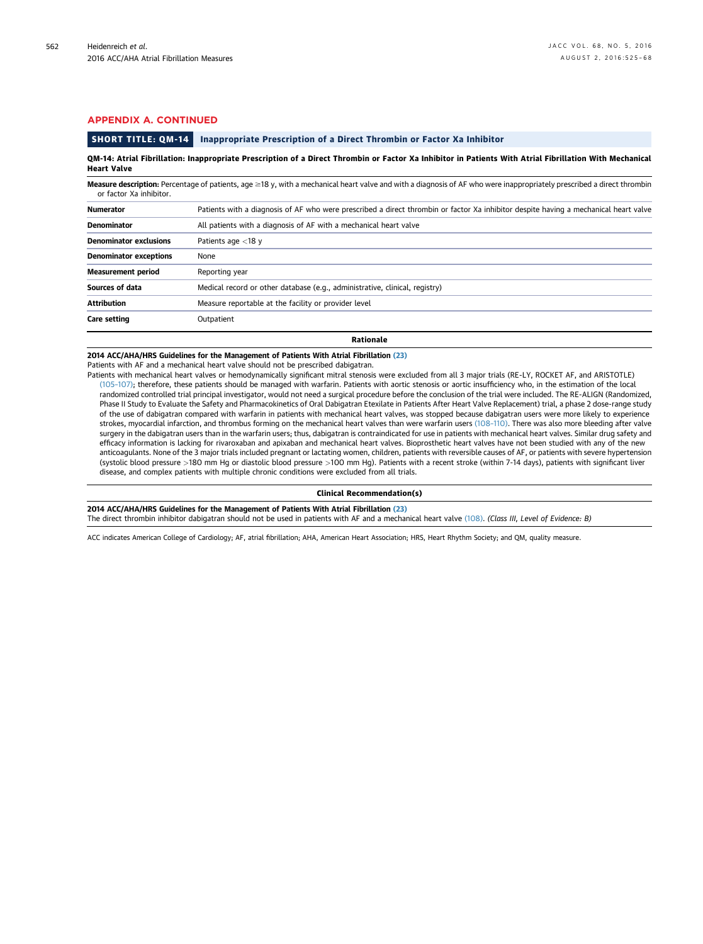### SHORT TITLE: QM-14 Inappropriate Prescription of a Direct Thrombin or Factor Xa Inhibitor

#### QM-14: Atrial Fibrillation: Inappropriate Prescription of a Direct Thrombin or Factor Xa Inhibitor in Patients With Atrial Fibrillation With Mechanical Heart Valve

Measure description: Percentage of patients, age ≥18 y, with a mechanical heart valve and with a diagnosis of AF who were inappropriately prescribed a direct thrombin or factor Xa inhibitor.

| Patients with a diagnosis of AF who were prescribed a direct thrombin or factor Xa inhibitor despite having a mechanical heart valve |  |  |  |  |
|--------------------------------------------------------------------------------------------------------------------------------------|--|--|--|--|
| All patients with a diagnosis of AF with a mechanical heart valve                                                                    |  |  |  |  |
| Patients age $<$ 18 y                                                                                                                |  |  |  |  |
| None                                                                                                                                 |  |  |  |  |
| Reporting year                                                                                                                       |  |  |  |  |
| Medical record or other database (e.g., administrative, clinical, registry)                                                          |  |  |  |  |
| Measure reportable at the facility or provider level                                                                                 |  |  |  |  |
| Outpatient                                                                                                                           |  |  |  |  |
|                                                                                                                                      |  |  |  |  |

#### Rationale

2014 ACC/AHA/HRS Guidelines for the Management of Patients With Atrial Fibrillation [\(23\)](#page-10-0)

Patients with AF and a mechanical heart valve should not be prescribed dabigatran.

Patients with mechanical heart valves or hemodynamically significant mitral stenosis were excluded from all 3 major trials (RE-LY, ROCKET AF, and ARISTOTLE) (105–[107\)](#page-12-0); therefore, these patients should be managed with warfarin. Patients with aortic stenosis or aortic insufficiency who, in the estimation of the local randomized controlled trial principal investigator, would not need a surgical procedure before the conclusion of the trial were included. The RE-ALIGN (Randomized, Phase II Study to Evaluate the Safety and Pharmacokinetics of Oral Dabigatran Etexilate in Patients After Heart Valve Replacement) trial, a phase 2 dose-range study of the use of dabigatran compared with warfarin in patients with mechanical heart valves, was stopped because dabigatran users were more likely to experience strokes, myocardial infarction, and thrombus forming on the mechanical heart valves than were warfarin users [\(108](#page-12-0)–110). There was also more bleeding after valve surgery in the dabigatran users than in the warfarin users; thus, dabigatran is contraindicated for use in patients with mechanical heart valves. Similar drug safety and efficacy information is lacking for rivaroxaban and apixaban and mechanical heart valves. Bioprosthetic heart valves have not been studied with any of the new anticoagulants. None of the 3 major trials included pregnant or lactating women, children, patients with reversible causes of AF, or patients with severe hypertension (systolic blood pressure >180 mm Hg or diastolic blood pressure >100 mm Hg). Patients with a recent stroke (within 7-14 days), patients with significant liver disease, and complex patients with multiple chronic conditions were excluded from all trials.

#### Clinical Recommendation(s)

2014 ACC/AHA/HRS Guidelines for the Management of Patients With Atrial Fibrillation [\(23\)](#page-10-0) The direct thrombin inhibitor dabigatran should not be used in patients with AF and a mechanical heart valve [\(108\).](#page-12-0) (Class III, Level of Evidence: B)

ACC indicates American College of Cardiology; AF, atrial fibrillation; AHA, American Heart Association; HRS, Heart Rhythm Society; and QM, quality measure.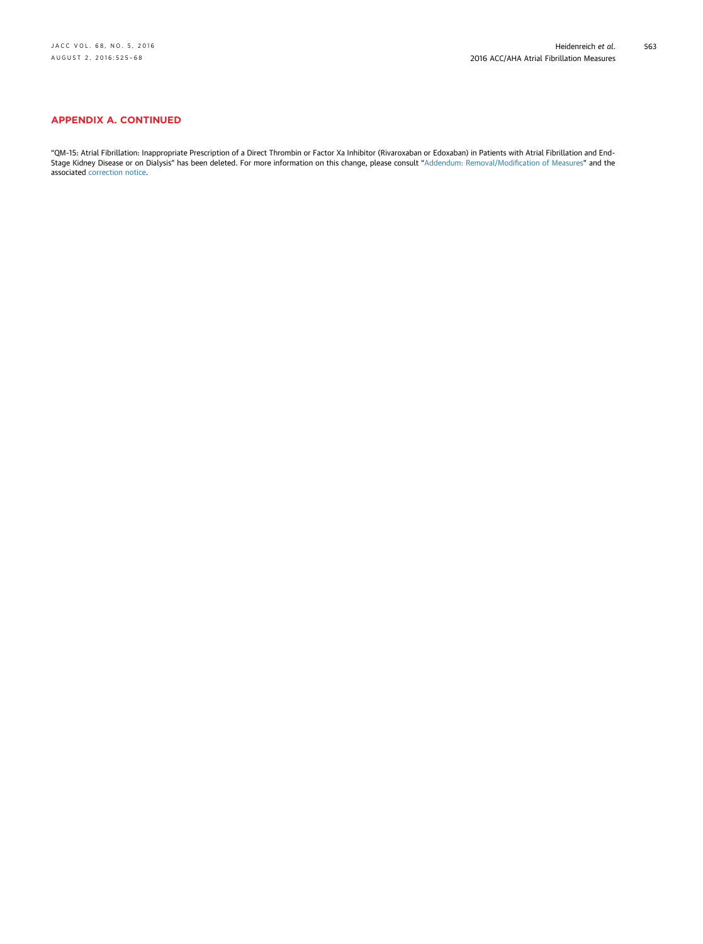"QM-15: Atrial Fibrillation: Inappropriate Prescription of a Direct Thrombin or Factor Xa Inhibitor (Rivaroxaban or Edoxaban) in Patients with Atrial Fibrillation and End-Stage Kidney Disease or on Dialysis" has been deleted. For more information on this change, please consult "Addendum: Removal/Modification of Measures" and the associated correction notice.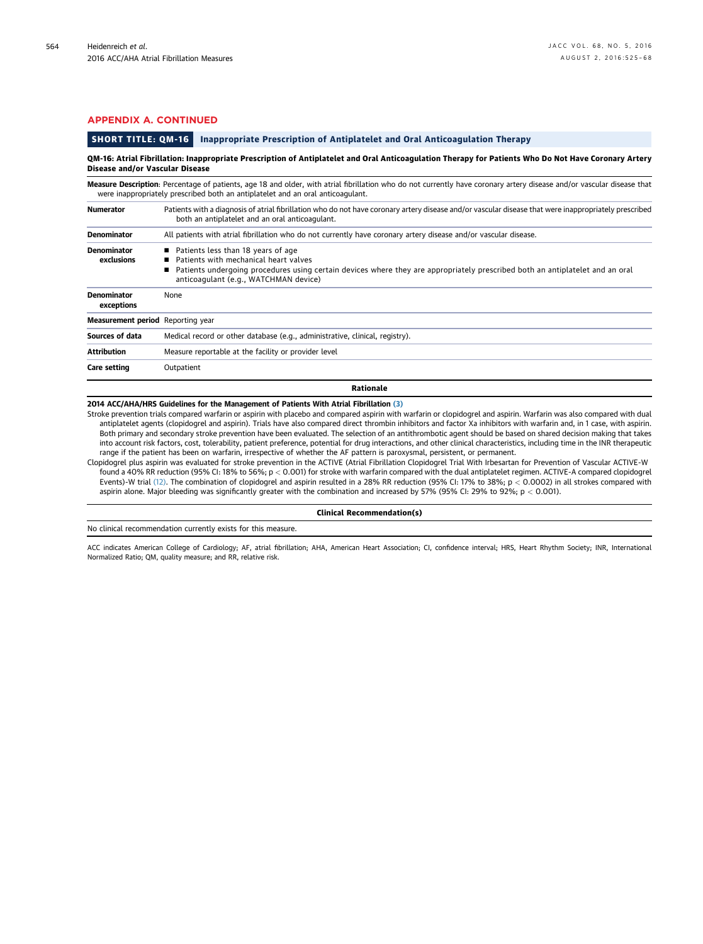### SHORT TITLE: QM-16 Inappropriate Prescription of Antiplatelet and Oral Anticoagulation Therapy

### QM-16: Atrial Fibrillation: Inappropriate Prescription of Antiplatelet and Oral Anticoagulation Therapy for Patients Who Do Not Have Coronary Artery Disease and/or Vascular Disease

|                                          | Measure Description: Percentage of patients, age 18 and older, with atrial fibrillation who do not currently have coronary artery disease and/or vascular disease that<br>were inappropriately prescribed both an antiplatelet and an oral anticoaqulant. |
|------------------------------------------|-----------------------------------------------------------------------------------------------------------------------------------------------------------------------------------------------------------------------------------------------------------|
| <b>Numerator</b>                         | Patients with a diagnosis of atrial fibrillation who do not have coronary artery disease and/or vascular disease that were inappropriately prescribed<br>both an antiplatelet and an oral anticoagulant.                                                  |
| <b>Denominator</b>                       | All patients with atrial fibrillation who do not currently have coronary artery disease and/or vascular disease.                                                                                                                                          |
| <b>Denominator</b><br>exclusions         | Patients less than 18 years of age<br>Patients with mechanical heart valves<br>Patients undergoing procedures using certain devices where they are appropriately prescribed both an antiplatelet and an oral<br>anticoaqulant (e.g., WATCHMAN device)     |
| <b>Denominator</b><br>exceptions         | None                                                                                                                                                                                                                                                      |
| <b>Measurement period</b> Reporting year |                                                                                                                                                                                                                                                           |
| Sources of data                          | Medical record or other database (e.g., administrative, clinical, registry).                                                                                                                                                                              |
| Attribution                              | Measure reportable at the facility or provider level                                                                                                                                                                                                      |
| <b>Care setting</b>                      | Outpatient                                                                                                                                                                                                                                                |

### Rationale

### 2014 ACC/AHA/HRS Guidelines for the Management of Patients With Atrial Fibrillation [\(3\)](#page-10-0)

Stroke prevention trials compared warfarin or aspirin with placebo and compared aspirin with warfarin or clopidogrel and aspirin. Warfarin was also compared with dual antiplatelet agents (clopidogrel and aspirin). Trials have also compared direct thrombin inhibitors and factor Xa inhibitors with warfarin and, in 1 case, with aspirin. Both primary and secondary stroke prevention have been evaluated. The selection of an antithrombotic agent should be based on shared decision making that takes into account risk factors, cost, tolerability, patient preference, potential for drug interactions, and other clinical characteristics, including time in the INR therapeutic range if the patient has been on warfarin, irrespective of whether the AF pattern is paroxysmal, persistent, or permanent.

Clopidogrel plus aspirin was evaluated for stroke prevention in the ACTIVE (Atrial Fibrillation Clopidogrel Trial With Irbesartan for Prevention of Vascular ACTIVE-W found a 40% RR reduction (95% CI: 18% to 56%; p < 0.001) for stroke with warfarin compared with the dual antiplatelet regimen. ACTIVE-A compared clopidogrel Events)-W trial [\(12\)](#page-10-0). The combination of clopidogrel and aspirin resulted in a 28% RR reduction (95% CI: 17% to 38%; p < 0.0002) in all strokes compared with aspirin alone. Major bleeding was significantly greater with the combination and increased by 57% (95% CI: 29% to 92%; p < 0.001).

### Clinical Recommendation(s)

No clinical recommendation currently exists for this measure.

ACC indicates American College of Cardiology; AF, atrial fibrillation; AHA, American Heart Association; CI, confidence interval; HRS, Heart Rhythm Society; INR, International Normalized Ratio; QM, quality measure; and RR, relative risk.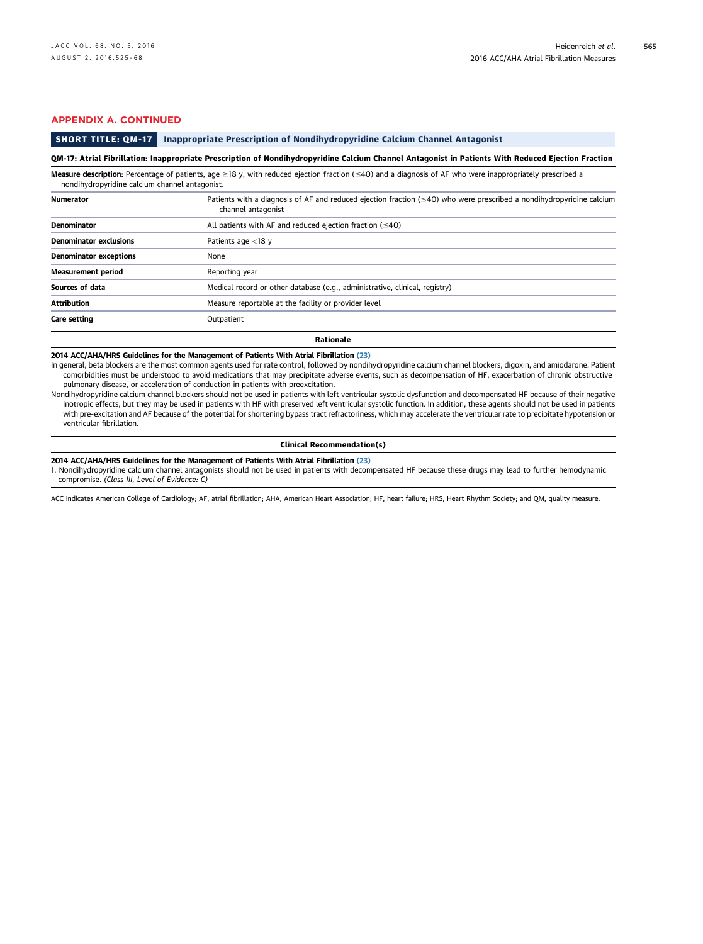### SHORT TITLE: QM-17 Inappropriate Prescription of Nondihydropyridine Calcium Channel Antagonist

### QM-17: Atrial Fibrillation: Inappropriate Prescription of Nondihydropyridine Calcium Channel Antagonist in Patients With Reduced Ejection Fraction

Measure description: Percentage of patients, age ≥18 y, with reduced ejection fraction (≤40) and a diagnosis of AF who were inappropriately prescribed a nondihydropyridine calcium channel antagonist.

| <b>Numerator</b>              | Patients with a diagnosis of AF and reduced ejection fraction ( $\leq$ 40) who were prescribed a nondihydropyridine calcium<br>channel antagonist |
|-------------------------------|---------------------------------------------------------------------------------------------------------------------------------------------------|
| <b>Denominator</b>            | All patients with AF and reduced ejection fraction $(\leq 40)$                                                                                    |
| <b>Denominator exclusions</b> | Patients age $<$ 18 y                                                                                                                             |
| <b>Denominator exceptions</b> | None                                                                                                                                              |
| <b>Measurement period</b>     | Reporting year                                                                                                                                    |
| Sources of data               | Medical record or other database (e.g., administrative, clinical, registry)                                                                       |
| <b>Attribution</b>            | Measure reportable at the facility or provider level                                                                                              |
| Care setting                  | Outpatient                                                                                                                                        |

Rationale

### 2014 ACC/AHA/HRS Guidelines for the Management of Patients With Atrial Fibrillation [\(23\)](#page-10-0)

In general, beta blockers are the most common agents used for rate control, followed by nondihydropyridine calcium channel blockers, digoxin, and amiodarone. Patient comorbidities must be understood to avoid medications that may precipitate adverse events, such as decompensation of HF, exacerbation of chronic obstructive pulmonary disease, or acceleration of conduction in patients with preexcitation.

Nondihydropyridine calcium channel blockers should not be used in patients with left ventricular systolic dysfunction and decompensated HF because of their negative inotropic effects, but they may be used in patients with HF with preserved left ventricular systolic function. In addition, these agents should not be used in patients with pre-excitation and AF because of the potential for shortening bypass tract refractoriness, which may accelerate the ventricular rate to precipitate hypotension or ventricular fibrillation.

# Clinical Recommendation(s)

### 2014 ACC/AHA/HRS Guidelines for the Management of Patients With Atrial Fibrillation [\(23\)](#page-10-0)

1. Nondihydropyridine calcium channel antagonists should not be used in patients with decompensated HF because these drugs may lead to further hemodynamic compromise. (Class III, Level of Evidence: C)

ACC indicates American College of Cardiology; AF, atrial fibrillation; AHA, American Heart Association; HF, heart failure; HRS, Heart Rhythm Society; and QM, quality measure.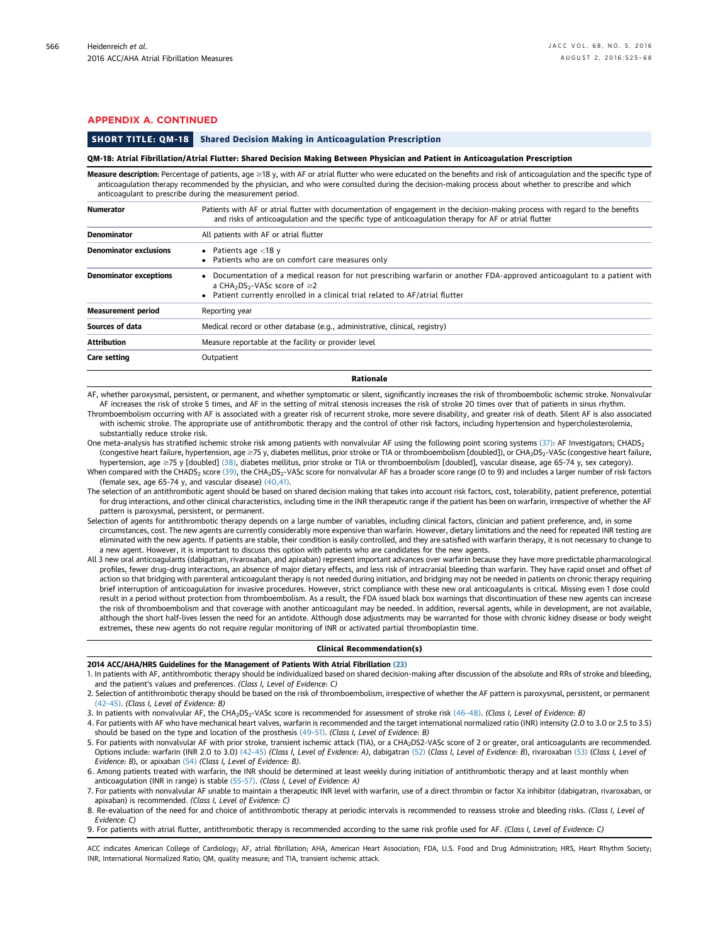### SHORT TITLE: QM-18 Shared Decision Making in Anticoagulation Prescription

#### QM-18: Atrial Fibrillation/Atrial Flutter: Shared Decision Making Between Physician and Patient in Anticoagulation Prescription

Measure description: Percentage of patients, age ≥18 y, with AF or atrial flutter who were educated on the benefits and risk of anticoagulation and the specific type of anticoagulation therapy recommended by the physician, and who were consulted during the decision-making process about whether to prescribe and which anticoagulant to prescribe during the measurement period.

| <b>Numerator</b>              | Patients with AF or atrial flutter with documentation of engagement in the decision-making process with regard to the benefits<br>and risks of anticoaqulation and the specific type of anticoaqulation therapy for AF or atrial flutter                                 |  |  |  |
|-------------------------------|--------------------------------------------------------------------------------------------------------------------------------------------------------------------------------------------------------------------------------------------------------------------------|--|--|--|
| Denominator                   | All patients with AF or atrial flutter                                                                                                                                                                                                                                   |  |  |  |
| <b>Denominator exclusions</b> | • Patients age $<$ 18 y<br>• Patients who are on comfort care measures only                                                                                                                                                                                              |  |  |  |
| <b>Denominator exceptions</b> | Documentation of a medical reason for not prescribing warfarin or another FDA-approved anticoagulant to a patient with<br>٠<br>a CHA <sub>2</sub> DS <sub>2</sub> -VASc score of $\geq$ 2<br>Patient currently enrolled in a clinical trial related to AF/atrial flutter |  |  |  |
| <b>Measurement period</b>     | Reporting year                                                                                                                                                                                                                                                           |  |  |  |
| Sources of data               | Medical record or other database (e.g., administrative, clinical, registry)                                                                                                                                                                                              |  |  |  |
| <b>Attribution</b>            | Measure reportable at the facility or provider level                                                                                                                                                                                                                     |  |  |  |
| <b>Care setting</b>           | Outpatient                                                                                                                                                                                                                                                               |  |  |  |

#### Rationale

AF, whether paroxysmal, persistent, or permanent, and whether symptomatic or silent, significantly increases the risk of thromboembolic ischemic stroke. Nonvalvular AF increases the risk of stroke 5 times, and AF in the setting of mitral stenosis increases the risk of stroke 20 times over that of patients in sinus rhythm.

Thromboembolism occurring with AF is associated with a greater risk of recurrent stroke, more severe disability, and greater risk of death. Silent AF is also associated with ischemic stroke. The appropriate use of antithrombotic therapy and the control of other risk factors, including hypertension and hypercholesterolemia, substantially reduce stroke risk.

One meta-analysis has stratified ischemic stroke risk among patients with nonvalvular AF using the following point scoring systems [\(37\)](#page-11-0): AF Investigators; CHADS<sub>2</sub> (congestive heart failure, hypertension, age ≥75 y, diabetes mellitus, prior stroke or TIA or thromboembolism [doubled]), or CHA<sub>2</sub>DS<sub>2</sub>-VASc (congestive heart failure, hypertension, age ≥75 y [doubled] [\(38\)](#page-11-0), diabetes mellitus, prior stroke or TIA or thromboembolism [doubled], vascular disease, age 65-74 y, sex category). When compared with the CHADS<sub>2</sub> score [\(39\),](#page-11-0) the CHA<sub>2</sub>DS<sub>2</sub>-VASc score for nonvalvular AF has a broader score range (0 to 9) and includes a larger number of risk factors

(female sex, age 65-74 y, and vascular disease) [\(40,41\)](#page-11-0). The selection of an antithrombotic agent should be based on shared decision making that takes into account risk factors, cost, tolerability, patient preference, potential for drug interactions, and other clinical characteristics, including time in the INR therapeutic range if the patient has been on warfarin, irrespective of whether the AF

pattern is paroxysmal, persistent, or permanent. Selection of agents for antithrombotic therapy depends on a large number of variables, including clinical factors, clinician and patient preference, and, in some circumstances, cost. The new agents are currently considerably more expensive than warfarin. However, dietary limitations and the need for repeated INR testing are eliminated with the new agents. If patients are stable, their condition is easily controlled, and they are satisfied with warfarin therapy, it is not necessary to change to

a new agent. However, it is important to discuss this option with patients who are candidates for the new agents. All 3 new oral anticoagulants (dabigatran, rivaroxaban, and apixaban) represent important advances over warfarin because they have more predictable pharmacological profiles, fewer drug–drug interactions, an absence of major dietary effects, and less risk of intracranial bleeding than warfarin. They have rapid onset and offset of action so that bridging with parenteral anticoagulant therapy is not needed during initiation, and bridging may not be needed in patients on chronic therapy requiring brief interruption of anticoagulation for invasive procedures. However, strict compliance with these new oral anticoagulants is critical. Missing even 1 dose could result in a period without protection from thromboembolism. As a result, the FDA issued black box warnings that discontinuation of these new agents can increase the risk of thromboembolism and that coverage with another anticoagulant may be needed. In addition, reversal agents, while in development, are not available, although the short half-lives lessen the need for an antidote. Although dose adjustments may be warranted for those with chronic kidney disease or body weight extremes, these new agents do not require regular monitoring of INR or activated partial thromboplastin time.

### Clinical Recommendation(s)

### 2014 ACC/AHA/HRS Guidelines for the Management of Patients With Atrial Fibrillation [\(23\)](#page-10-0)

1. In patients with AF, antithrombotic therapy should be individualized based on shared decision-making after discussion of the absolute and RRs of stroke and bleeding, and the patient's values and preferences. (Class I, Level of Evidence: C)

2. Selection of antithrombotic therapy should be based on the risk of thromboembolism, irrespective of whether the AF pattern is paroxysmal, persistent, or permanent [\(4](#page-11-0)2–[45\)](#page-11-0). (Class I, Level of Evidence: B)

3. In patients with nonvalvular AF, the CHA<sub>2</sub>DS<sub>2</sub>-VASc score is recommended for assessment of stroke risk [\(46](#page-11-0)-48). (Class I, Level of Evidence: B)

4. For patients with AF who have mechanical heart valves, warfarin is recommended and the target international normalized ratio (INR) intensity (2.0 to 3.0 or 2.5 to 3.5) should be based on the type and location of the prosthesis [\(49](#page-11-0)–51). (Class I, Level of Evidence: B)

5. For patients with nonvalvular AF with prior stroke, transient ischemic attack (TIA), or a CHA<sub>2</sub>DS2-VASc score of 2 or greater, oral anticoagulants are recommended. Options include: warfarin (INR 2.0 to 3.0) [\(42](#page-11-0)-45) (Class I, Level of Evidence: A), dabigatran [\(52\)](#page-11-0) (Class I, Level of Evidence: B), rivaroxaban [\(53\)](#page-11-0) (Class I, Level of Evidence: B), or apixaban [\(54\)](#page-11-0) (Class I, Level of Evidence: B).

6. Among patients treated with warfarin, the INR should be determined at least weekly during initiation of antithrombotic therapy and at least monthly when anticoagulation (INR in range) is stable [\(55](#page-11-0)–57). (Class I, Level of Evidence: A)

7. For patients with nonvalvular AF unable to maintain a therapeutic INR level with warfarin, use of a direct thrombin or factor Xa inhibitor (dabigatran, rivaroxaban, or apixaban) is recommended. (Class I, Level of Evidence: C)

8. Re-evaluation of the need for and choice of antithrombotic therapy at periodic intervals is recommended to reassess stroke and bleeding risks. (Class I, Level of Evidence: C)

9. For patients with atrial flutter, antithrombotic therapy is recommended according to the same risk profile used for AF. (Class I, Level of Evidence: C)

ACC indicates American College of Cardiology; AF, atrial fibrillation; AHA, American Heart Association; FDA, U.S. Food and Drug Administration; HRS, Heart Rhythm Society; INR, International Normalized Ratio; QM, quality measure; and TIA, transient ischemic attack.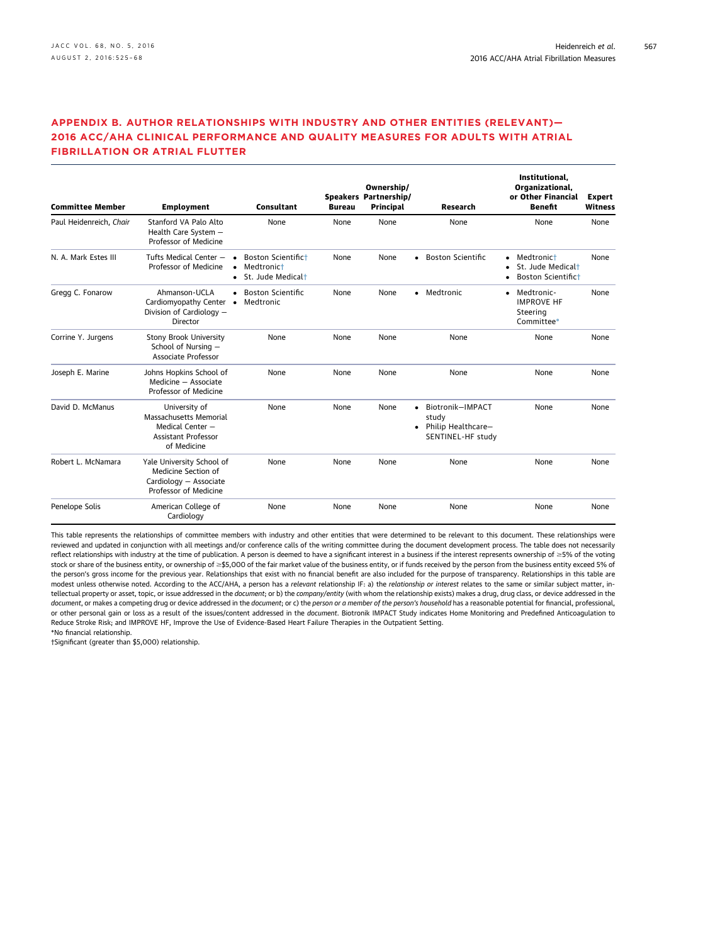# APPENDIX B. AUTHOR RELATIONSHIPS WITH INDUSTRY AND OTHER ENTITIES (RELEVANT)— 2016 ACC/AHA CLINICAL PERFORMANCE AND QUALITY MEASURES FOR ADULTS WITH ATRIAL FIBRILLATION OR ATRIAL FLUTTER

| <b>Committee Member</b> | <b>Employment</b>                                                                                   | <b>Consultant</b>                                                           | <b>Bureau</b> | Ownership/<br>Speakers Partnership/<br>Principal | Research                                                                                       | Institutional,<br>Organizational,<br>or Other Financial<br><b>Benefit</b> | <b>Expert</b><br>Witness |
|-------------------------|-----------------------------------------------------------------------------------------------------|-----------------------------------------------------------------------------|---------------|--------------------------------------------------|------------------------------------------------------------------------------------------------|---------------------------------------------------------------------------|--------------------------|
| Paul Heidenreich, Chair | Stanford VA Palo Alto<br>Health Care System -<br>Professor of Medicine                              | None                                                                        | None          | None                                             | None                                                                                           | None                                                                      | None                     |
| N. A. Mark Estes III    | Tufts Medical Center -<br>Professor of Medicine                                                     | <b>Boston Scientifict</b><br>Medtronict<br>$\bullet$<br>• St. Jude Medicalt | None          | None                                             | • Boston Scientific                                                                            | Medtronict<br>$\bullet$<br>St. Jude Medicalt<br>Boston Scientifict<br>٠   | None                     |
| Gregg C. Fonarow        | Ahmanson-UCLA<br>Cardiomyopathy Center •<br>Division of Cardiology -<br>Director                    | <b>Boston Scientific</b><br>Medtronic                                       | None          | None                                             | • Medtronic                                                                                    | Medtronic-<br>$\bullet$<br><b>IMPROVE HF</b><br>Steering<br>Committee*    | None                     |
| Corrine Y. Jurgens      | Stony Brook University<br>School of Nursing -<br>Associate Professor                                | None                                                                        | None          | None                                             | None                                                                                           | None                                                                      | None                     |
| Joseph E. Marine        | Johns Hopkins School of<br>Medicine - Associate<br>Professor of Medicine                            | None                                                                        | None          | None                                             | None                                                                                           | None                                                                      | None                     |
| David D. McManus        | University of<br>Massachusetts Memorial<br>Medical Center -<br>Assistant Professor<br>of Medicine   | None                                                                        | None          | None                                             | Biotronik-IMPACT<br>$\bullet$<br>study<br>Philip Healthcare-<br>$\bullet$<br>SENTINEL-HF study | None                                                                      | None                     |
| Robert L. McNamara      | Yale University School of<br>Medicine Section of<br>Cardiology - Associate<br>Professor of Medicine | None                                                                        | None          | None                                             | None                                                                                           | None                                                                      | None                     |
| Penelope Solis          | American College of<br>Cardiology                                                                   | None                                                                        | None          | None                                             | None                                                                                           | None                                                                      | None                     |

This table represents the relationships of committee members with industry and other entities that were determined to be relevant to this document. These relationships were reviewed and updated in conjunction with all meetings and/or conference calls of the writing committee during the document development process. The table does not necessarily reflect relationships with industry at the time of publication. A person is deemed to have a significant interest in a business if the interest represents ownership of  $\geq$ 5% of the voting stock or share of the business entity, or ownership of  $\geq$ \$5,000 of the fair market value of the business entity, or if funds received by the person from the business entity exceed 5% of the person's gross income for the previous year. Relationships that exist with no financial benefit are also included for the purpose of transparency. Relationships in this table are modest unless otherwise noted. According to the ACC/AHA, a person has a relevant relationship IF: a) the relationship or interest relates to the same or similar subject matter, intellectual property or asset, topic, or issue addressed in the document; or b) the company/entity (with whom the relationship exists) makes a drug, drug class, or device addressed in the document, or makes a competing drug or device addressed in the document; or c) the person or a member of the person's household has a reasonable potential for financial, professional, or other personal gain or loss as a result of the issues/content addressed in the document. Biotronik IMPACT Study indicates Home Monitoring and Predefined Anticoagulation to Reduce Stroke Risk; and IMPROVE HF, Improve the Use of Evidence-Based Heart Failure Therapies in the Outpatient Setting. \*No financial relationship.

†Significant (greater than \$5,000) relationship.